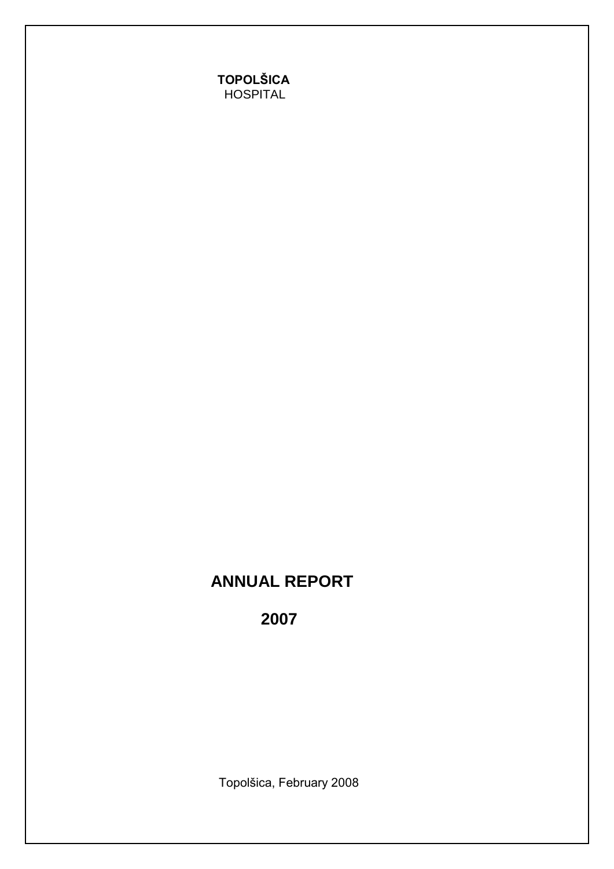# **ANNUAL REPORT**

 **2007**

Topolšica, February 2008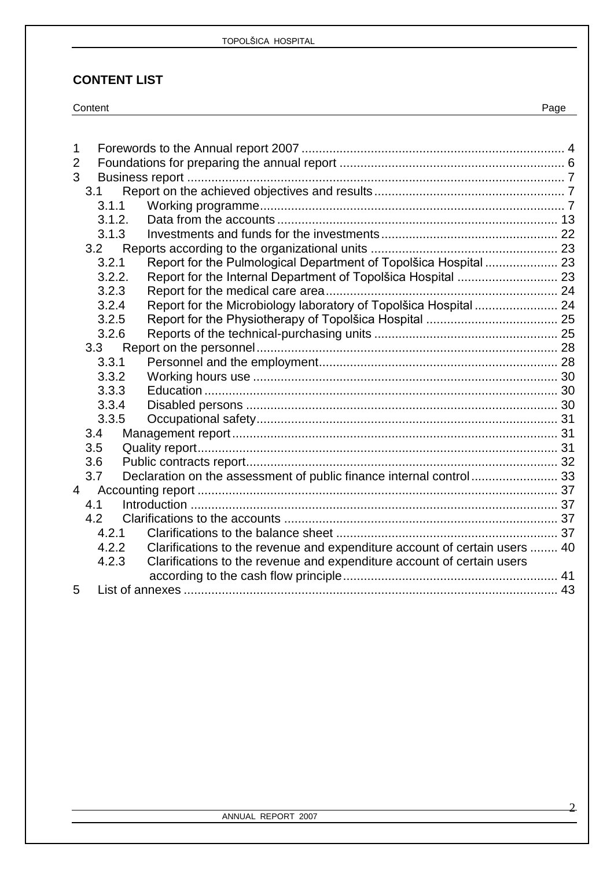### **CONTENT LIST**

| Content | Page |  |
|---------|------|--|
|         |      |  |

| 1              |        |                                                                                     |  |
|----------------|--------|-------------------------------------------------------------------------------------|--|
| $\overline{2}$ |        |                                                                                     |  |
| 3              |        |                                                                                     |  |
|                | 3.1    |                                                                                     |  |
|                | 3.1.1  |                                                                                     |  |
|                | 3.1.2. |                                                                                     |  |
|                | 3.1.3  |                                                                                     |  |
|                | 3.2    |                                                                                     |  |
|                | 3.2.1  | Report for the Pulmological Department of Topolšica Hospital  23                    |  |
|                | 3.2.2. |                                                                                     |  |
|                | 3.2.3  |                                                                                     |  |
|                | 3.2.4  | Report for the Microbiology laboratory of Topolšica Hospital  24                    |  |
|                | 3.2.5  |                                                                                     |  |
|                | 3.2.6  |                                                                                     |  |
|                | 3.3    |                                                                                     |  |
|                | 3.3.1  |                                                                                     |  |
|                | 3.3.2  |                                                                                     |  |
|                | 3.3.3  |                                                                                     |  |
|                | 3.3.4  |                                                                                     |  |
|                | 3.3.5  |                                                                                     |  |
|                | 3.4    |                                                                                     |  |
|                | 3.5    |                                                                                     |  |
|                | 3.6    |                                                                                     |  |
|                | 3.7    | Declaration on the assessment of public finance internal control 33                 |  |
| $\overline{4}$ |        |                                                                                     |  |
|                | 4.1    |                                                                                     |  |
|                | 4.2    |                                                                                     |  |
|                | 4.2.1  |                                                                                     |  |
|                |        | Clarifications to the revenue and expenditure account of certain users  40<br>4.2.2 |  |
|                | 4.2.3  | Clarifications to the revenue and expenditure account of certain users              |  |
|                |        |                                                                                     |  |
| 5              |        |                                                                                     |  |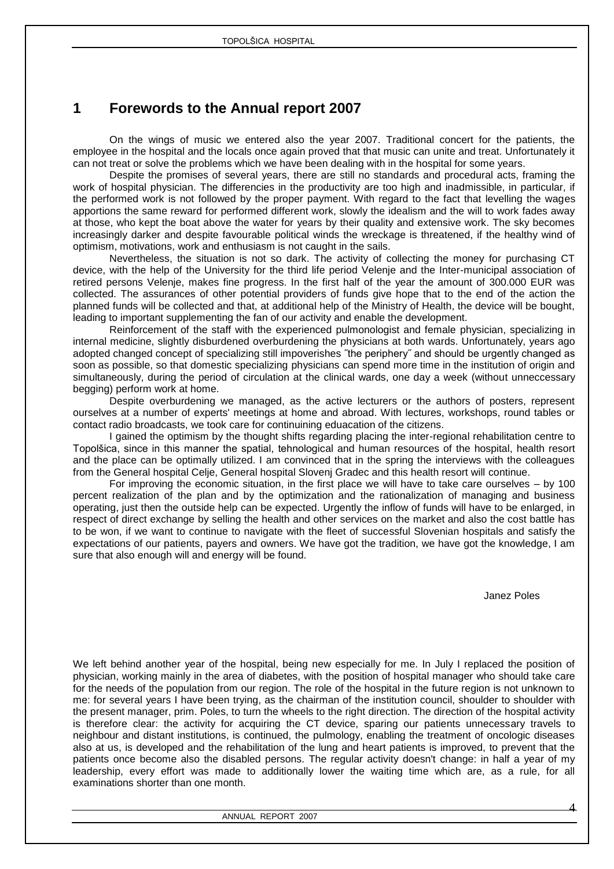# <span id="page-3-0"></span>**1 Forewords to the Annual report 2007**

On the wings of music we entered also the year 2007. Traditional concert for the patients, the employee in the hospital and the locals once again proved that that music can unite and treat. Unfortunately it can not treat or solve the problems which we have been dealing with in the hospital for some years.

Despite the promises of several years, there are still no standards and procedural acts, framing the work of hospital physician. The differencies in the productivity are too high and inadmissible, in particular, if the performed work is not followed by the proper payment. With regard to the fact that levelling the wages apportions the same reward for performed different work, slowly the idealism and the will to work fades away at those, who kept the boat above the water for years by their quality and extensive work. The sky becomes increasingly darker and despite favourable political winds the wreckage is threatened, if the healthy wind of optimism, motivations, work and enthusiasm is not caught in the sails.

Nevertheless, the situation is not so dark. The activity of collecting the money for purchasing CT device, with the help of the University for the third life period Velenje and the Inter-municipal association of retired persons Velenje, makes fine progress. In the first half of the year the amount of 300.000 EUR was collected. The assurances of other potential providers of funds give hope that to the end of the action the planned funds will be collected and that, at additional help of the Ministry of Health, the device will be bought, leading to important supplementing the fan of our activity and enable the development.

Reinforcement of the staff with the experienced pulmonologist and female physician, specializing in internal medicine, slightly disburdened overburdening the physicians at both wards. Unfortunately, years ago adopted changed concept of specializing still impoverishes ˝the periphery˝ and should be urgently changed as soon as possible, so that domestic specializing physicians can spend more time in the institution of origin and simultaneously, during the period of circulation at the clinical wards, one day a week (without unneccessary begging) perform work at home.

Despite overburdening we managed, as the active lecturers or the authors of posters, represent ourselves at a number of experts' meetings at home and abroad. With lectures, workshops, round tables or contact radio broadcasts, we took care for continuining eduacation of the citizens.

I gained the optimism by the thought shifts regarding placing the inter-regional rehabilitation centre to Topolšica, since in this manner the spatial, tehnological and human resources of the hospital, health resort and the place can be optimally utilized. I am convinced that in the spring the interviews with the colleagues from the General hospital Celje, General hospital Slovenj Gradec and this health resort will continue.

For improving the economic situation, in the first place we will have to take care ourselves – by 100 percent realization of the plan and by the optimization and the rationalization of managing and business operating, just then the outside help can be expected. Urgently the inflow of funds will have to be enlarged, in respect of direct exchange by selling the health and other services on the market and also the cost battle has to be won, if we want to continue to navigate with the fleet of successful Slovenian hospitals and satisfy the expectations of our patients, payers and owners. We have got the tradition, we have got the knowledge, I am sure that also enough will and energy will be found.

Janez Poles

We left behind another year of the hospital, being new especially for me. In July I replaced the position of physician, working mainly in the area of diabetes, with the position of hospital manager who should take care for the needs of the population from our region. The role of the hospital in the future region is not unknown to me: for several years I have been trying, as the chairman of the institution council, shoulder to shoulder with the present manager, prim. Poles, to turn the wheels to the right direction. The direction of the hospital activity is therefore clear: the activity for acquiring the CT device, sparing our patients unnecessary travels to neighbour and distant institutions, is continued, the pulmology, enabling the treatment of oncologic diseases also at us, is developed and the rehabilitation of the lung and heart patients is improved, to prevent that the patients once become also the disabled persons. The regular activity doesn't change: in half a year of my leadership, every effort was made to additionally lower the waiting time which are, as a rule, for all examinations shorter than one month.

ANNUAL REPORT 2007

4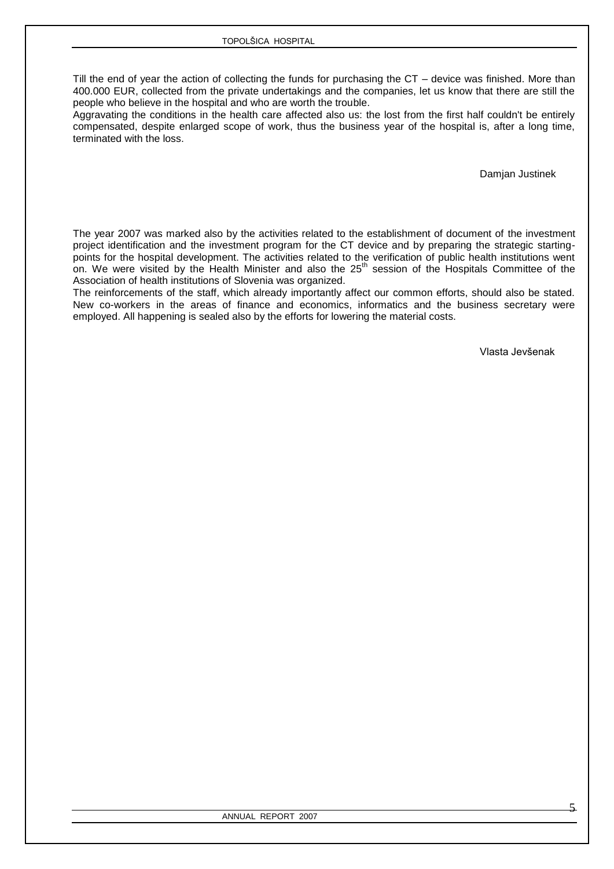Till the end of year the action of collecting the funds for purchasing the CT – device was finished. More than 400.000 EUR, collected from the private undertakings and the companies, let us know that there are still the people who believe in the hospital and who are worth the trouble.

Aggravating the conditions in the health care affected also us: the lost from the first half couldn't be entirely compensated, despite enlarged scope of work, thus the business year of the hospital is, after a long time, terminated with the loss.

Damjan Justinek

The year 2007 was marked also by the activities related to the establishment of document of the investment project identification and the investment program for the CT device and by preparing the strategic startingpoints for the hospital development. The activities related to the verification of public health institutions went on. We were visited by the Health Minister and also the 25<sup>th</sup> session of the Hospitals Committee of the Association of health institutions of Slovenia was organized.

The reinforcements of the staff, which already importantly affect our common efforts, should also be stated. New co-workers in the areas of finance and economics, informatics and the business secretary were employed. All happening is sealed also by the efforts for lowering the material costs.

Vlasta Jevšenak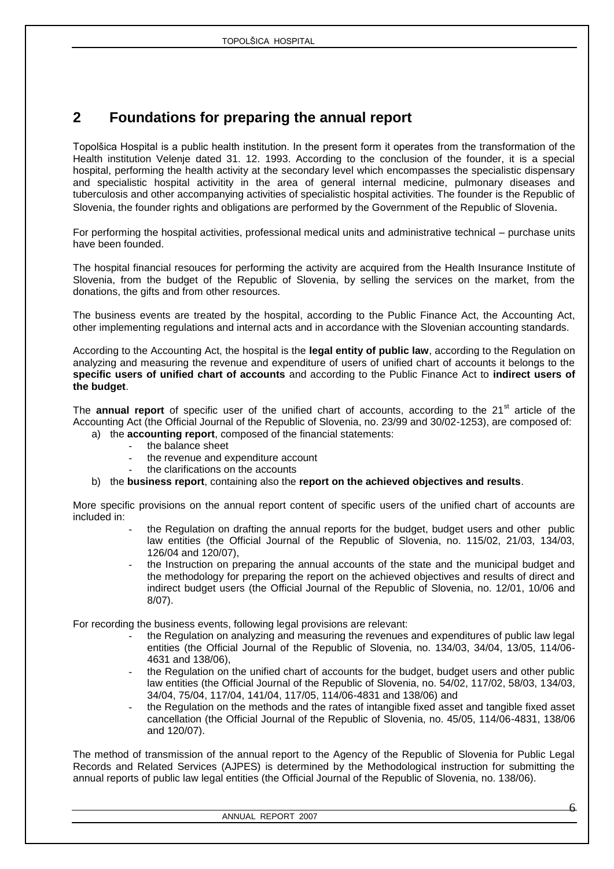# <span id="page-5-0"></span>**2 Foundations for preparing the annual report**

Topolšica Hospital is a public health institution. In the present form it operates from the transformation of the Health institution Velenje dated 31. 12. 1993. According to the conclusion of the founder, it is a special hospital, performing the health activity at the secondary level which encompasses the specialistic dispensary and specialistic hospital activitity in the area of general internal medicine, pulmonary diseases and tuberculosis and other accompanying activities of specialistic hospital activities. The founder is the Republic of Slovenia, the founder rights and obligations are performed by the Government of the Republic of Slovenia.

For performing the hospital activities, professional medical units and administrative technical – purchase units have been founded.

The hospital financial resouces for performing the activity are acquired from the Health Insurance Institute of Slovenia, from the budget of the Republic of Slovenia, by selling the services on the market, from the donations, the gifts and from other resources.

The business events are treated by the hospital, according to the Public Finance Act, the Accounting Act, other implementing regulations and internal acts and in accordance with the Slovenian accounting standards.

According to the Accounting Act, the hospital is the **legal entity of public law**, according to the Regulation on analyzing and measuring the revenue and expenditure of users of unified chart of accounts it belongs to the **specific users of unified chart of accounts** and according to the Public Finance Act to **indirect users of the budget**.

The **annual report** of specific user of the unified chart of accounts, according to the 21<sup>st</sup> article of the Accounting Act (the Official Journal of the Republic of Slovenia, no. 23/99 and 30/02-1253), are composed of:

- a) the **accounting report**, composed of the financial statements:
	- the balance sheet
	- the revenue and expenditure account
	- the clarifications on the accounts

### b) the **business report**, containing also the **report on the achieved objectives and results**.

More specific provisions on the annual report content of specific users of the unified chart of accounts are included in:

- the Regulation on drafting the annual reports for the budget, budget users and other public law entities (the Official Journal of the Republic of Slovenia, no. 115/02, 21/03, 134/03, 126/04 and 120/07),
- the Instruction on preparing the annual accounts of the state and the municipal budget and the methodology for preparing the report on the achieved objectives and results of direct and indirect budget users (the Official Journal of the Republic of Slovenia, no. 12/01, 10/06 and 8/07).

For recording the business events, following legal provisions are relevant:

- the Regulation on analyzing and measuring the revenues and expenditures of public law legal entities (the Official Journal of the Republic of Slovenia, no. 134/03, 34/04, 13/05, 114/06- 4631 and 138/06),
- the Regulation on the unified chart of accounts for the budget, budget users and other public law entities (the Official Journal of the Republic of Slovenia, no. 54/02, 117/02, 58/03, 134/03, 34/04, 75/04, 117/04, 141/04, 117/05, 114/06-4831 and 138/06) and
- the Regulation on the methods and the rates of intangible fixed asset and tangible fixed asset cancellation (the Official Journal of the Republic of Slovenia, no. 45/05, 114/06-4831, 138/06 and 120/07).

The method of transmission of the annual report to the Agency of the Republic of Slovenia for Public Legal Records and Related Services (AJPES) is determined by the Methodological instruction for submitting the annual reports of public law legal entities (the Official Journal of the Republic of Slovenia, no. 138/06).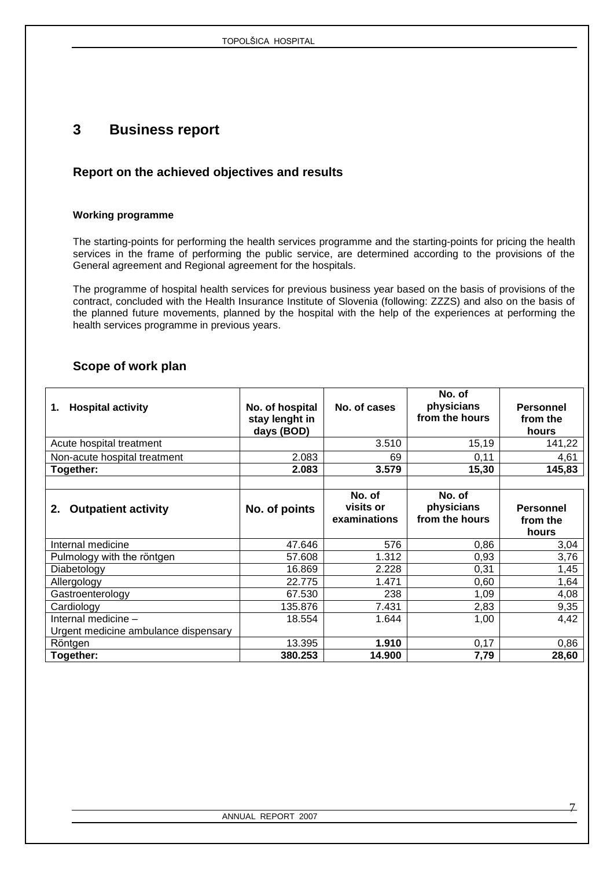# <span id="page-6-0"></span>**3 Business report**

### <span id="page-6-1"></span>**Report on the achieved objectives and results**

### <span id="page-6-2"></span>**Working programme**

The starting-points for performing the health services programme and the starting-points for pricing the health services in the frame of performing the public service, are determined according to the provisions of the General agreement and Regional agreement for the hospitals.

The programme of hospital health services for previous business year based on the basis of provisions of the contract, concluded with the Health Insurance Institute of Slovenia (following: ZZZS) and also on the basis of the planned future movements, planned by the hospital with the help of the experiences at performing the health services programme in previous years.

### **Scope of work plan**

| <b>Hospital activity</b><br>1.                              | No. of hospital<br>stay lenght in<br>days (BOD) | No. of cases                        | No. of<br>physicians<br>from the hours | <b>Personnel</b><br>from the<br>hours |
|-------------------------------------------------------------|-------------------------------------------------|-------------------------------------|----------------------------------------|---------------------------------------|
| Acute hospital treatment                                    |                                                 | 3.510                               | 15,19                                  | 141,22                                |
| Non-acute hospital treatment                                | 2.083                                           | 69                                  | 0,11                                   | 4,61                                  |
| Together:                                                   | 2.083                                           | 3.579                               | 15,30                                  | 145,83                                |
| <b>Outpatient activity</b><br>2.                            | No. of points                                   | No. of<br>visits or<br>examinations | No. of<br>physicians<br>from the hours | <b>Personnel</b><br>from the<br>hours |
| Internal medicine                                           | 47.646                                          | 576                                 | 0,86                                   | 3,04                                  |
| Pulmology with the röntgen                                  | 57.608                                          | 1.312                               | 0,93                                   | 3,76                                  |
| Diabetology                                                 | 16.869                                          | 2.228                               | 0,31                                   | 1,45                                  |
| Allergology                                                 | 22.775                                          | 1.471                               | 0,60                                   | 1,64                                  |
| Gastroenterology                                            | 67.530                                          | 238                                 | 1,09                                   | 4,08                                  |
| Cardiology                                                  | 135.876                                         | 7.431                               | 2,83                                   | 9,35                                  |
| Internal medicine -<br>Urgent medicine ambulance dispensary | 18.554                                          | 1.644                               | 1,00                                   | 4,42                                  |
| Röntgen                                                     | 13.395                                          | 1.910                               | 0,17                                   | 0,86                                  |
| Together:                                                   | 380.253                                         | 14.900                              | 7,79                                   | 28,60                                 |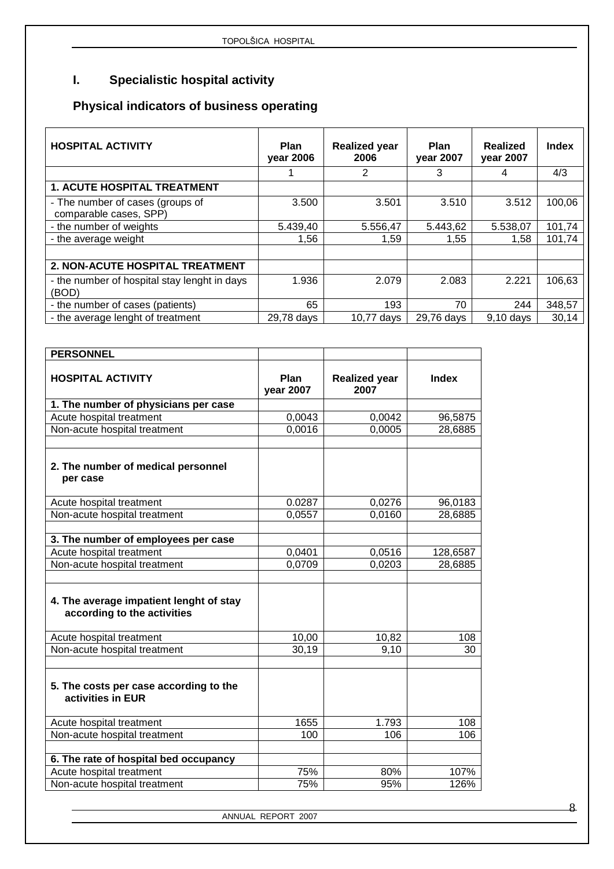# **I. Specialistic hospital activity**

# **Physical indicators of business operating**

| <b>HOSPITAL ACTIVITY</b>                                   | <b>Plan</b><br>year 2006 | <b>Realized year</b><br>2006 | <b>Plan</b><br>year 2007 | Realized<br>year 2007 | <b>Index</b> |
|------------------------------------------------------------|--------------------------|------------------------------|--------------------------|-----------------------|--------------|
|                                                            |                          | 2                            | 3                        | 4                     | 4/3          |
| <b>1. ACUTE HOSPITAL TREATMENT</b>                         |                          |                              |                          |                       |              |
| - The number of cases (groups of<br>comparable cases, SPP) | 3.500                    | 3.501                        | 3.510                    | 3.512                 | 100,06       |
| - the number of weights                                    | 5.439,40                 | 5.556,47                     | 5.443,62                 | 5.538,07              | 101,74       |
| - the average weight                                       | 1,56                     | 1,59                         | 1,55                     | 1.58                  | 101,74       |
|                                                            |                          |                              |                          |                       |              |
| 2. NON-ACUTE HOSPITAL TREATMENT                            |                          |                              |                          |                       |              |
| - the number of hospital stay lenght in days<br>(BOD)      | 1.936                    | 2.079                        | 2.083                    | 2.221                 | 106,63       |
| - the number of cases (patients)                           | 65                       | 193                          | 70                       | 244                   | 348,57       |
| - the average lenght of treatment                          | 29,78 days               | 10.77 days                   | 29,76 days               | $9.10$ days           | 30,14        |

| <b>PERSONNEL</b>                                                       |                          |                              |              |
|------------------------------------------------------------------------|--------------------------|------------------------------|--------------|
| <b>HOSPITAL ACTIVITY</b>                                               | Plan<br><b>vear 2007</b> | <b>Realized year</b><br>2007 | <b>Index</b> |
| 1. The number of physicians per case                                   |                          |                              |              |
| Acute hospital treatment                                               | 0,0043                   | 0,0042                       | 96,5875      |
| Non-acute hospital treatment                                           | 0,0016                   | 0,0005                       | 28,6885      |
| 2. The number of medical personnel<br>per case                         |                          |                              |              |
| Acute hospital treatment                                               | 0.0287                   | 0,0276                       | 96,0183      |
| Non-acute hospital treatment                                           | 0,0557                   | 0,0160                       | 28,6885      |
| 3. The number of employees per case                                    |                          |                              |              |
| Acute hospital treatment                                               | 0,0401                   | 0,0516                       | 128,6587     |
| Non-acute hospital treatment                                           | 0,0709                   | 0,0203                       | 28,6885      |
| 4. The average impatient lenght of stay<br>according to the activities |                          |                              |              |
| Acute hospital treatment                                               | 10,00                    | 10,82                        | 108          |
| Non-acute hospital treatment                                           | 30,19                    | 9,10                         | 30           |
| 5. The costs per case according to the<br>activities in EUR            |                          |                              |              |
| Acute hospital treatment                                               | 1655                     | 1.793                        | 108          |
| Non-acute hospital treatment                                           | 100                      | 106                          | 106          |
| 6. The rate of hospital bed occupancy                                  |                          |                              |              |
| Acute hospital treatment                                               | 75%                      | 80%                          | 107%         |
| Non-acute hospital treatment                                           | 75%                      | 95%                          | 126%         |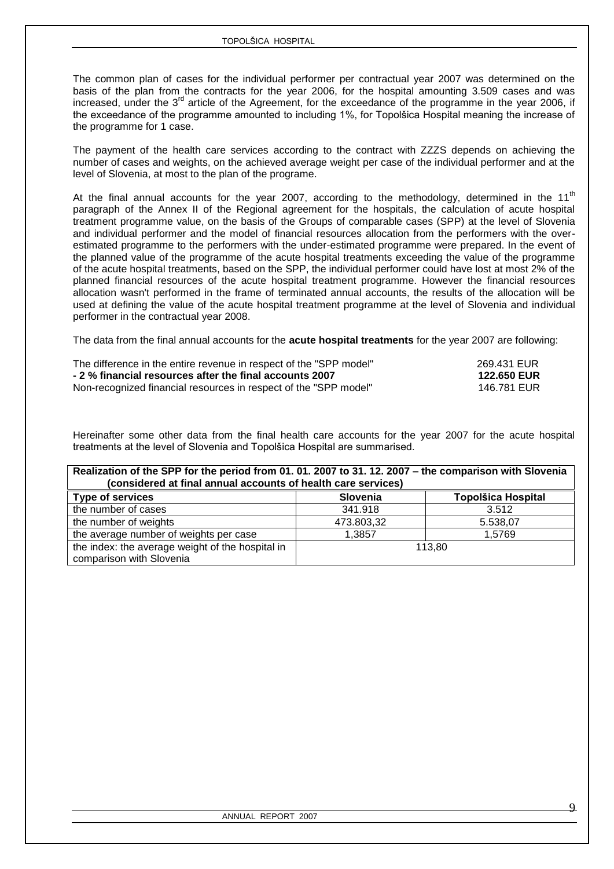The common plan of cases for the individual performer per contractual year 2007 was determined on the basis of the plan from the contracts for the year 2006, for the hospital amounting 3.509 cases and was increased, under the 3<sup>rd</sup> article of the Agreement, for the exceedance of the programme in the year 2006, if the exceedance of the programme amounted to including 1%, for Topolšica Hospital meaning the increase of the programme for 1 case.

The payment of the health care services according to the contract with ZZZS depends on achieving the number of cases and weights, on the achieved average weight per case of the individual performer and at the level of Slovenia, at most to the plan of the programe.

At the final annual accounts for the year 2007, according to the methodology, determined in the 11<sup>th</sup> paragraph of the Annex II of the Regional agreement for the hospitals, the calculation of acute hospital treatment programme value, on the basis of the Groups of comparable cases (SPP) at the level of Slovenia and individual performer and the model of financial resources allocation from the performers with the overestimated programme to the performers with the under-estimated programme were prepared. In the event of the planned value of the programme of the acute hospital treatments exceeding the value of the programme of the acute hospital treatments, based on the SPP, the individual performer could have lost at most 2% of the planned financial resources of the acute hospital treatment programme. However the financial resources allocation wasn't performed in the frame of terminated annual accounts, the results of the allocation will be used at defining the value of the acute hospital treatment programme at the level of Slovenia and individual performer in the contractual year 2008.

The data from the final annual accounts for the **acute hospital treatments** for the year 2007 are following:

| The difference in the entire revenue in respect of the "SPP model" | 269.431 EUR        |
|--------------------------------------------------------------------|--------------------|
| - 2 % financial resources after the final accounts 2007            | <b>122.650 EUR</b> |
| Non-recognized financial resources in respect of the "SPP model"   | 146.781 EUR        |

Hereinafter some other data from the final health care accounts for the year 2007 for the acute hospital treatments at the level of Slovenia and Topolšica Hospital are summarised.

| Realization of the SPP for the period from 01. 01. 2007 to 31. 12. 2007 - the comparison with Slovenia<br>(considered at final annual accounts of health care services) |            |                           |  |  |  |
|-------------------------------------------------------------------------------------------------------------------------------------------------------------------------|------------|---------------------------|--|--|--|
| <b>Type of services</b>                                                                                                                                                 | Slovenia   | <b>Topolšica Hospital</b> |  |  |  |
| the number of cases                                                                                                                                                     | 341.918    | 3.512                     |  |  |  |
| the number of weights                                                                                                                                                   | 473.803,32 | 5.538.07                  |  |  |  |
| the average number of weights per case                                                                                                                                  | 1.3857     | 1.5769                    |  |  |  |
| the index: the average weight of the hospital in<br>comparison with Slovenia                                                                                            |            | 113.80                    |  |  |  |

 $\overline{Q}$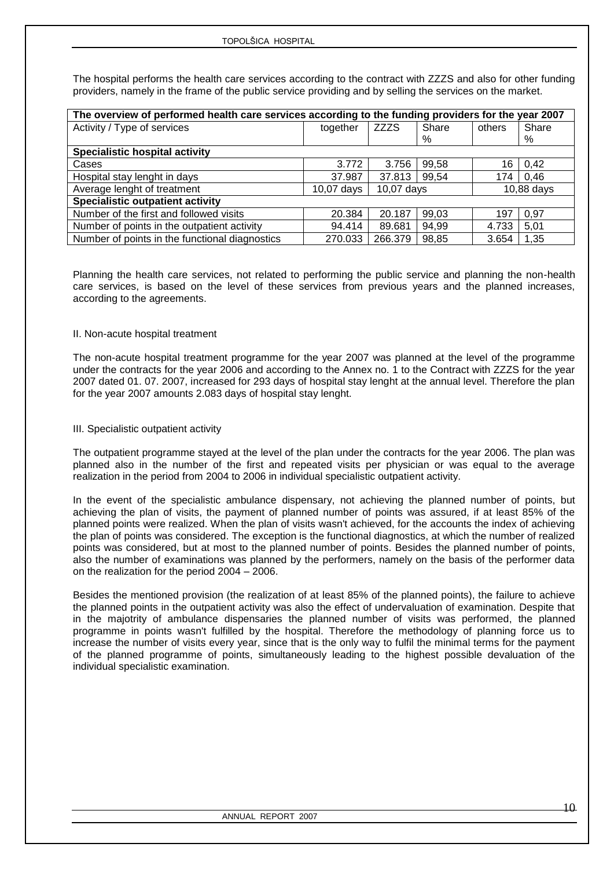The hospital performs the health care services according to the contract with ZZZS and also for other funding providers, namely in the frame of the public service providing and by selling the services on the market.

| The overview of performed health care services according to the funding providers for the year 2007 |                                          |             |       |        |       |  |
|-----------------------------------------------------------------------------------------------------|------------------------------------------|-------------|-------|--------|-------|--|
| Activity / Type of services                                                                         | together                                 | <b>ZZZS</b> | Share | others | Share |  |
|                                                                                                     |                                          |             | %     |        | %     |  |
| <b>Specialistic hospital activity</b>                                                               |                                          |             |       |        |       |  |
| Cases                                                                                               | 3.772                                    | 3.756       | 99,58 | 16     | 0,42  |  |
| Hospital stay lenght in days                                                                        | 37.987                                   | 37.813      | 99,54 | 174    | 0.46  |  |
| Average lenght of treatment                                                                         | 10,07 days<br>10,88 days<br>$10,07$ days |             |       |        |       |  |
| <b>Specialistic outpatient activity</b>                                                             |                                          |             |       |        |       |  |
| Number of the first and followed visits                                                             | 20.384                                   | 20.187      | 99,03 | 197    | 0,97  |  |
| Number of points in the outpatient activity                                                         | 94.414                                   | 89.681      | 94,99 | 4.733  | 5.01  |  |
| Number of points in the functional diagnostics                                                      | 270.033                                  | 266.379     | 98,85 | 3.654  | 1,35  |  |

Planning the health care services, not related to performing the public service and planning the non-health care services, is based on the level of these services from previous years and the planned increases, according to the agreements.

### II. Non-acute hospital treatment

The non-acute hospital treatment programme for the year 2007 was planned at the level of the programme under the contracts for the year 2006 and according to the Annex no. 1 to the Contract with ZZZS for the year 2007 dated 01. 07. 2007, increased for 293 days of hospital stay lenght at the annual level. Therefore the plan for the year 2007 amounts 2.083 days of hospital stay lenght.

### III. Specialistic outpatient activity

The outpatient programme stayed at the level of the plan under the contracts for the year 2006. The plan was planned also in the number of the first and repeated visits per physician or was equal to the average realization in the period from 2004 to 2006 in individual specialistic outpatient activity.

In the event of the specialistic ambulance dispensary, not achieving the planned number of points, but achieving the plan of visits, the payment of planned number of points was assured, if at least 85% of the planned points were realized. When the plan of visits wasn't achieved, for the accounts the index of achieving the plan of points was considered. The exception is the functional diagnostics, at which the number of realized points was considered, but at most to the planned number of points. Besides the planned number of points, also the number of examinations was planned by the performers, namely on the basis of the performer data on the realization for the period 2004 – 2006.

Besides the mentioned provision (the realization of at least 85% of the planned points), the failure to achieve the planned points in the outpatient activity was also the effect of undervaluation of examination. Despite that in the majotrity of ambulance dispensaries the planned number of visits was performed, the planned programme in points wasn't fulfilled by the hospital. Therefore the methodology of planning force us to increase the number of visits every year, since that is the only way to fulfil the minimal terms for the payment of the planned programme of points, simultaneously leading to the highest possible devaluation of the individual specialistic examination.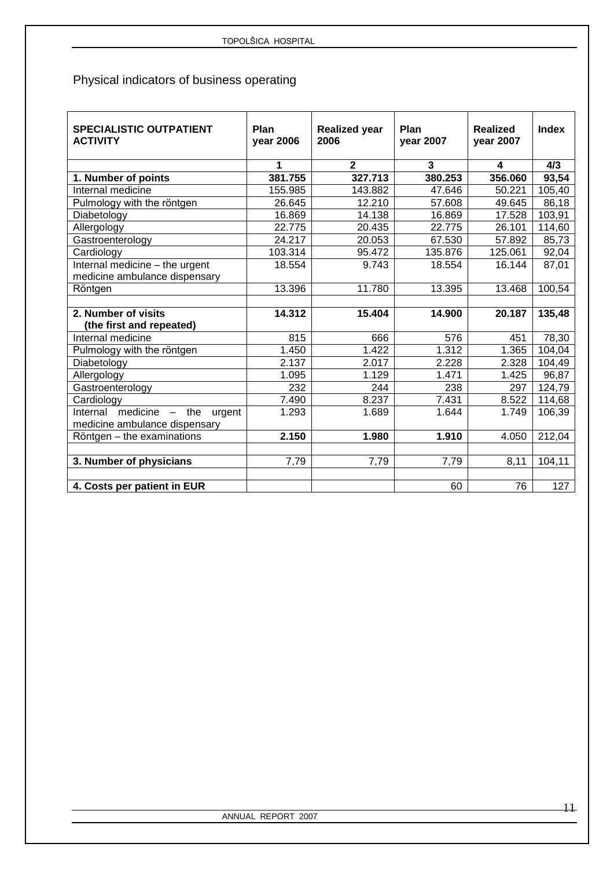# Physical indicators of business operating

| <b>SPECIALISTIC OUTPATIENT</b><br><b>ACTIVITY</b> | Plan<br>year 2006 | <b>Realized year</b><br>2006 | Plan<br>year 2007 | <b>Realized</b><br>year 2007 | Index  |
|---------------------------------------------------|-------------------|------------------------------|-------------------|------------------------------|--------|
|                                                   | 1                 | $\overline{2}$               | 3                 | 4                            | 4/3    |
| 1. Number of points                               | 381.755           | 327.713                      | 380.253           | 356.060                      | 93,54  |
| Internal medicine                                 | 155.985           | 143.882                      | 47.646            | 50.221                       | 105,40 |
| Pulmology with the röntgen                        | 26.645            | 12.210                       | 57.608            | 49.645                       | 86,18  |
| Diabetology                                       | 16.869            | 14.138                       | 16.869            | 17.528                       | 103,91 |
| Allergology                                       | 22.775            | 20.435                       | 22.775            | 26.101                       | 114,60 |
| Gastroenterology                                  | 24.217            | 20.053                       | 67.530            | 57.892                       | 85,73  |
| Cardiology                                        | 103.314           | 95.472                       | 135.876           | 125.061                      | 92,04  |
| Internal medicine - the urgent                    | 18.554            | 9.743                        | 18.554            | 16.144                       | 87,01  |
| medicine ambulance dispensary                     |                   |                              |                   |                              |        |
| Röntgen                                           | 13.396            | 11.780                       | 13.395            | 13.468                       | 100,54 |
|                                                   |                   |                              |                   |                              |        |
| 2. Number of visits                               | 14.312            | 15.404                       | 14.900            | 20.187                       | 135,48 |
| (the first and repeated)                          |                   |                              |                   |                              |        |
| Internal medicine                                 | 815               | 666                          | 576               | 451                          | 78,30  |
| Pulmology with the röntgen                        | 1.450             | 1.422                        | 1.312             | 1.365                        | 104,04 |
| Diabetology                                       | 2.137             | 2.017                        | 2.228             | 2.328                        | 104,49 |
| Allergology                                       | 1.095             | 1.129                        | 1.471             | 1.425                        | 96,87  |
| Gastroenterology                                  | 232               | 244                          | 238               | 297                          | 124,79 |
| Cardiology                                        | 7.490             | 8.237                        | 7.431             | 8.522                        | 114,68 |
| $mediate - the$<br>Internal<br>urgent             | 1.293             | 1.689                        | 1.644             | 1.749                        | 106,39 |
| medicine ambulance dispensary                     |                   |                              |                   |                              |        |
| Röntgen - the examinations                        | 2.150             | 1.980                        | 1.910             | 4.050                        | 212,04 |
|                                                   |                   |                              |                   |                              |        |
| 3. Number of physicians                           | 7,79              | 7,79                         | 7,79              | 8,11                         | 104,11 |
|                                                   |                   |                              |                   |                              |        |
| 4. Costs per patient in EUR                       |                   |                              | 60                | 76                           | 127    |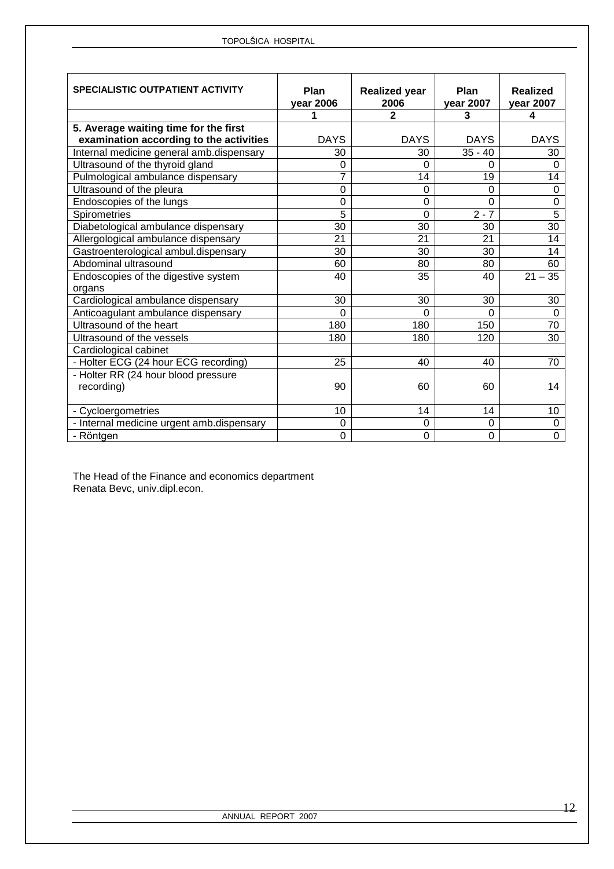| <b>SPECIALISTIC OUTPATIENT ACTIVITY</b>   | Plan<br>year 2006 | <b>Realized year</b><br>2006 | Plan<br>year 2007 | <b>Realized</b><br>year 2007 |
|-------------------------------------------|-------------------|------------------------------|-------------------|------------------------------|
|                                           | 1                 | $\mathbf{2}$                 | 3                 | 4                            |
| 5. Average waiting time for the first     |                   |                              |                   |                              |
| examination according to the activities   | <b>DAYS</b>       | <b>DAYS</b>                  | <b>DAYS</b>       | <b>DAYS</b>                  |
| Internal medicine general amb.dispensary  | 30                | 30                           | $35 - 40$         | 30                           |
| Ultrasound of the thyroid gland           | 0                 | 0                            | $\Omega$          | $\Omega$                     |
| Pulmological ambulance dispensary         | 7                 | 14                           | 19                | 14                           |
| Ultrasound of the pleura                  | 0                 | 0                            | $\Omega$          | $\mathbf 0$                  |
| Endoscopies of the lungs                  | 0                 | 0                            | $\Omega$          | $\pmb{0}$                    |
| Spirometries                              | 5                 | $\overline{0}$               | $2 - 7$           | $\overline{5}$               |
| Diabetological ambulance dispensary       | 30                | $\overline{30}$              | 30                | $\overline{30}$              |
| Allergological ambulance dispensary       | 21                | 21                           | 21                | 14                           |
| Gastroenterological ambul.dispensary      | 30                | 30                           | 30                | 14                           |
| Abdominal ultrasound                      | 60                | 80                           | 80                | 60                           |
| Endoscopies of the digestive system       | 40                | 35                           | 40                | $21 - 35$                    |
| organs                                    |                   |                              |                   |                              |
| Cardiological ambulance dispensary        | 30                | 30                           | 30                | 30                           |
| Anticoagulant ambulance dispensary        | $\Omega$          | 0                            | $\Omega$          | $\Omega$                     |
| Ultrasound of the heart                   | 180               | 180                          | 150               | 70                           |
| Ultrasound of the vessels                 | 180               | 180                          | 120               | 30                           |
| Cardiological cabinet                     |                   |                              |                   |                              |
| - Holter ECG (24 hour ECG recording)      | 25                | 40                           | 40                | 70                           |
| - Holter RR (24 hour blood pressure       |                   |                              |                   |                              |
| recording)                                | 90                | 60                           | 60                | 14                           |
|                                           |                   |                              |                   |                              |
| - Cycloergometries                        | 10                | 14                           | 14                | 10 <sup>1</sup>              |
| - Internal medicine urgent amb.dispensary | 0                 | 0                            | 0                 | 0                            |
| - Röntgen                                 | 0                 | 0                            | $\overline{0}$    | $\overline{0}$               |

The Head of the Finance and economics department Renata Bevc, univ.dipl.econ.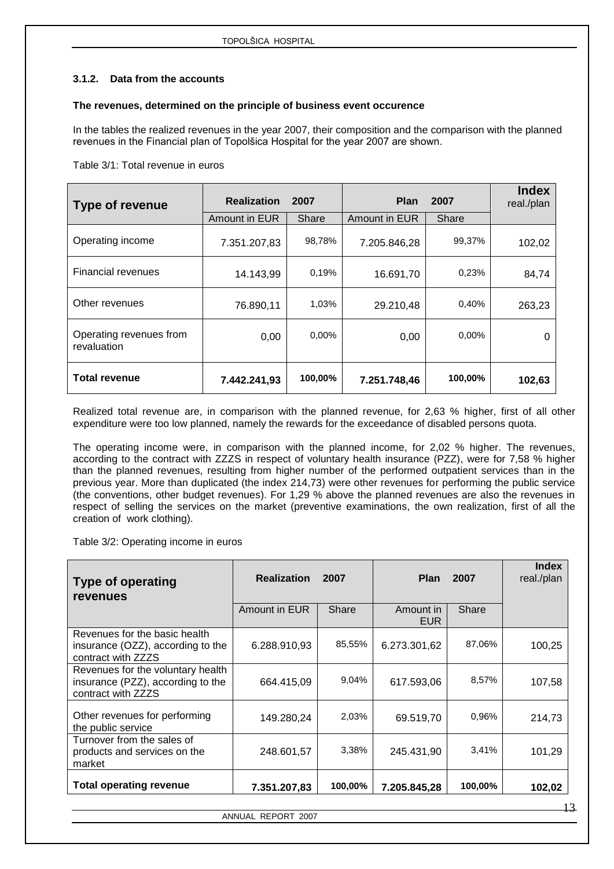### <span id="page-12-0"></span>**3.1.2. Data from the accounts**

### **The revenues, determined on the principle of business event occurence**

In the tables the realized revenues in the year 2007, their composition and the comparison with the planned revenues in the Financial plan of Topolšica Hospital for the year 2007 are shown.

Table 3/1: Total revenue in euros

| Type of revenue                        | <b>Realization</b> | 2007    | <b>Plan</b>   | 2007    | <b>Index</b><br>real./plan |
|----------------------------------------|--------------------|---------|---------------|---------|----------------------------|
|                                        | Amount in EUR      | Share   | Amount in EUR | Share   |                            |
| Operating income                       | 7.351.207,83       | 98,78%  | 7.205.846,28  | 99,37%  | 102,02                     |
| <b>Financial revenues</b>              | 14.143,99          | 0.19%   | 16.691,70     | 0,23%   | 84,74                      |
| Other revenues                         | 76.890,11          | 1,03%   | 29.210,48     | 0,40%   | 263,23                     |
| Operating revenues from<br>revaluation | 0,00               | 0,00%   | 0,00          | 0,00%   | 0                          |
| <b>Total revenue</b>                   | 7.442.241,93       | 100,00% | 7.251.748,46  | 100,00% | 102,63                     |

Realized total revenue are, in comparison with the planned revenue, for 2,63 % higher, first of all other expenditure were too low planned, namely the rewards for the exceedance of disabled persons quota.

The operating income were, in comparison with the planned income, for 2,02 % higher. The revenues, according to the contract with ZZZS in respect of voluntary health insurance (PZZ), were for 7,58 % higher than the planned revenues, resulting from higher number of the performed outpatient services than in the previous year. More than duplicated (the index 214,73) were other revenues for performing the public service (the conventions, other budget revenues). For 1,29 % above the planned revenues are also the revenues in respect of selling the services on the market (preventive examinations, the own realization, first of all the creation of work clothing).

Table 3/2: Operating income in euros

| <b>Type of operating</b><br>revenues                                                         | <b>Realization</b> | 2007    | <b>Plan</b>             | 2007    | <b>Index</b><br>real./plan |
|----------------------------------------------------------------------------------------------|--------------------|---------|-------------------------|---------|----------------------------|
|                                                                                              | Amount in EUR      | Share   | Amount in<br><b>EUR</b> | Share   |                            |
| Revenues for the basic health<br>insurance (OZZ), according to the<br>contract with ZZZS     | 6.288.910,93       | 85,55%  | 6.273.301,62            | 87,06%  | 100,25                     |
| Revenues for the voluntary health<br>insurance (PZZ), according to the<br>contract with ZZZS | 664.415,09         | 9,04%   | 617.593,06              | 8,57%   | 107,58                     |
| Other revenues for performing<br>the public service                                          | 149.280,24         | 2,03%   | 69.519,70               | 0.96%   | 214,73                     |
| Turnover from the sales of<br>products and services on the<br>market                         | 248.601,57         | 3,38%   | 245.431.90              | 3,41%   | 101,29                     |
| <b>Total operating revenue</b>                                                               | 7.351.207,83       | 100,00% | 7.205.845,28            | 100,00% | 102,02                     |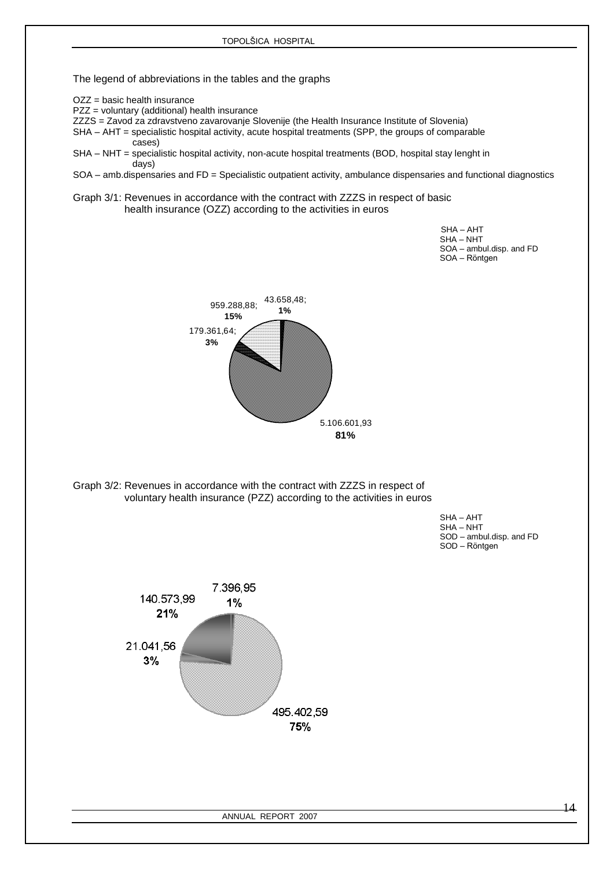The legend of abbreviations in the tables and the graphs

OZZ = basic health insurance

PZZ = voluntary (additional) health insurance

ZZZS = Zavod za zdravstveno zavarovanje Slovenije (the Health Insurance Institute of Slovenia)

SHA – AHT = specialistic hospital activity, acute hospital treatments (SPP, the groups of comparable cases)

SHA – NHT = specialistic hospital activity, non-acute hospital treatments (BOD, hospital stay lenght in days)

SOA – amb.dispensaries and FD = Specialistic outpatient activity, ambulance dispensaries and functional diagnostics

Graph 3/1: Revenues in accordance with the contract with ZZZS in respect of basic health insurance (OZZ) according to the activities in euros

 SHA – AHT SHA – NHT SOA – ambul.disp. and FD SOA – Röntgen



Graph 3/2: Revenues in accordance with the contract with ZZZS in respect of voluntary health insurance (PZZ) according to the activities in euros

 SHA – AHT SHA – NHT SOD – ambul.disp. and FD SOD – Röntgen

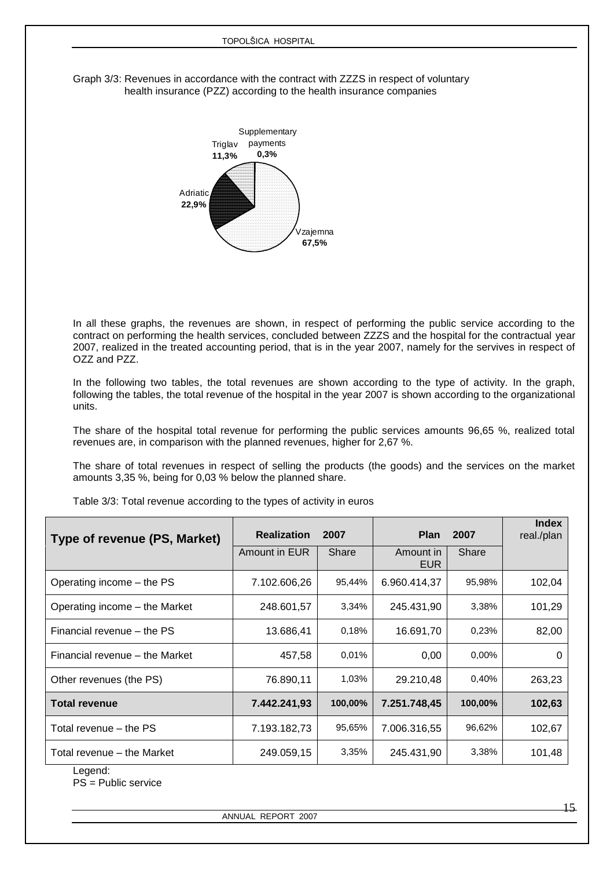Graph 3/3: Revenues in accordance with the contract with ZZZS in respect of voluntary health insurance (PZZ) according to the health insurance companies



In all these graphs, the revenues are shown, in respect of performing the public service according to the contract on performing the health services, concluded between ZZZS and the hospital for the contractual year 2007, realized in the treated accounting period, that is in the year 2007, namely for the servives in respect of OZZ and PZZ.

In the following two tables, the total revenues are shown according to the type of activity. In the graph, following the tables, the total revenue of the hospital in the year 2007 is shown according to the organizational units.

The share of the hospital total revenue for performing the public services amounts 96,65 %, realized total revenues are, in comparison with the planned revenues, higher for 2,67 %.

The share of total revenues in respect of selling the products (the goods) and the services on the market amounts 3,35 %, being for 0,03 % below the planned share.

| Type of revenue (PS, Market)   | <b>Realization</b> | 2007    | <b>Plan</b>             | 2007     | <b>Index</b><br>real./plan |
|--------------------------------|--------------------|---------|-------------------------|----------|----------------------------|
|                                | Amount in EUR      | Share   | Amount in<br><b>EUR</b> | Share    |                            |
| Operating income – the PS      | 7.102.606,26       | 95,44%  | 6.960.414,37            | 95,98%   | 102,04                     |
| Operating income – the Market  | 248.601,57         | 3,34%   | 245.431,90              | 3,38%    | 101,29                     |
| Financial revenue – the PS     | 13.686,41          | 0,18%   | 16.691,70               | 0,23%    | 82,00                      |
| Financial revenue – the Market | 457,58             | 0,01%   | 0,00                    | $0,00\%$ | 0                          |
| Other revenues (the PS)        | 76.890,11          | 1,03%   | 29.210,48               | 0,40%    | 263,23                     |
| <b>Total revenue</b>           | 7.442.241,93       | 100,00% | 7.251.748,45            | 100,00%  | 102,63                     |
| Total revenue – the PS         | 7.193.182,73       | 95,65%  | 7.006.316,55            | 96,62%   | 102,67                     |
| Total revenue – the Market     | 249.059.15         | 3,35%   | 245.431,90              | 3,38%    | 101,48                     |

Table 3/3: Total revenue according to the types of activity in euros

Legend:

PS = Public service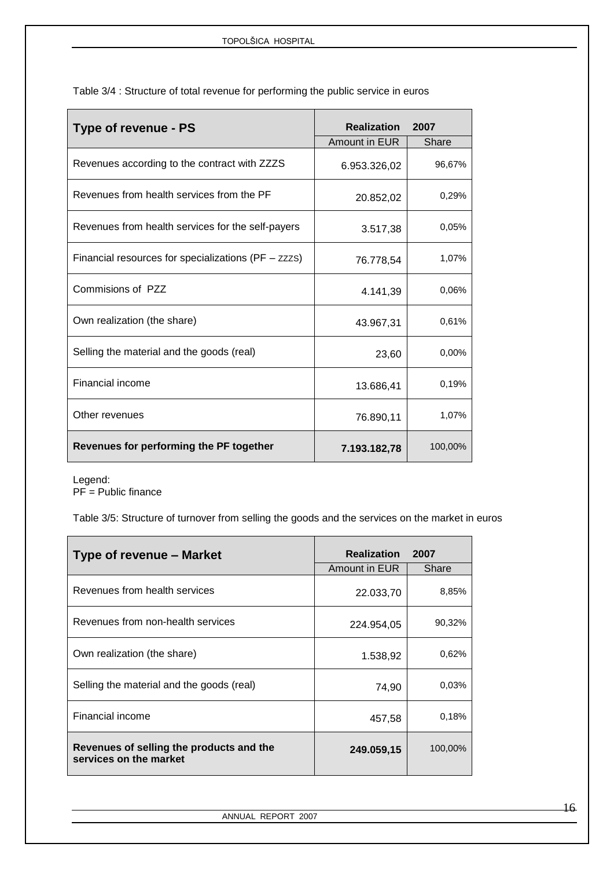| Type of revenue - PS                                | <b>Realization</b> | 2007     |
|-----------------------------------------------------|--------------------|----------|
|                                                     | Amount in EUR      | Share    |
| Revenues according to the contract with ZZZS        | 6.953.326,02       | 96,67%   |
| Revenues from health services from the PF           | 20.852,02          | 0,29%    |
| Revenues from health services for the self-payers   | 3.517,38           | 0.05%    |
| Financial resources for specializations (PF - zzzs) | 76.778,54          | 1,07%    |
| Commisions of PZZ                                   | 4.141,39           | 0.06%    |
| Own realization (the share)                         | 43.967,31          | 0,61%    |
| Selling the material and the goods (real)           | 23,60              | $0.00\%$ |
| <b>Financial income</b>                             | 13.686,41          | 0,19%    |
| Other revenues                                      | 76.890,11          | 1,07%    |
| Revenues for performing the PF together             | 7.193.182,78       | 100,00%  |

Table 3/4 : Structure of total revenue for performing the public service in euros

Legend: PF = Public finance

Table 3/5: Structure of turnover from selling the goods and the services on the market in euros

| Type of revenue - Market                                           | <b>Realization</b> | 2007    |
|--------------------------------------------------------------------|--------------------|---------|
|                                                                    | Amount in EUR      | Share   |
| Revenues from health services                                      | 22.033,70          | 8,85%   |
| Revenues from non-health services                                  | 224.954,05         | 90,32%  |
| Own realization (the share)                                        | 1.538,92           | 0,62%   |
| Selling the material and the goods (real)                          | 74,90              | 0.03%   |
| Financial income                                                   | 457,58             | 0.18%   |
| Revenues of selling the products and the<br>services on the market | 249.059,15         | 100,00% |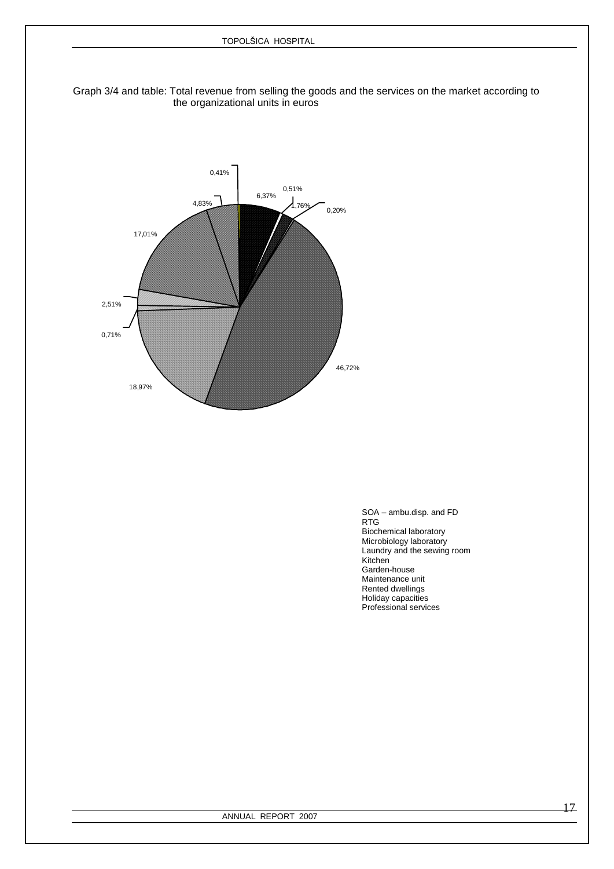### Graph 3/4 and table: Total revenue from selling the goods and the services on the market according to the organizational units in euros



SOA – ambu.disp. and FD<br>RTG results and the control of the control of the control of the control of the control of the control of the control of the control of the control of the control of the control of the control of the control of the control of Biochemical laboratory Microbiology laboratory Laundry and the sewing room Kitchen in der Einstehen der Einstehen der Einstehen der Einstehen der Einstehen der Einstehen der Einstehen Garden-house Maintenance unit Rented dwellings Holiday capacities Professional services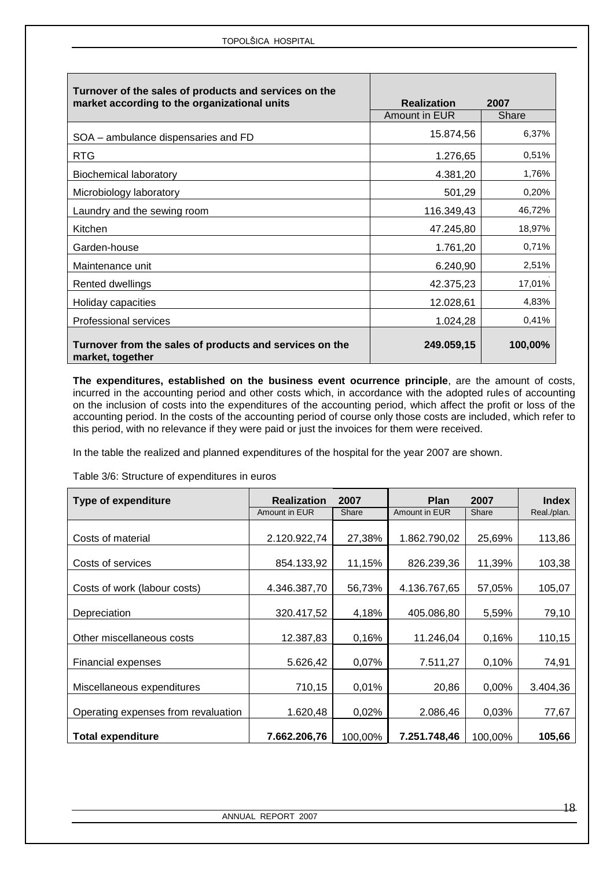| Turnover of the sales of products and services on the<br>market according to the organizational units | <b>Realization</b> | 2007    |
|-------------------------------------------------------------------------------------------------------|--------------------|---------|
|                                                                                                       | Amount in EUR      | Share   |
| SOA – ambulance dispensaries and FD                                                                   | 15.874,56          | 6,37%   |
| <b>RTG</b>                                                                                            | 1.276,65           | 0,51%   |
| <b>Biochemical laboratory</b>                                                                         | 4.381,20           | 1,76%   |
| Microbiology laboratory                                                                               | 501,29             | 0,20%   |
| Laundry and the sewing room                                                                           | 116.349,43         | 46,72%  |
| Kitchen                                                                                               | 47.245,80          | 18,97%  |
| Garden-house                                                                                          | 1.761,20           | 0,71%   |
| Maintenance unit                                                                                      | 6.240,90           | 2,51%   |
| <b>Rented dwellings</b>                                                                               | 42.375,23          | 17,01%  |
| Holiday capacities                                                                                    | 12.028,61          | 4,83%   |
| <b>Professional services</b>                                                                          | 1.024,28           | 0,41%   |
| Turnover from the sales of products and services on the<br>market, together                           | 249.059,15         | 100,00% |

**The expenditures, established on the business event ocurrence principle**, are the amount of costs, incurred in the accounting period and other costs which, in accordance with the adopted rules of accounting on the inclusion of costs into the expenditures of the accounting period, which affect the profit or loss of the accounting period. In the costs of the accounting period of course only those costs are included, which refer to this period, with no relevance if they were paid or just the invoices for them were received.

In the table the realized and planned expenditures of the hospital for the year 2007 are shown.

Table 3/6: Structure of expenditures in euros

| <b>Type of expenditure</b>          | <b>Realization</b> | 2007    | <b>Plan</b>   | 2007    | <b>Index</b> |
|-------------------------------------|--------------------|---------|---------------|---------|--------------|
|                                     | Amount in EUR      | Share   | Amount in EUR | Share   | Real./plan.  |
|                                     |                    |         |               |         |              |
| Costs of material                   | 2.120.922,74       | 27,38%  | 1.862.790,02  | 25,69%  | 113,86       |
| Costs of services                   | 854.133,92         | 11,15%  | 826.239,36    | 11,39%  | 103,38       |
|                                     |                    |         |               |         |              |
| Costs of work (labour costs)        | 4.346.387,70       | 56,73%  | 4.136.767,65  | 57,05%  | 105,07       |
| Depreciation                        | 320.417,52         | 4,18%   | 405.086,80    | 5,59%   | 79,10        |
|                                     |                    |         |               |         |              |
| Other miscellaneous costs           | 12.387,83          | 0,16%   | 11.246,04     | 0,16%   | 110,15       |
|                                     |                    |         |               |         |              |
| Financial expenses                  | 5.626,42           | 0,07%   | 7.511,27      | 0,10%   | 74,91        |
| Miscellaneous expenditures          | 710,15             | 0,01%   | 20,86         | 0,00%   | 3.404,36     |
| Operating expenses from revaluation | 1.620,48           | 0,02%   | 2.086,46      | 0,03%   | 77,67        |
| <b>Total expenditure</b>            | 7.662.206.76       | 100,00% | 7.251.748.46  | 100,00% | 105,66       |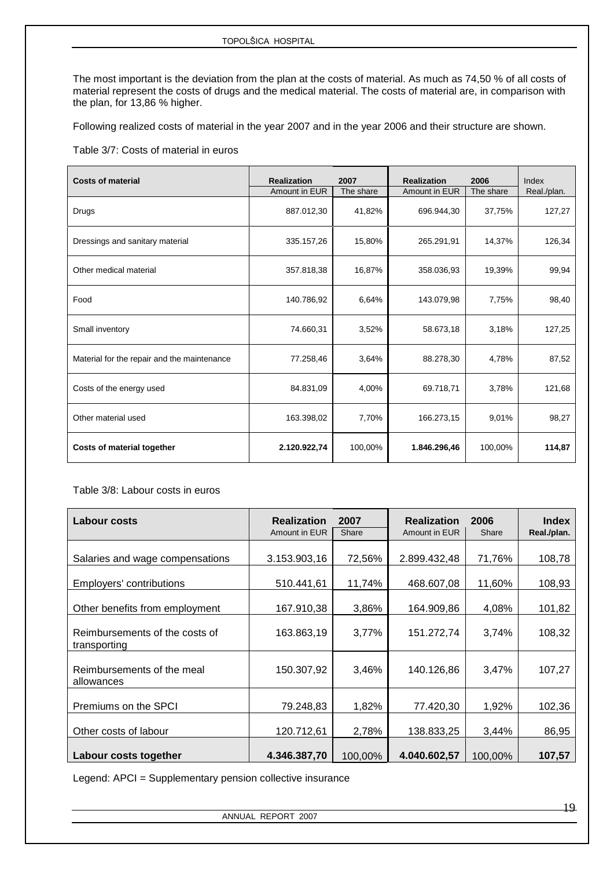The most important is the deviation from the plan at the costs of material. As much as 74,50 % of all costs of material represent the costs of drugs and the medical material. The costs of material are, in comparison with the plan, for 13,86 % higher.

Following realized costs of material in the year 2007 and in the year 2006 and their structure are shown.

### Table 3/7: Costs of material in euros

| <b>Costs of material</b>                    | <b>Realization</b> | 2007      | <b>Realization</b> | 2006      | Index       |
|---------------------------------------------|--------------------|-----------|--------------------|-----------|-------------|
|                                             | Amount in EUR      | The share | Amount in EUR      | The share | Real./plan. |
| Drugs                                       | 887.012,30         | 41,82%    | 696.944,30         | 37,75%    | 127,27      |
| Dressings and sanitary material             | 335.157,26         | 15,80%    | 265.291,91         | 14,37%    | 126,34      |
| Other medical material                      | 357.818,38         | 16,87%    | 358.036,93         | 19,39%    | 99,94       |
| Food                                        | 140.786,92         | 6,64%     | 143.079,98         | 7,75%     | 98,40       |
| Small inventory                             | 74.660,31          | 3,52%     | 58.673,18          | 3,18%     | 127,25      |
| Material for the repair and the maintenance | 77.258,46          | 3,64%     | 88.278,30          | 4.78%     | 87,52       |
| Costs of the energy used                    | 84.831,09          | 4,00%     | 69.718,71          | 3,78%     | 121,68      |
| Other material used                         | 163.398,02         | 7,70%     | 166.273,15         | 9,01%     | 98,27       |
| Costs of material together                  | 2.120.922,74       | 100,00%   | 1.846.296,46       | 100,00%   | 114,87      |

Table 3/8: Labour costs in euros

| <b>Labour costs</b>                            | <b>Realization</b> | 2007    | <b>Realization</b> | 2006    | <b>Index</b> |
|------------------------------------------------|--------------------|---------|--------------------|---------|--------------|
|                                                | Amount in EUR      | Share   | Amount in EUR      | Share   | Real./plan.  |
| Salaries and wage compensations                | 3.153.903,16       | 72,56%  | 2.899.432,48       | 71,76%  | 108,78       |
| Employers' contributions                       | 510.441,61         | 11,74%  | 468.607,08         | 11,60%  | 108,93       |
| Other benefits from employment                 | 167.910,38         | 3,86%   | 164.909,86         | 4,08%   | 101,82       |
| Reimbursements of the costs of<br>transporting | 163.863,19         | 3,77%   | 151.272,74         | 3,74%   | 108,32       |
| Reimbursements of the meal<br>allowances       | 150.307,92         | 3,46%   | 140.126,86         | 3,47%   | 107,27       |
| Premiums on the SPCI                           | 79.248,83          | 1,82%   | 77.420,30          | 1,92%   | 102,36       |
| Other costs of labour                          | 120.712,61         | 2,78%   | 138.833,25         | 3,44%   | 86,95        |
| Labour costs together                          | 4.346.387,70       | 100,00% | 4.040.602,57       | 100,00% | 107,57       |

Legend: APCI = Supplementary pension collective insurance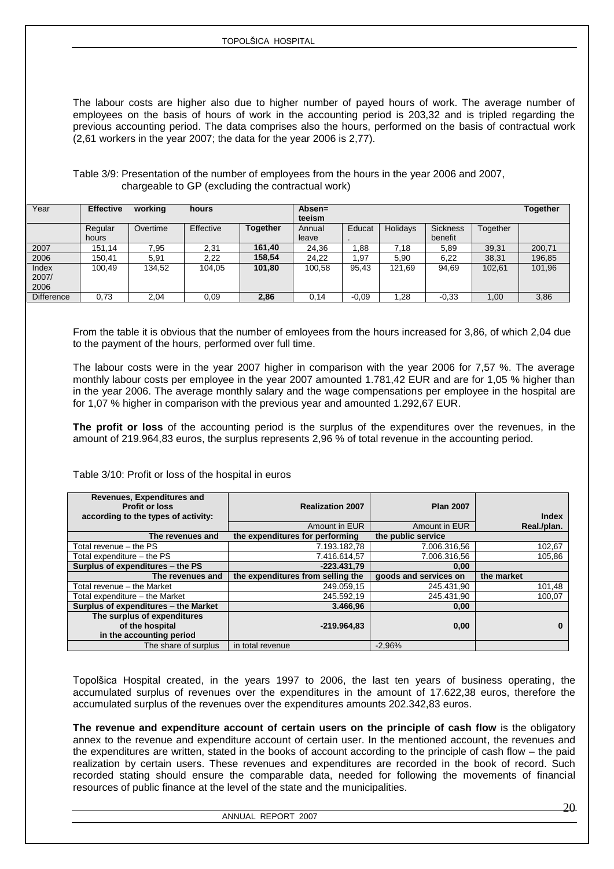The labour costs are higher also due to higher number of payed hours of work. The average number of employees on the basis of hours of work in the accounting period is 203,32 and is tripled regarding the previous accounting period. The data comprises also the hours, performed on the basis of contractual work (2,61 workers in the year 2007; the data for the year 2006 is 2,77).

Table 3/9: Presentation of the number of employees from the hours in the year 2006 and 2007, chargeable to GP (excluding the contractual work)

| Year                   | <b>Effective</b> | working  | hours     |                 | Absen=<br>teeism |         |          |                            |          | <b>Together</b> |
|------------------------|------------------|----------|-----------|-----------------|------------------|---------|----------|----------------------------|----------|-----------------|
|                        | Regular<br>hours | Overtime | Effective | <b>Together</b> | Annual<br>leave  | Educat  | Holidays | <b>Sickness</b><br>benefit | Together |                 |
| 2007                   | 151.14           | 7.95     | 2,31      | 161.40          | 24.36            | .88     | 7.18     | 5,89                       | 39,31    | 200,71          |
| 2006                   | 150.41           | 5.91     | 2,22      | 158.54          | 24.22            | .97     | 5.90     | 6,22                       | 38,31    | 196,85          |
| Index<br>2007/<br>2006 | 100.49           | 134.52   | 104.05    | 101,80          | 100.58           | 95.43   | 121.69   | 94.69                      | 102.61   | 101,96          |
| <b>Difference</b>      | 0.73             | 2,04     | 0.09      | 2.86            | 0,14             | $-0.09$ | .28      | $-0.33$                    | 1.00     | 3,86            |

From the table it is obvious that the number of emloyees from the hours increased for 3,86, of which 2,04 due to the payment of the hours, performed over full time.

The labour costs were in the year 2007 higher in comparison with the year 2006 for 7,57 %. The average monthly labour costs per employee in the year 2007 amounted 1.781,42 EUR and are for 1,05 % higher than in the year 2006. The average monthly salary and the wage compensations per employee in the hospital are for 1,07 % higher in comparison with the previous year and amounted 1.292,67 EUR.

**The profit or loss** of the accounting period is the surplus of the expenditures over the revenues, in the amount of 219.964,83 euros, the surplus represents 2,96 % of total revenue in the accounting period.

Table 3/10: Profit or loss of the hospital in euros

| Revenues, Expenditures and<br><b>Profit or loss</b><br>according to the types of activity: | <b>Realization 2007</b>           | <b>Plan 2007</b>      | <b>Index</b> |
|--------------------------------------------------------------------------------------------|-----------------------------------|-----------------------|--------------|
|                                                                                            | Amount in EUR                     | Amount in EUR         | Real./plan.  |
| The revenues and                                                                           | the expenditures for performing   | the public service    |              |
| Total revenue - the PS                                                                     | 7.193.182.78                      | 7.006.316,56          | 102,67       |
| Total expenditure – the PS                                                                 | 7.416.614.57                      | 7.006.316.56          | 105,86       |
| Surplus of expenditures - the PS                                                           | $-223.431.79$                     | 0.00                  |              |
| The revenues and                                                                           | the expenditures from selling the | goods and services on | the market   |
| Total revenue - the Market                                                                 | 249.059.15                        | 245.431,90            | 101,48       |
| Total expenditure - the Market                                                             | 245.592,19                        | 245.431,90            | 100.07       |
| Surplus of expenditures - the Market                                                       | 3.466,96                          | 0,00                  |              |
| The surplus of expenditures                                                                |                                   |                       |              |
| of the hospital<br>in the accounting period                                                | $-219.964.83$                     | 0,00                  |              |

Topolšica Hospital created, in the years 1997 to 2006, the last ten years of business operating, the accumulated surplus of revenues over the expenditures in the amount of 17.622,38 euros, therefore the accumulated surplus of the revenues over the expenditures amounts 202.342,83 euros.

**The revenue and expenditure account of certain users on the principle of cash flow** is the obligatory annex to the revenue and expenditure account of certain user. In the mentioned account, the revenues and the expenditures are written, stated in the books of account according to the principle of cash flow – the paid realization by certain users. These revenues and expenditures are recorded in the book of record. Such recorded stating should ensure the comparable data, needed for following the movements of financial resources of public finance at the level of the state and the municipalities.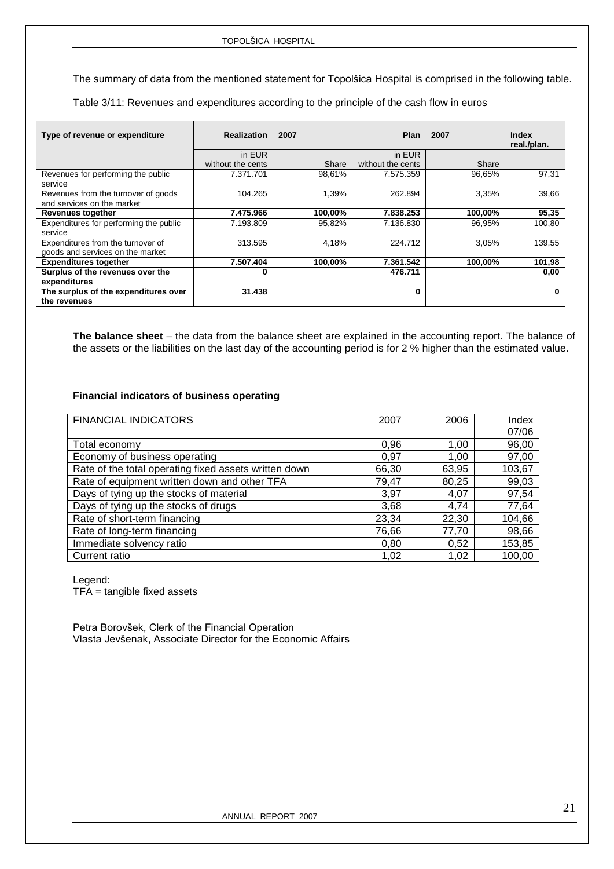The summary of data from the mentioned statement for Topolšica Hospital is comprised in the following table.

Table 3/11: Revenues and expenditures according to the principle of the cash flow in euros

| Type of revenue or expenditure                                        | <b>Realization</b> | 2007    | <b>Plan</b>       | 2007    | <b>Index</b><br>real./plan. |
|-----------------------------------------------------------------------|--------------------|---------|-------------------|---------|-----------------------------|
|                                                                       | in EUR             |         | in EUR            |         |                             |
|                                                                       | without the cents  | Share   | without the cents | Share   |                             |
| Revenues for performing the public<br>service                         | 7.371.701          | 98,61%  | 7.575.359         | 96,65%  | 97,31                       |
| Revenues from the turnover of goods<br>and services on the market     | 104.265            | 1,39%   | 262.894           | 3,35%   | 39,66                       |
| <b>Revenues together</b>                                              | 7.475.966          | 100,00% | 7.838.253         | 100,00% | 95,35                       |
| Expenditures for performing the public<br>service                     | 7.193.809          | 95,82%  | 7.136.830         | 96,95%  | 100,80                      |
| Expenditures from the turnover of<br>goods and services on the market | 313.595            | 4,18%   | 224.712           | 3,05%   | 139,55                      |
| <b>Expenditures together</b>                                          | 7.507.404          | 100,00% | 7.361.542         | 100.00% | 101,98                      |
| Surplus of the revenues over the<br>expenditures                      | 0                  |         | 476.711           |         | 0,00                        |
| The surplus of the expenditures over<br>the revenues                  | 31.438             |         | 0                 |         | 0                           |

**The balance sheet** – the data from the balance sheet are explained in the accounting report. The balance of the assets or the liabilities on the last day of the accounting period is for 2 % higher than the estimated value.

### **Financial indicators of business operating**

| <b>FINANCIAL INDICATORS</b>                           | 2007  | 2006  | Index  |
|-------------------------------------------------------|-------|-------|--------|
|                                                       |       |       | 07/06  |
| Total economy                                         | 0,96  | 1,00  | 96,00  |
| Economy of business operating                         | 0,97  | 1,00  | 97,00  |
| Rate of the total operating fixed assets written down | 66,30 | 63,95 | 103,67 |
| Rate of equipment written down and other TFA          | 79,47 | 80,25 | 99,03  |
| Days of tying up the stocks of material               | 3,97  | 4,07  | 97,54  |
| Days of tying up the stocks of drugs                  | 3,68  | 4,74  | 77,64  |
| Rate of short-term financing                          | 23,34 | 22,30 | 104,66 |
| Rate of long-term financing                           | 76,66 | 77,70 | 98,66  |
| Immediate solvency ratio                              | 0,80  | 0,52  | 153,85 |
| Current ratio                                         | 1,02  | 1,02  | 100,00 |
|                                                       |       |       |        |

Legend:

TFA = tangible fixed assets

Petra Borovšek, Clerk of the Financial Operation Vlasta Jevšenak, Associate Director for the Economic Affairs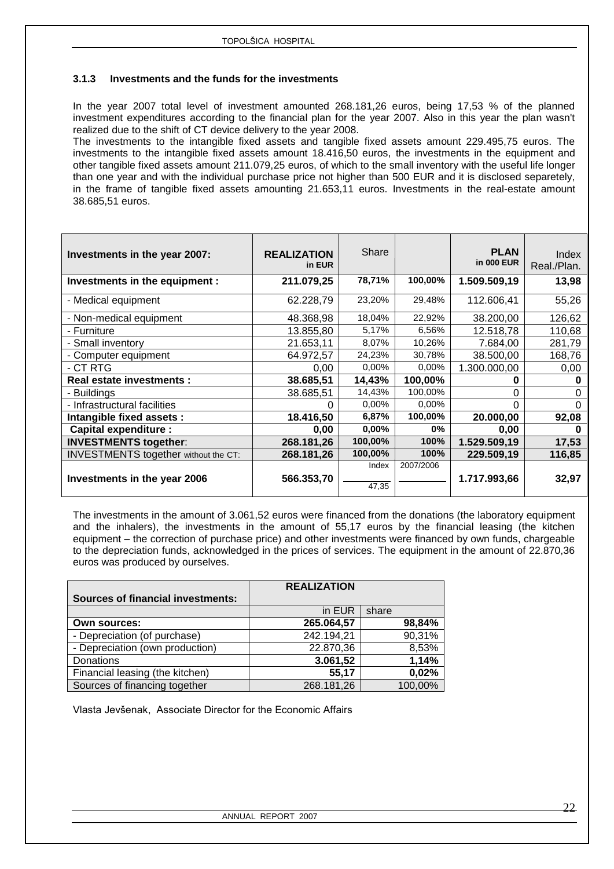### <span id="page-21-0"></span>**3.1.3 Investments and the funds for the investments**

In the year 2007 total level of investment amounted 268.181,26 euros, being 17,53 % of the planned investment expenditures according to the financial plan for the year 2007. Also in this year the plan wasn't realized due to the shift of CT device delivery to the year 2008.

The investments to the intangible fixed assets and tangible fixed assets amount 229.495,75 euros. The investments to the intangible fixed assets amount 18.416,50 euros, the investments in the equipment and other tangible fixed assets amount 211.079,25 euros, of which to the small inventory with the useful life longer than one year and with the individual purchase price not higher than 500 EUR and it is disclosed separetely, in the frame of tangible fixed assets amounting 21.653,11 euros. Investments in the real-estate amount 38.685,51 euros.

| Investments in the year 2007:               | <b>REALIZATION</b><br>in EUR | Share    |           | <b>PLAN</b><br>in 000 EUR | Index<br>Real./Plan. |
|---------------------------------------------|------------------------------|----------|-----------|---------------------------|----------------------|
| Investments in the equipment :              | 211.079,25                   | 78,71%   | 100,00%   | 1.509.509,19              | 13,98                |
| - Medical equipment                         | 62.228,79                    | 23,20%   | 29,48%    | 112.606,41                | 55,26                |
| - Non-medical equipment                     | 48.368,98                    | 18,04%   | 22,92%    | 38.200,00                 | 126,62               |
| - Furniture                                 | 13.855,80                    | 5,17%    | 6,56%     | 12.518,78                 | 110,68               |
| - Small inventory                           | 21.653,11                    | 8,07%    | 10,26%    | 7.684,00                  | 281,79               |
| - Computer equipment                        | 64.972,57                    | 24,23%   | 30,78%    | 38.500,00                 | 168,76               |
| - CT RTG                                    | 0,00                         | $0.00\%$ | $0.00\%$  | 1.300.000,00              | 0,00                 |
| Real estate investments :                   | 38.685,51                    | 14,43%   | 100,00%   | 0                         |                      |
| - Buildings                                 | 38.685,51                    | 14,43%   | 100,00%   | ∩                         | 0                    |
| - Infrastructural facilities                | 0                            | $0.00\%$ | $0.00\%$  | $\Omega$                  | $\Omega$             |
| Intangible fixed assets :                   | 18.416,50                    | 6,87%    | 100,00%   | 20.000,00                 | 92,08                |
| <b>Capital expenditure:</b>                 | 0,00                         | $0,00\%$ | $0\%$     | 0,00                      |                      |
| <b>INVESTMENTS together:</b>                | 268.181,26                   | 100,00%  | 100%      | 1.529.509,19              | 17,53                |
| <b>INVESTMENTS together without the CT:</b> | 268.181,26                   | 100,00%  | 100%      | 229.509,19                | 116,85               |
|                                             |                              | Index    | 2007/2006 |                           |                      |
| Investments in the year 2006                | 566.353,70                   |          |           | 1.717.993,66              | 32,97                |
|                                             |                              | 47,35    |           |                           |                      |

The investments in the amount of 3.061,52 euros were financed from the donations (the laboratory equipment and the inhalers), the investments in the amount of 55,17 euros by the financial leasing (the kitchen equipment – the correction of purchase price) and other investments were financed by own funds, chargeable to the depreciation funds, acknowledged in the prices of services. The equipment in the amount of 22.870,36 euros was produced by ourselves.

|                                          | <b>REALIZATION</b> |         |
|------------------------------------------|--------------------|---------|
| <b>Sources of financial investments:</b> |                    |         |
|                                          | in EUR             | share   |
| <b>Own sources:</b>                      | 265.064,57         | 98,84%  |
| - Depreciation (of purchase)             | 242.194,21         | 90,31%  |
| - Depreciation (own production)          | 22.870,36          | 8,53%   |
| Donations                                | 3.061,52           | 1,14%   |
| Financial leasing (the kitchen)          | 55,17              | 0,02%   |
| Sources of financing together            | 268.181,26         | 100,00% |

Vlasta Jevšenak, Associate Director for the Economic Affairs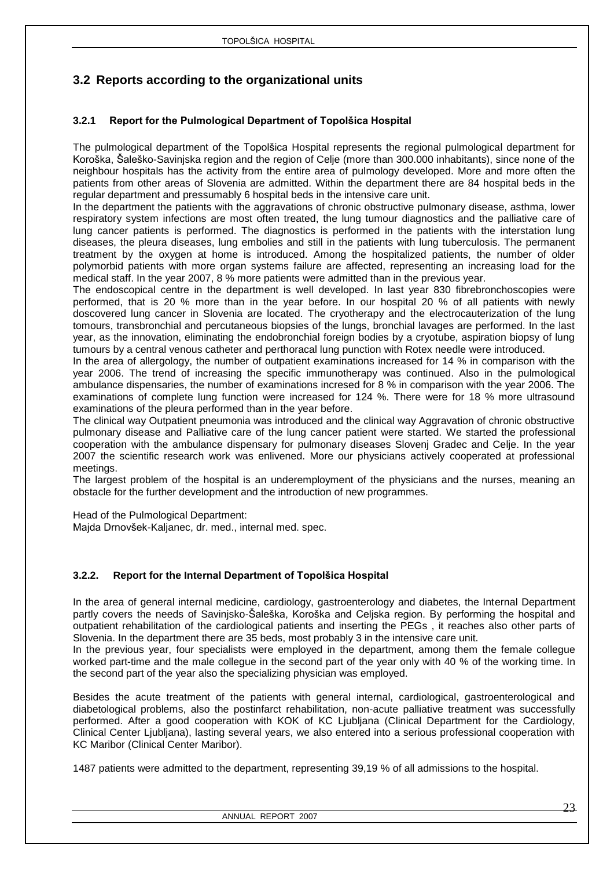## <span id="page-22-0"></span>**3.2 Reports according to the organizational units**

### <span id="page-22-1"></span>**3.2.1 Report for the Pulmological Department of Topolšica Hospital**

The pulmological department of the Topolšica Hospital represents the regional pulmological department for Koroška, Šaleško-Savinjska region and the region of Celje (more than 300.000 inhabitants), since none of the neighbour hospitals has the activity from the entire area of pulmology developed. More and more often the patients from other areas of Slovenia are admitted. Within the department there are 84 hospital beds in the regular department and pressumably 6 hospital beds in the intensive care unit.

In the department the patients with the aggravations of chronic obstructive pulmonary disease, asthma, lower respiratory system infections are most often treated, the lung tumour diagnostics and the palliative care of lung cancer patients is performed. The diagnostics is performed in the patients with the interstation lung diseases, the pleura diseases, lung embolies and still in the patients with lung tuberculosis. The permanent treatment by the oxygen at home is introduced. Among the hospitalized patients, the number of older polymorbid patients with more organ systems failure are affected, representing an increasing load for the medical staff. In the year 2007, 8 % more patients were admitted than in the previous year.

The endoscopical centre in the department is well developed. In last year 830 fibrebronchoscopies were performed, that is 20 % more than in the year before. In our hospital 20 % of all patients with newly doscovered lung cancer in Slovenia are located. The cryotherapy and the electrocauterization of the lung tomours, transbronchial and percutaneous biopsies of the lungs, bronchial lavages are performed. In the last year, as the innovation, eliminating the endobronchial foreign bodies by a cryotube, aspiration biopsy of lung tumours by a central venous catheter and perthoracal lung punction with Rotex needle were introduced.

In the area of allergology, the number of outpatient examinations increased for 14 % in comparison with the year 2006. The trend of increasing the specific immunotherapy was continued. Also in the pulmological ambulance dispensaries, the number of examinations incresed for 8 % in comparison with the year 2006. The examinations of complete lung function were increased for 124 %. There were for 18 % more ultrasound examinations of the pleura performed than in the year before.

The clinical way Outpatient pneumonia was introduced and the clinical way Aggravation of chronic obstructive pulmonary disease and Palliative care of the lung cancer patient were started. We started the professional cooperation with the ambulance dispensary for pulmonary diseases Slovenj Gradec and Celje. In the year 2007 the scientific research work was enlivened. More our physicians actively cooperated at professional meetings.

The largest problem of the hospital is an underemployment of the physicians and the nurses, meaning an obstacle for the further development and the introduction of new programmes.

Head of the Pulmological Department:

Majda Drnovšek-Kaljanec, dr. med., internal med. spec.

### <span id="page-22-2"></span>**3.2.2. Report for the Internal Department of Topolšica Hospital**

In the area of general internal medicine, cardiology, gastroenterology and diabetes, the Internal Department partly covers the needs of Savinjsko-Šaleška, Koroška and Celjska region. By performing the hospital and outpatient rehabilitation of the cardiological patients and inserting the PEGs , it reaches also other parts of Slovenia. In the department there are 35 beds, most probably 3 in the intensive care unit.

In the previous year, four specialists were employed in the department, among them the female collegue worked part-time and the male collegue in the second part of the year only with 40 % of the working time. In the second part of the year also the specializing physician was employed.

Besides the acute treatment of the patients with general internal, cardiological, gastroenterological and diabetological problems, also the postinfarct rehabilitation, non-acute palliative treatment was successfully performed. After a good cooperation with KOK of KC Ljubljana (Clinical Department for the Cardiology, Clinical Center Ljubljana), lasting several years, we also entered into a serious professional cooperation with KC Maribor (Clinical Center Maribor).

1487 patients were admitted to the department, representing 39,19 % of all admissions to the hospital.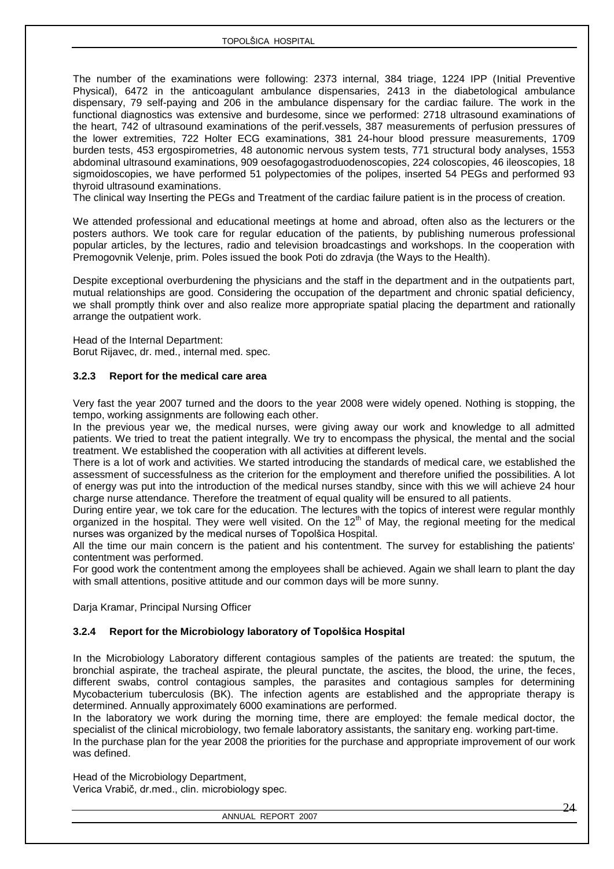The number of the examinations were following: 2373 internal, 384 triage, 1224 IPP (Initial Preventive Physical), 6472 in the anticoagulant ambulance dispensaries, 2413 in the diabetological ambulance dispensary, 79 self-paying and 206 in the ambulance dispensary for the cardiac failure. The work in the functional diagnostics was extensive and burdesome, since we performed: 2718 ultrasound examinations of the heart, 742 of ultrasound examinations of the perif.vessels, 387 measurements of perfusion pressures of the lower extremities, 722 Holter ECG examinations, 381 24-hour blood pressure measurements, 1709 burden tests, 453 ergospirometries, 48 autonomic nervous system tests, 771 structural body analyses, 1553 abdominal ultrasound examinations, 909 oesofagogastroduodenoscopies, 224 coloscopies, 46 ileoscopies, 18 sigmoidoscopies, we have performed 51 polypectomies of the polipes, inserted 54 PEGs and performed 93 thyroid ultrasound examinations.

The clinical way Inserting the PEGs and Treatment of the cardiac failure patient is in the process of creation.

We attended professional and educational meetings at home and abroad, often also as the lecturers or the posters authors. We took care for regular education of the patients, by publishing numerous professional popular articles, by the lectures, radio and television broadcastings and workshops. In the cooperation with Premogovnik Velenje, prim. Poles issued the book Poti do zdravja (the Ways to the Health).

Despite exceptional overburdening the physicians and the staff in the department and in the outpatients part, mutual relationships are good. Considering the occupation of the department and chronic spatial deficiency, we shall promptly think over and also realize more appropriate spatial placing the department and rationally arrange the outpatient work.

Head of the Internal Department: Borut Rijavec, dr. med., internal med. spec.

### <span id="page-23-0"></span>**3.2.3 Report for the medical care area**

Very fast the year 2007 turned and the doors to the year 2008 were widely opened. Nothing is stopping, the tempo, working assignments are following each other.

In the previous year we, the medical nurses, were giving away our work and knowledge to all admitted patients. We tried to treat the patient integrally. We try to encompass the physical, the mental and the social treatment. We established the cooperation with all activities at different levels.

There is a lot of work and activities. We started introducing the standards of medical care, we established the assessment of successfulness as the criterion for the employment and therefore unified the possibilities. A lot of energy was put into the introduction of the medical nurses standby, since with this we will achieve 24 hour charge nurse attendance. Therefore the treatment of equal quality will be ensured to all patients.

During entire year, we tok care for the education. The lectures with the topics of interest were regular monthly organized in the hospital. They were well visited. On the 12<sup>th</sup> of May, the regional meeting for the medical nurses was organized by the medical nurses of Topolšica Hospital.

All the time our main concern is the patient and his contentment. The survey for establishing the patients' contentment was performed.

For good work the contentment among the employees shall be achieved. Again we shall learn to plant the day with small attentions, positive attitude and our common days will be more sunny.

<span id="page-23-1"></span>Darja Kramar, Principal Nursing Officer

### **3.2.4 Report for the Microbiology laboratory of Topolšica Hospital**

In the Microbiology Laboratory different contagious samples of the patients are treated: the sputum, the bronchial aspirate, the tracheal aspirate, the pleural punctate, the ascites, the blood, the urine, the feces, different swabs, control contagious samples, the parasites and contagious samples for determining Mycobacterium tuberculosis (BK). The infection agents are established and the appropriate therapy is determined. Annually approximately 6000 examinations are performed.

In the laboratory we work during the morning time, there are employed: the female medical doctor, the specialist of the clinical microbiology, two female laboratory assistants, the sanitary eng. working part-time. In the purchase plan for the year 2008 the priorities for the purchase and appropriate improvement of our work was defined.

Head of the Microbiology Department,

Verica Vrabič, dr.med., clin. microbiology spec.

ANNUAL REPORT 2007

24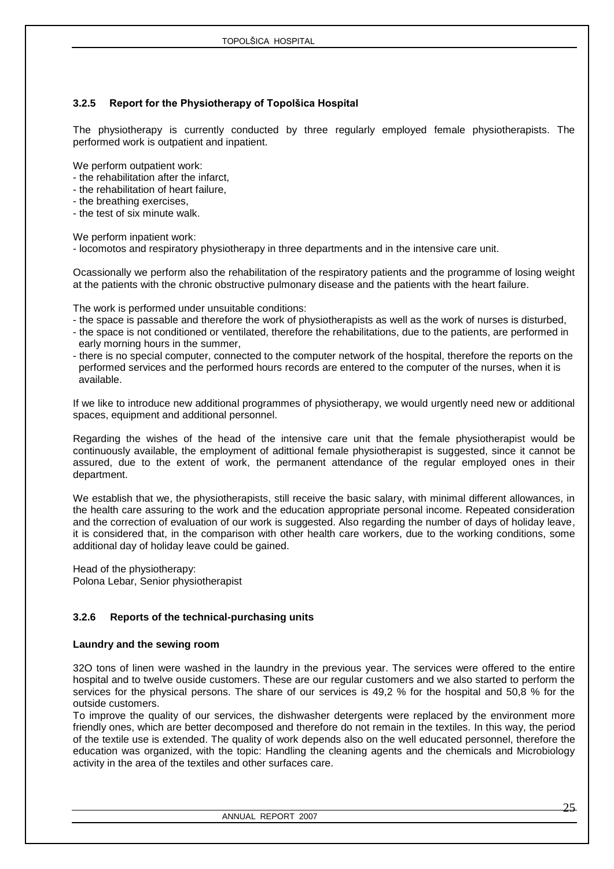### <span id="page-24-0"></span>**3.2.5 Report for the Physiotherapy of Topolšica Hospital**

The physiotherapy is currently conducted by three regularly employed female physiotherapists. The performed work is outpatient and inpatient.

We perform outpatient work:

- the rehabilitation after the infarct,
- the rehabilitation of heart failure,
- the breathing exercises,
- the test of six minute walk.

We perform inpatient work:

- locomotos and respiratory physiotherapy in three departments and in the intensive care unit.

Ocassionally we perform also the rehabilitation of the respiratory patients and the programme of losing weight at the patients with the chronic obstructive pulmonary disease and the patients with the heart failure.

The work is performed under unsuitable conditions:

- the space is passable and therefore the work of physiotherapists as well as the work of nurses is disturbed,
- the space is not conditioned or ventilated, therefore the rehabilitations, due to the patients, are performed in early morning hours in the summer,
- there is no special computer, connected to the computer network of the hospital, therefore the reports on the performed services and the performed hours records are entered to the computer of the nurses, when it is available.

If we like to introduce new additional programmes of physiotherapy, we would urgently need new or additional spaces, equipment and additional personnel.

Regarding the wishes of the head of the intensive care unit that the female physiotherapist would be continuously available, the employment of adittional female physiotherapist is suggested, since it cannot be assured, due to the extent of work, the permanent attendance of the regular employed ones in their department.

We establish that we, the physiotherapists, still receive the basic salary, with minimal different allowances, in the health care assuring to the work and the education appropriate personal income. Repeated consideration and the correction of evaluation of our work is suggested. Also regarding the number of days of holiday leave, it is considered that, in the comparison with other health care workers, due to the working conditions, some additional day of holiday leave could be gained.

Head of the physiotherapy: Polona Lebar, Senior physiotherapist

### <span id="page-24-1"></span>**3.2.6 Reports of the technical-purchasing units**

### **Laundry and the sewing room**

32O tons of linen were washed in the laundry in the previous year. The services were offered to the entire hospital and to twelve ouside customers. These are our regular customers and we also started to perform the services for the physical persons. The share of our services is 49,2 % for the hospital and 50,8 % for the outside customers.

To improve the quality of our services, the dishwasher detergents were replaced by the environment more friendly ones, which are better decomposed and therefore do not remain in the textiles. In this way, the period of the textile use is extended. The quality of work depends also on the well educated personnel, therefore the education was organized, with the topic: Handling the cleaning agents and the chemicals and Microbiology activity in the area of the textiles and other surfaces care.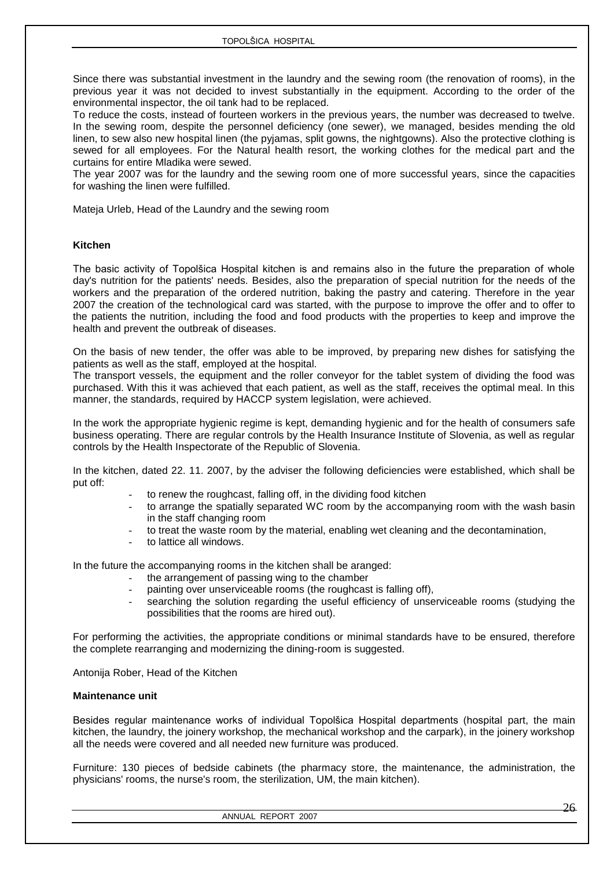Since there was substantial investment in the laundry and the sewing room (the renovation of rooms), in the previous year it was not decided to invest substantially in the equipment. According to the order of the environmental inspector, the oil tank had to be replaced.

To reduce the costs, instead of fourteen workers in the previous years, the number was decreased to twelve. In the sewing room, despite the personnel deficiency (one sewer), we managed, besides mending the old linen, to sew also new hospital linen (the pyjamas, split gowns, the nightgowns). Also the protective clothing is sewed for all employees. For the Natural health resort, the working clothes for the medical part and the curtains for entire Mladika were sewed.

The year 2007 was for the laundry and the sewing room one of more successful years, since the capacities for washing the linen were fulfilled.

Mateja Urleb, Head of the Laundry and the sewing room

### **Kitchen**

The basic activity of Topolšica Hospital kitchen is and remains also in the future the preparation of whole day's nutrition for the patients' needs. Besides, also the preparation of special nutrition for the needs of the workers and the preparation of the ordered nutrition, baking the pastry and catering. Therefore in the year 2007 the creation of the technological card was started, with the purpose to improve the offer and to offer to the patients the nutrition, including the food and food products with the properties to keep and improve the health and prevent the outbreak of diseases.

On the basis of new tender, the offer was able to be improved, by preparing new dishes for satisfying the patients as well as the staff, employed at the hospital.

The transport vessels, the equipment and the roller conveyor for the tablet system of dividing the food was purchased. With this it was achieved that each patient, as well as the staff, receives the optimal meal. In this manner, the standards, required by HACCP system legislation, were achieved.

In the work the appropriate hygienic regime is kept, demanding hygienic and for the health of consumers safe business operating. There are regular controls by the Health Insurance Institute of Slovenia, as well as regular controls by the Health Inspectorate of the Republic of Slovenia.

In the kitchen, dated 22. 11. 2007, by the adviser the following deficiencies were established, which shall be put off:

- to renew the roughcast, falling off, in the dividing food kitchen
- to arrange the spatially separated WC room by the accompanying room with the wash basin in the staff changing room
- to treat the waste room by the material, enabling wet cleaning and the decontamination,
- to lattice all windows.

In the future the accompanying rooms in the kitchen shall be aranged:

- the arrangement of passing wing to the chamber
- painting over unserviceable rooms (the roughcast is falling off),
- searching the solution regarding the useful efficiency of unserviceable rooms (studying the possibilities that the rooms are hired out).

For performing the activities, the appropriate conditions or minimal standards have to be ensured, therefore the complete rearranging and modernizing the dining-room is suggested.

Antonija Rober, Head of the Kitchen

#### **Maintenance unit**

Besides regular maintenance works of individual Topolšica Hospital departments (hospital part, the main kitchen, the laundry, the joinery workshop, the mechanical workshop and the carpark), in the joinery workshop all the needs were covered and all needed new furniture was produced.

Furniture: 130 pieces of bedside cabinets (the pharmacy store, the maintenance, the administration, the physicians' rooms, the nurse's room, the sterilization, UM, the main kitchen).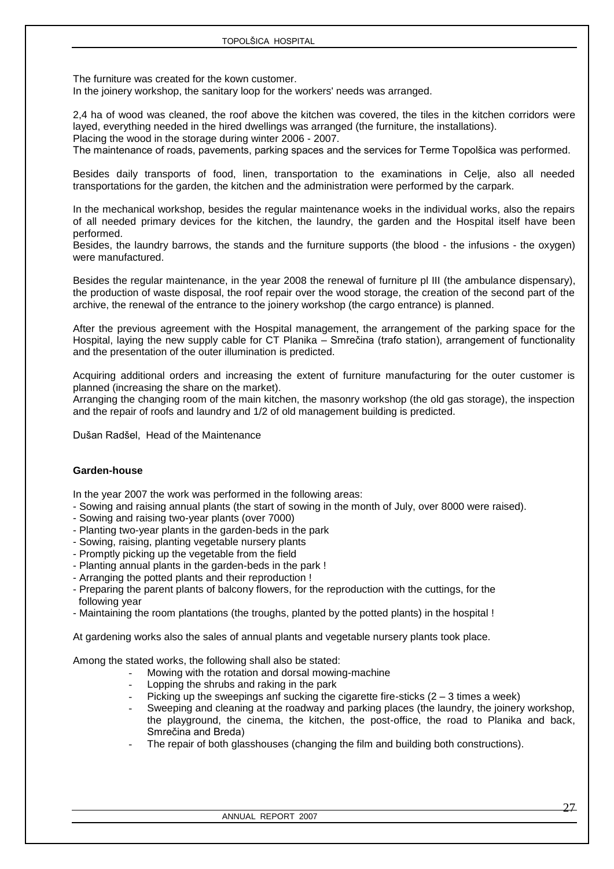The furniture was created for the kown customer. In the joinery workshop, the sanitary loop for the workers' needs was arranged.

2,4 ha of wood was cleaned, the roof above the kitchen was covered, the tiles in the kitchen corridors were layed, everything needed in the hired dwellings was arranged (the furniture, the installations). Placing the wood in the storage during winter 2006 - 2007.

The maintenance of roads, pavements, parking spaces and the services for Terme Topolšica was performed.

Besides daily transports of food, linen, transportation to the examinations in Celje, also all needed transportations for the garden, the kitchen and the administration were performed by the carpark.

In the mechanical workshop, besides the regular maintenance woeks in the individual works, also the repairs of all needed primary devices for the kitchen, the laundry, the garden and the Hospital itself have been performed.

Besides, the laundry barrows, the stands and the furniture supports (the blood - the infusions - the oxygen) were manufactured.

Besides the regular maintenance, in the year 2008 the renewal of furniture pl III (the ambulance dispensary), the production of waste disposal, the roof repair over the wood storage, the creation of the second part of the archive, the renewal of the entrance to the joinery workshop (the cargo entrance) is planned.

After the previous agreement with the Hospital management, the arrangement of the parking space for the Hospital, laying the new supply cable for CT Planika – Smrečina (trafo station), arrangement of functionality and the presentation of the outer illumination is predicted.

Acquiring additional orders and increasing the extent of furniture manufacturing for the outer customer is planned (increasing the share on the market).

Arranging the changing room of the main kitchen, the masonry workshop (the old gas storage), the inspection and the repair of roofs and laundry and 1/2 of old management building is predicted.

Dušan Radšel, Head of the Maintenance

### **Garden-house**

In the year 2007 the work was performed in the following areas:

- Sowing and raising annual plants (the start of sowing in the month of July, over 8000 were raised).
- Sowing and raising two-year plants (over 7000)
- Planting two-year plants in the garden-beds in the park
- Sowing, raising, planting vegetable nursery plants
- Promptly picking up the vegetable from the field
- Planting annual plants in the garden-beds in the park !
- Arranging the potted plants and their reproduction !
- Preparing the parent plants of balcony flowers, for the reproduction with the cuttings, for the following year
- Maintaining the room plantations (the troughs, planted by the potted plants) in the hospital !

At gardening works also the sales of annual plants and vegetable nursery plants took place.

Among the stated works, the following shall also be stated:

- Mowing with the rotation and dorsal mowing-machine
- Lopping the shrubs and raking in the park
- Picking up the sweepings anf sucking the cigarette fire-sticks  $(2 3)$  times a week)
- Sweeping and cleaning at the roadway and parking places (the laundry, the joinery workshop, the playground, the cinema, the kitchen, the post-office, the road to Planika and back, Smrečina and Breda)
- The repair of both glasshouses (changing the film and building both constructions).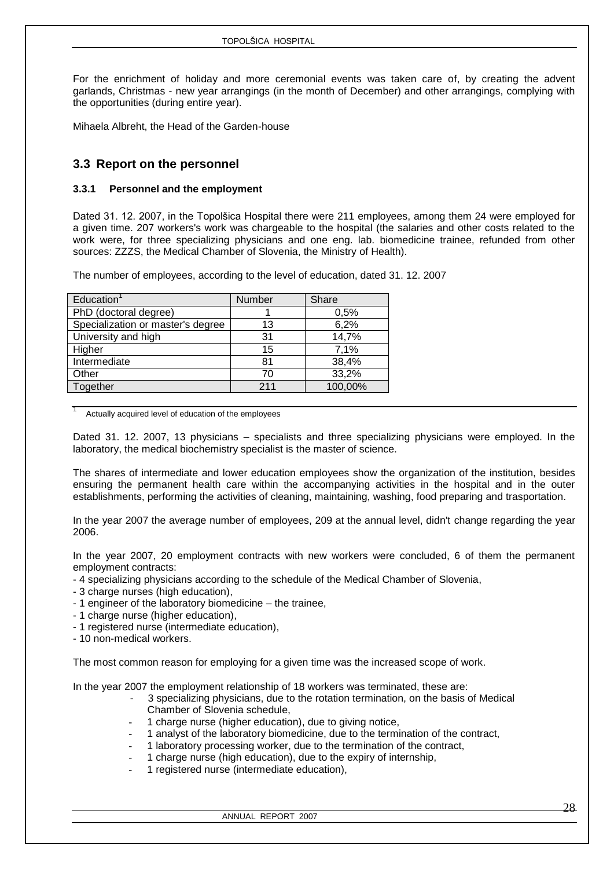For the enrichment of holiday and more ceremonial events was taken care of, by creating the advent garlands, Christmas - new year arrangings (in the month of December) and other arrangings, complying with the opportunities (during entire year).

Mihaela Albreht, the Head of the Garden-house

### <span id="page-27-0"></span>**3.3 Report on the personnel**

### <span id="page-27-1"></span>**3.3.1 Personnel and the employment**

Dated 31. 12. 2007, in the Topolšica Hospital there were 211 employees, among them 24 were employed for a given time. 207 workers's work was chargeable to the hospital (the salaries and other costs related to the work were, for three specializing physicians and one eng. lab. biomedicine trainee, refunded from other sources: ZZZS, the Medical Chamber of Slovenia, the Ministry of Health).

The number of employees, according to the level of education, dated 31. 12. 2007

| Education <sup>1</sup>            | Number | Share   |
|-----------------------------------|--------|---------|
|                                   |        |         |
| PhD (doctoral degree)             |        | 0,5%    |
| Specialization or master's degree | 13     | 6,2%    |
| University and high               | 31     | 14,7%   |
| Higher                            | 15     | 7,1%    |
| Intermediate                      | 81     | 38,4%   |
| Other                             | 70     | 33,2%   |
| Together                          | 211    | 100,00% |

Actually acquired level of education of the employees

Dated 31. 12. 2007, 13 physicians – specialists and three specializing physicians were employed. In the laboratory, the medical biochemistry specialist is the master of science.

The shares of intermediate and lower education employees show the organization of the institution, besides ensuring the permanent health care within the accompanying activities in the hospital and in the outer establishments, performing the activities of cleaning, maintaining, washing, food preparing and trasportation.

In the year 2007 the average number of employees, 209 at the annual level, didn't change regarding the year 2006.

In the year 2007, 20 employment contracts with new workers were concluded, 6 of them the permanent employment contracts:

- 4 specializing physicians according to the schedule of the Medical Chamber of Slovenia,

- 3 charge nurses (high education),
- 1 engineer of the laboratory biomedicine the trainee,
- 1 charge nurse (higher education),
- 1 registered nurse (intermediate education),
- 10 non-medical workers.

The most common reason for employing for a given time was the increased scope of work.

In the year 2007 the employment relationship of 18 workers was terminated, these are:

- 3 specializing physicians, due to the rotation termination, on the basis of Medical Chamber of Slovenia schedule,
- 1 charge nurse (higher education), due to giving notice,
- 1 analyst of the laboratory biomedicine, due to the termination of the contract,
- 1 laboratory processing worker, due to the termination of the contract,
- 1 charge nurse (high education), due to the expiry of internship,
- 1 registered nurse (intermediate education),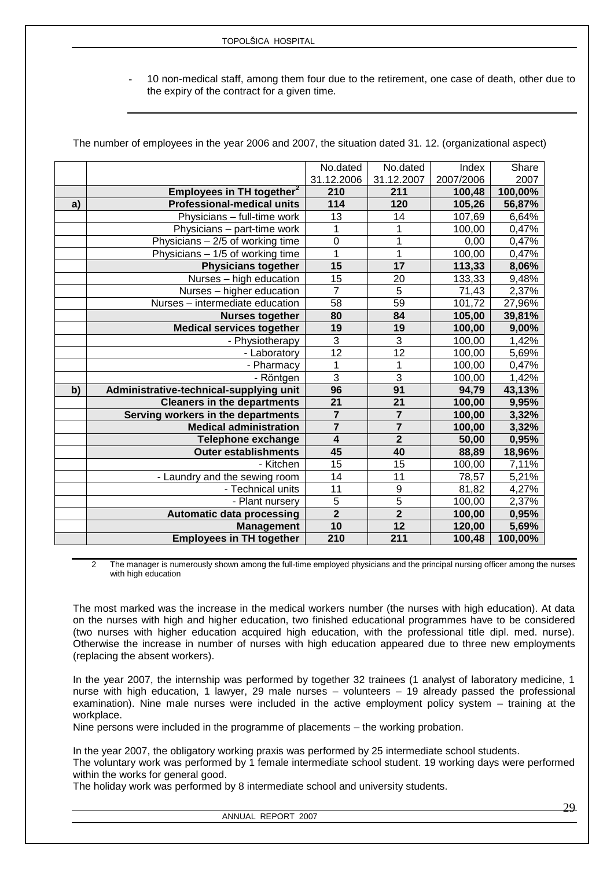10 non-medical staff, among them four due to the retirement, one case of death, other due to the expiry of the contract for a given time.

The number of employees in the year 2006 and 2007, the situation dated 31. 12. (organizational aspect)

|    |                                         | No.dated<br>31.12.2006  | No.dated<br>31.12.2007  | Index<br>2007/2006 | Share<br>2007 |
|----|-----------------------------------------|-------------------------|-------------------------|--------------------|---------------|
|    | Employees in TH together <sup>2</sup>   | 210                     | 211                     | 100,48             | 100,00%       |
| a) | <b>Professional-medical units</b>       | 114                     | 120                     | 105,26             | 56,87%        |
|    | Physicians - full-time work             | 13                      | 14                      | 107,69             | 6,64%         |
|    | Physicians - part-time work             | 1                       | 1                       | 100,00             | 0,47%         |
|    | Physicians - 2/5 of working time        | $\mathbf 0$             | $\overline{1}$          | 0,00               | 0,47%         |
|    | Physicians - 1/5 of working time        | $\mathbf{1}$            | $\mathbf 1$             | 100,00             | 0,47%         |
|    | Physicians together                     | 15                      | $\overline{17}$         | 113,33             | 8,06%         |
|    | Nurses - high education                 | $\overline{15}$         | 20                      | 133,33             | 9,48%         |
|    | Nurses - higher education               | $\overline{7}$          | $\overline{5}$          | 71,43              | 2,37%         |
|    | Nurses - intermediate education         | 58                      | $\overline{59}$         | 101, 72            | 27,96%        |
|    | <b>Nurses together</b>                  | 80                      | 84                      | 105,00             | 39,81%        |
|    | <b>Medical services together</b>        | 19                      | 19                      | 100,00             | 9,00%         |
|    | - Physiotherapy                         | $\overline{3}$          | 3                       | 100,00             | 1,42%         |
|    | - Laboratory                            | 12                      | $\overline{12}$         | 100,00             | 5,69%         |
|    | - Pharmacy                              | 1                       | 1                       | 100,00             | 0,47%         |
|    | - Röntgen                               | $\overline{3}$          | 3                       | 100,00             | 1,42%         |
| b) | Administrative-technical-supplying unit | 96                      | 91                      | 94,79              | 43,13%        |
|    | <b>Cleaners in the departments</b>      | $\overline{21}$         | 21                      | 100,00             | 9,95%         |
|    | Serving workers in the departments      | $\overline{7}$          | $\overline{\mathbf{7}}$ | 100,00             | 3,32%         |
|    | <b>Medical administration</b>           | $\overline{7}$          | $\overline{7}$          | 100,00             | 3,32%         |
|    | <b>Telephone exchange</b>               | $\overline{\mathbf{4}}$ | $\overline{2}$          | 50,00              | 0,95%         |
|    | <b>Outer establishments</b>             | 45                      | 40                      | 88,89              | 18,96%        |
|    | - Kitchen                               | 15                      | 15                      | 100,00             | 7,11%         |
|    | - Laundry and the sewing room           | 14                      | 11                      | 78,57              | 5,21%         |
|    | - Technical units                       | 11                      | 9                       | 81,82              | 4,27%         |
|    | - Plant nursery                         | 5                       | 5                       | 100,00             | 2,37%         |
|    | <b>Automatic data processing</b>        | $\overline{2}$          | $\overline{2}$          | 100,00             | 0,95%         |
|    | <b>Management</b>                       | 10                      | 12                      | 120,00             | 5,69%         |
|    | <b>Employees in TH together</b>         | 210                     | $\overline{211}$        | 100,48             | 100,00%       |

2 The manager is numerously shown among the full-time employed physicians and the principal nursing officer among the nurses with high education

The most marked was the increase in the medical workers number (the nurses with high education). At data on the nurses with high and higher education, two finished educational programmes have to be considered (two nurses with higher education acquired high education, with the professional title dipl. med. nurse). Otherwise the increase in number of nurses with high education appeared due to three new employments (replacing the absent workers).

In the year 2007, the internship was performed by together 32 trainees (1 analyst of laboratory medicine, 1 nurse with high education, 1 lawyer, 29 male nurses – volunteers – 19 already passed the professional examination). Nine male nurses were included in the active employment policy system – training at the workplace.

Nine persons were included in the programme of placements – the working probation.

In the year 2007, the obligatory working praxis was performed by 25 intermediate school students.

The voluntary work was performed by 1 female intermediate school student. 19 working days were performed within the works for general good.

The holiday work was performed by 8 intermediate school and university students.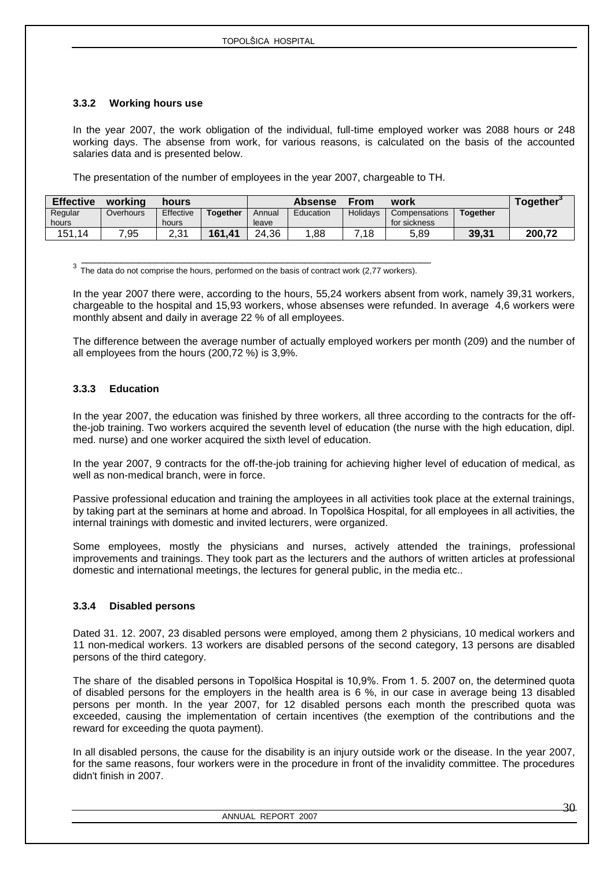### <span id="page-29-0"></span>**3.3.2 Working hours use**

In the year 2007, the work obligation of the individual, full-time employed worker was 2088 hours or 248 working days. The absense from work, for various reasons, is calculated on the basis of the accounted salaries data and is presented below.

The presentation of the number of employees in the year 2007, chargeable to TH.

| <b>Effective</b> | working   | hours        |                 |        | <b>Absense</b> | From            | work          |                 | Together <sup>*</sup> |
|------------------|-----------|--------------|-----------------|--------|----------------|-----------------|---------------|-----------------|-----------------------|
| Regular          | Overhours | Effective    | <b>Together</b> | Annual | Education      | <b>Holidavs</b> | Compensations | <b>Together</b> |                       |
| hours            |           | hours        |                 | leave  |                |                 | for sickness  |                 |                       |
| 151,14           | ,95       | ว ว 1<br>ا ت | 161,41          | 24,36  | 88,            | .18             | 5,89          | 39.31           | 200,72                |

 \_\_\_\_\_\_\_\_\_\_\_\_\_\_\_\_\_\_\_\_\_\_\_\_\_\_\_\_\_\_\_\_\_\_\_\_\_\_\_\_\_\_\_\_\_\_\_\_\_\_\_\_\_\_\_\_\_\_\_\_\_  $3\text{ The data do not comprise the hours, performed on the basis of contract work (2,77 workers).}$ 

In the year 2007 there were, according to the hours, 55,24 workers absent from work, namely 39,31 workers, chargeable to the hospital and 15,93 workers, whose absenses were refunded. In average 4,6 workers were monthly absent and daily in average 22 % of all employees.

The difference between the average number of actually employed workers per month (209) and the number of all employees from the hours (200,72 %) is 3,9%.

### <span id="page-29-1"></span>**3.3.3 Education**

In the year 2007, the education was finished by three workers, all three according to the contracts for the offthe-job training. Two workers acquired the seventh level of education (the nurse with the high education, dipl. med. nurse) and one worker acquired the sixth level of education.

In the year 2007, 9 contracts for the off-the-job training for achieving higher level of education of medical, as well as non-medical branch, were in force.

Passive professional education and training the amployees in all activities took place at the external trainings, by taking part at the seminars at home and abroad. In Topolšica Hospital, for all employees in all activities, the internal trainings with domestic and invited lecturers, were organized.

Some employees, mostly the physicians and nurses, actively attended the trainings, professional improvements and trainings. They took part as the lecturers and the authors of written articles at professional domestic and international meetings, the lectures for general public, in the media etc..

### <span id="page-29-2"></span>**3.3.4 Disabled persons**

Dated 31. 12. 2007, 23 disabled persons were employed, among them 2 physicians, 10 medical workers and 11 non-medical workers. 13 workers are disabled persons of the second category, 13 persons are disabled persons of the third category.

The share of the disabled persons in Topolšica Hospital is 10,9%. From 1. 5. 2007 on, the determined quota of disabled persons for the employers in the health area is 6 %, in our case in average being 13 disabled persons per month. In the year 2007, for 12 disabled persons each month the prescribed quota was exceeded, causing the implementation of certain incentives (the exemption of the contributions and the reward for exceeding the quota payment).

In all disabled persons, the cause for the disability is an injury outside work or the disease. In the year 2007, for the same reasons, four workers were in the procedure in front of the invalidity committee. The procedures didn't finish in 2007.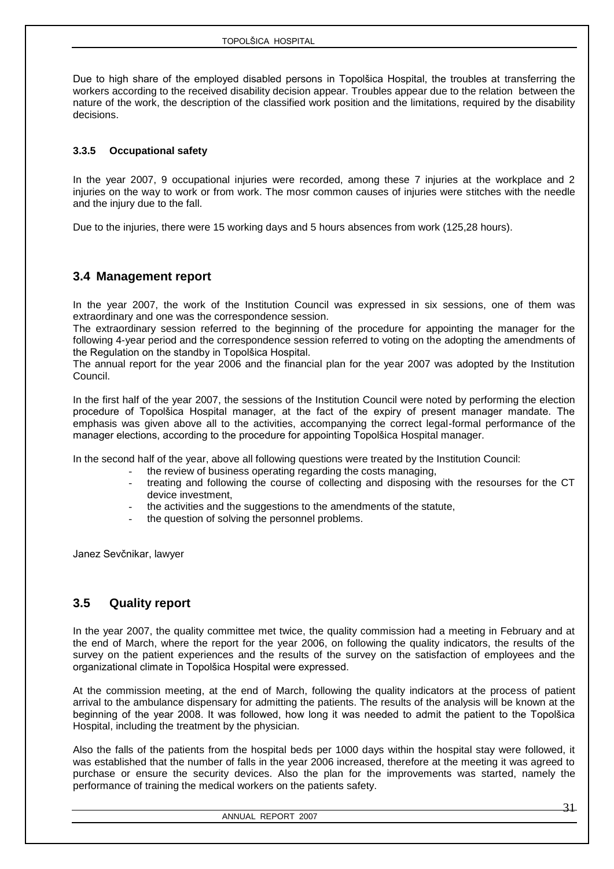Due to high share of the employed disabled persons in Topolšica Hospital, the troubles at transferring the workers according to the received disability decision appear. Troubles appear due to the relation between the nature of the work, the description of the classified work position and the limitations, required by the disability decisions.

### <span id="page-30-0"></span>**3.3.5 Occupational safety**

In the year 2007, 9 occupational injuries were recorded, among these 7 injuries at the workplace and 2 injuries on the way to work or from work. The mosr common causes of injuries were stitches with the needle and the injury due to the fall.

Due to the injuries, there were 15 working days and 5 hours absences from work (125,28 hours).

### <span id="page-30-1"></span>**3.4 Management report**

In the year 2007, the work of the Institution Council was expressed in six sessions, one of them was extraordinary and one was the correspondence session.

The extraordinary session referred to the beginning of the procedure for appointing the manager for the following 4-year period and the correspondence session referred to voting on the adopting the amendments of the Regulation on the standby in Topolšica Hospital.

The annual report for the year 2006 and the financial plan for the year 2007 was adopted by the Institution Council.

In the first half of the year 2007, the sessions of the Institution Council were noted by performing the election procedure of Topolšica Hospital manager, at the fact of the expiry of present manager mandate. The emphasis was given above all to the activities, accompanying the correct legal-formal performance of the manager elections, according to the procedure for appointing Topolšica Hospital manager.

In the second half of the year, above all following questions were treated by the Institution Council:

- the review of business operating regarding the costs managing.
- treating and following the course of collecting and disposing with the resourses for the CT device investment,
- the activities and the suggestions to the amendments of the statute,
- the question of solving the personnel problems.

Janez Sevčnikar, lawyer

### <span id="page-30-2"></span>**3.5 Quality report**

In the year 2007, the quality committee met twice, the quality commission had a meeting in February and at the end of March, where the report for the year 2006, on following the quality indicators, the results of the survey on the patient experiences and the results of the survey on the satisfaction of employees and the organizational climate in Topolšica Hospital were expressed.

At the commission meeting, at the end of March, following the quality indicators at the process of patient arrival to the ambulance dispensary for admitting the patients. The results of the analysis will be known at the beginning of the year 2008. It was followed, how long it was needed to admit the patient to the Topolšica Hospital, including the treatment by the physician.

Also the falls of the patients from the hospital beds per 1000 days within the hospital stay were followed, it was established that the number of falls in the year 2006 increased, therefore at the meeting it was agreed to purchase or ensure the security devices. Also the plan for the improvements was started, namely the performance of training the medical workers on the patients safety.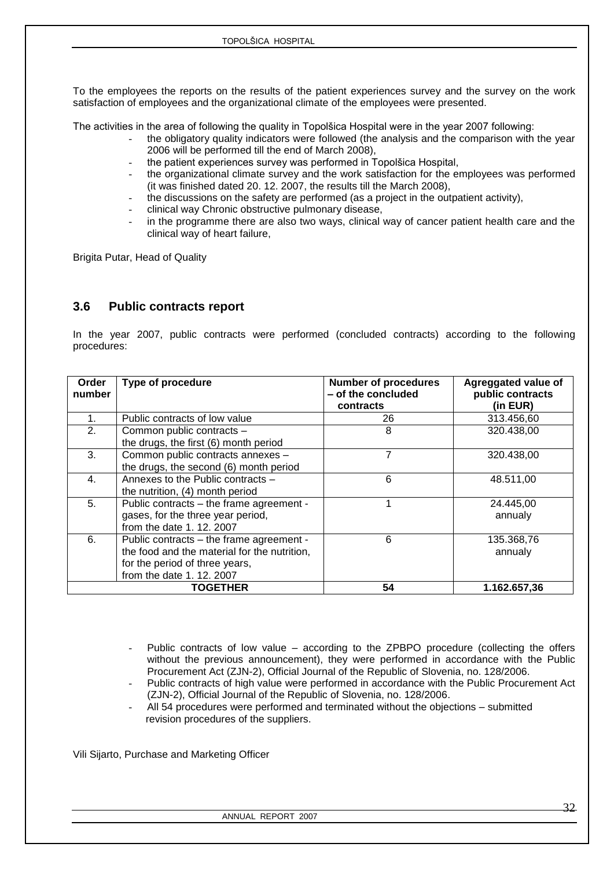To the employees the reports on the results of the patient experiences survey and the survey on the work satisfaction of employees and the organizational climate of the employees were presented.

The activities in the area of following the quality in Topolšica Hospital were in the year 2007 following:

- the obligatory quality indicators were followed (the analysis and the comparison with the year 2006 will be performed till the end of March 2008),
- the patient experiences survey was performed in Topolšica Hospital,
- the organizational climate survey and the work satisfaction for the employees was performed (it was finished dated 20. 12. 2007, the results till the March 2008),
- the discussions on the safety are performed (as a project in the outpatient activity),
- clinical way Chronic obstructive pulmonary disease,
- in the programme there are also two ways, clinical way of cancer patient health care and the clinical way of heart failure,

Brigita Putar, Head of Quality

### <span id="page-31-0"></span>**3.6 Public contracts report**

In the year 2007, public contracts were performed (concluded contracts) according to the following procedures:

| Order<br>number | Type of procedure                                                                                                                                       | <b>Number of procedures</b><br>- of the concluded<br>contracts | Agreggated value of<br>public contracts<br>(in EUR) |
|-----------------|---------------------------------------------------------------------------------------------------------------------------------------------------------|----------------------------------------------------------------|-----------------------------------------------------|
|                 | Public contracts of low value                                                                                                                           | 26                                                             | 313.456,60                                          |
| 2.              | Common public contracts -<br>the drugs, the first (6) month period                                                                                      | 8                                                              | 320.438,00                                          |
| 3.              | Common public contracts annexes -<br>the drugs, the second (6) month period                                                                             | 7                                                              | 320.438,00                                          |
| $\mathbf{4}$    | Annexes to the Public contracts -<br>the nutrition, (4) month period                                                                                    | 6                                                              | 48.511,00                                           |
| 5.              | Public contracts – the frame agreement -<br>gases, for the three year period,<br>from the date 1, 12, 2007                                              |                                                                | 24.445,00<br>annualy                                |
| 6.              | Public contracts - the frame agreement -<br>the food and the material for the nutrition,<br>for the period of three years,<br>from the date 1. 12. 2007 | 6                                                              | 135.368,76<br>annualy                               |
|                 | <b>TOGETHER</b>                                                                                                                                         | 54                                                             | 1.162.657,36                                        |

- Public contracts of low value according to the ZPBPO procedure (collecting the offers without the previous announcement), they were performed in accordance with the Public Procurement Act (ZJN-2), Official Journal of the Republic of Slovenia, no. 128/2006.
- Public contracts of high value were performed in accordance with the Public Procurement Act (ZJN-2), Official Journal of the Republic of Slovenia, no. 128/2006.
- All 54 procedures were performed and terminated without the objections submitted revision procedures of the suppliers.

Vili Sijarto, Purchase and Marketing Officer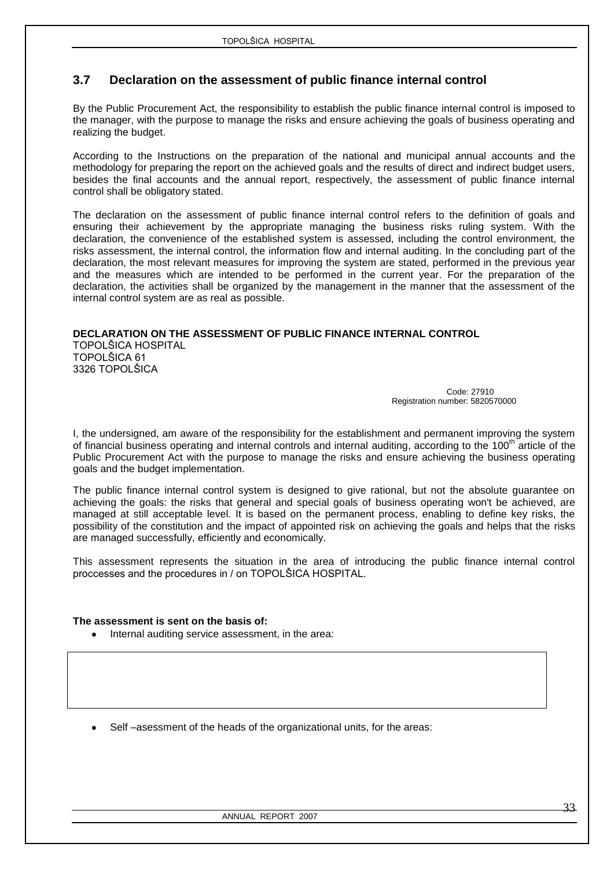### <span id="page-32-0"></span>**3.7 Declaration on the assessment of public finance internal control**

By the Public Procurement Act, the responsibility to establish the public finance internal control is imposed to the manager, with the purpose to manage the risks and ensure achieving the goals of business operating and realizing the budget.

According to the Instructions on the preparation of the national and municipal annual accounts and the methodology for preparing the report on the achieved goals and the results of direct and indirect budget users, besides the final accounts and the annual report, respectively, the assessment of public finance internal control shall be obligatory stated.

The declaration on the assessment of public finance internal control refers to the definition of goals and ensuring their achievement by the appropriate managing the business risks ruling system. With the declaration, the convenience of the established system is assessed, including the control environment, the risks assessment, the internal control, the information flow and internal auditing. In the concluding part of the declaration, the most relevant measures for improving the system are stated, performed in the previous year and the measures which are intended to be performed in the current year. For the preparation of the declaration, the activities shall be organized by the management in the manner that the assessment of the internal control system are as real as possible.

### **DECLARATION ON THE ASSESSMENT OF PUBLIC FINANCE INTERNAL CONTROL**

TOPOLŠICA HOSPITAL TOPOLŠICA 61 3326 TOPOLŠICA

 Code: 27910 Registration number: 5820570000

I, the undersigned, am aware of the responsibility for the establishment and permanent improving the system of financial business operating and internal controls and internal auditing, according to the 100<sup>th</sup> article of the Public Procurement Act with the purpose to manage the risks and ensure achieving the business operating goals and the budget implementation.

The public finance internal control system is designed to give rational, but not the absolute guarantee on achieving the goals: the risks that general and special goals of business operating won't be achieved, are managed at still acceptable level. It is based on the permanent process, enabling to define key risks, the possibility of the constitution and the impact of appointed risk on achieving the goals and helps that the risks are managed successfully, efficiently and economically.

This assessment represents the situation in the area of introducing the public finance internal control proccesses and the procedures in / on TOPOLŠICA HOSPITAL.

### **The assessment is sent on the basis of:**

- Internal auditing service assessment, in the area:
- Self –asessment of the heads of the organizational units, for the areas: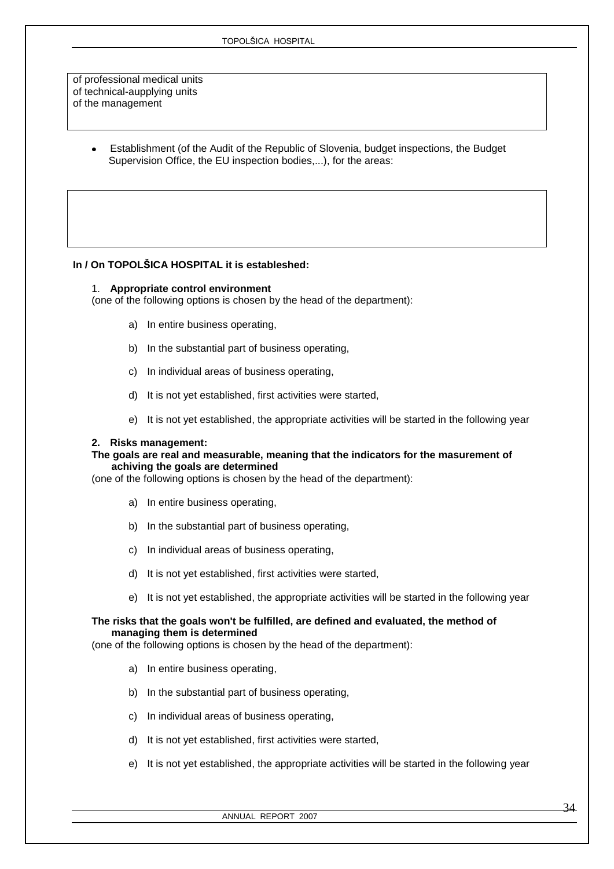of professional medical units of technical-aupplying units of the management

> Establishment (of the Audit of the Republic of Slovenia, budget inspections, the Budget Supervision Office, the EU inspection bodies,...), for the areas:

### **In / On TOPOLŠICA HOSPITAL it is estableshed:**

#### 1. **Appropriate control environment**

(one of the following options is chosen by the head of the department):

- a) In entire business operating,
- b) In the substantial part of business operating,
- c) In individual areas of business operating,
- d) It is not yet established, first activities were started,
- e) It is not yet established, the appropriate activities will be started in the following year

#### **2. Risks management:**

#### **The goals are real and measurable, meaning that the indicators for the masurement of achiving the goals are determined**

(one of the following options is chosen by the head of the department):

- a) In entire business operating,
- b) In the substantial part of business operating,
- c) In individual areas of business operating,
- d) It is not yet established, first activities were started,
- e) It is not yet established, the appropriate activities will be started in the following year

### **The risks that the goals won't be fulfilled, are defined and evaluated, the method of managing them is determined**

(one of the following options is chosen by the head of the department):

- a) In entire business operating,
- b) In the substantial part of business operating,
- c) In individual areas of business operating,
- d) It is not yet established, first activities were started,
- e) It is not yet established, the appropriate activities will be started in the following year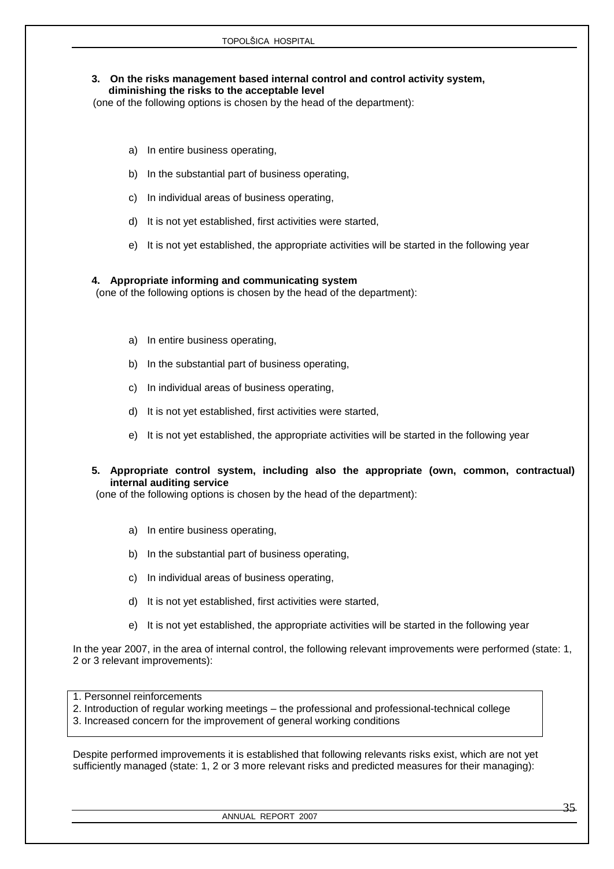### **3. On the risks management based internal control and control activity system, diminishing the risks to the acceptable level**

(one of the following options is chosen by the head of the department):

- a) In entire business operating,
- b) In the substantial part of business operating,
- c) In individual areas of business operating,
- d) It is not yet established, first activities were started,
- e) It is not yet established, the appropriate activities will be started in the following year

### **4. Appropriate informing and communicating system**

(one of the following options is chosen by the head of the department):

- a) In entire business operating,
- b) In the substantial part of business operating,
- c) In individual areas of business operating,
- d) It is not yet established, first activities were started,
- e) It is not yet established, the appropriate activities will be started in the following year
- **5. Appropriate control system, including also the appropriate (own, common, contractual) internal auditing service**

(one of the following options is chosen by the head of the department):

- a) In entire business operating,
- b) In the substantial part of business operating,
- c) In individual areas of business operating,
- d) It is not yet established, first activities were started,
- e) It is not yet established, the appropriate activities will be started in the following year

In the year 2007, in the area of internal control, the following relevant improvements were performed (state: 1, 2 or 3 relevant improvements):

1. Personnel reinforcements

- 2. Introduction of regular working meetings the professional and professional-technical college
- 3. Increased concern for the improvement of general working conditions

Despite performed improvements it is established that following relevants risks exist, which are not yet sufficiently managed (state: 1, 2 or 3 more relevant risks and predicted measures for their managing):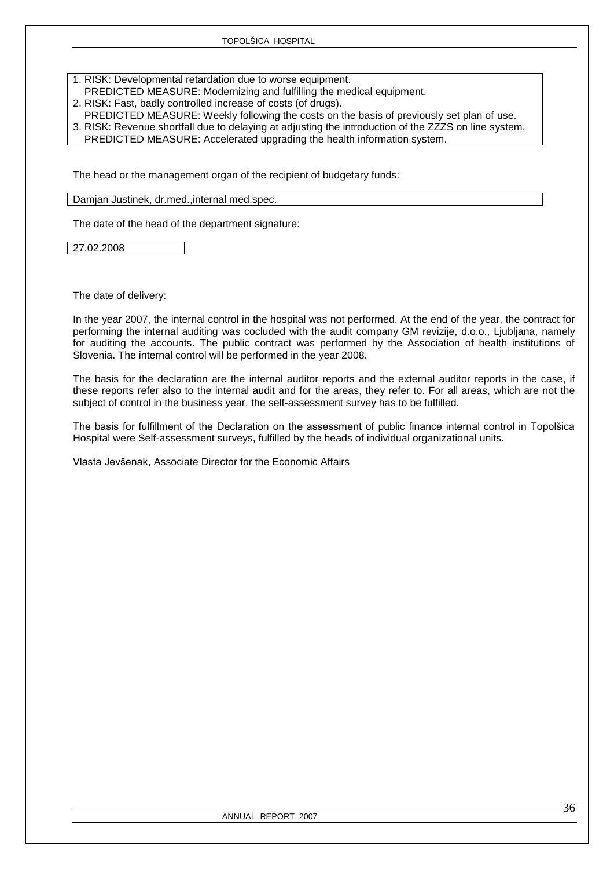1. RISK: Developmental retardation due to worse equipment.

- PREDICTED MEASURE: Modernizing and fulfilling the medical equipment.
- 2. RISK: Fast, badly controlled increase of costs (of drugs).
- PREDICTED MEASURE: Weekly following the costs on the basis of previously set plan of use. 3. RISK: Revenue shortfall due to delaying at adjusting the introduction of the ZZZS on line system.
- PREDICTED MEASURE: Accelerated upgrading the health information system.

The head or the management organ of the recipient of budgetary funds:

Damjan Justinek, dr.med.,internal med.spec.

The date of the head of the department signature:

27.02.2008

The date of delivery:

In the year 2007, the internal control in the hospital was not performed. At the end of the year, the contract for performing the internal auditing was cocluded with the audit company GM revizije, d.o.o., Ljubljana, namely for auditing the accounts. The public contract was performed by the Association of health institutions of Slovenia. The internal control will be performed in the year 2008.

The basis for the declaration are the internal auditor reports and the external auditor reports in the case, if these reports refer also to the internal audit and for the areas, they refer to. For all areas, which are not the subject of control in the business year, the self-assessment survey has to be fulfilled.

The basis for fulfillment of the Declaration on the assessment of public finance internal control in Topolšica Hospital were Self-assessment surveys, fulfilled by the heads of individual organizational units.

Vlasta Jevšenak, Associate Director for the Economic Affairs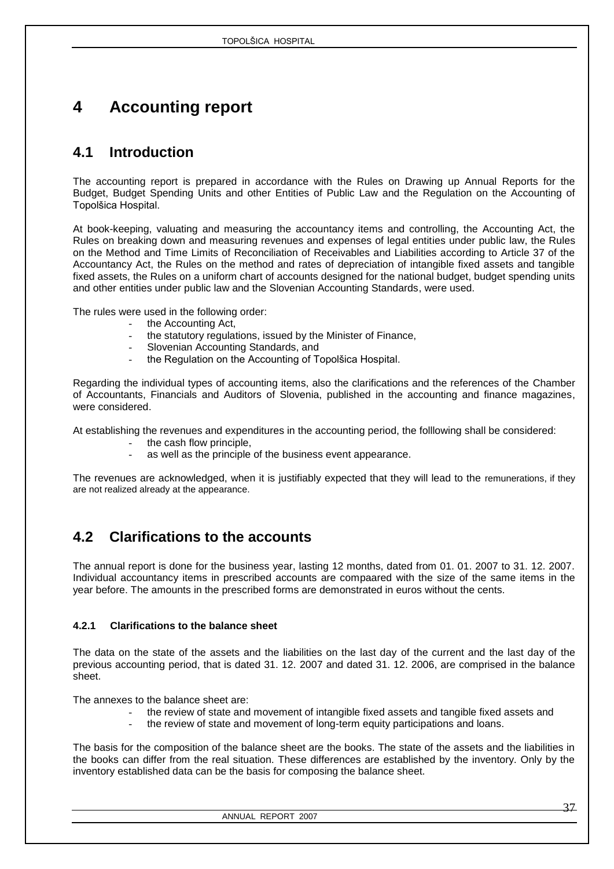# <span id="page-36-0"></span>**4 Accounting report**

# <span id="page-36-1"></span>**4.1 Introduction**

The accounting report is prepared in accordance with the Rules on Drawing up Annual Reports for the Budget, Budget Spending Units and other Entities of Public Law and the Regulation on the Accounting of Topolšica Hospital.

At book-keeping, valuating and measuring the accountancy items and controlling, the Accounting Act, the Rules on breaking down and measuring revenues and expenses of legal entities under public law, the Rules on the Method and Time Limits of Reconciliation of Receivables and Liabilities according to Article 37 of the Accountancy Act, the Rules on the method and rates of depreciation of intangible fixed assets and tangible fixed assets, the Rules on a uniform chart of accounts designed for the national budget, budget spending units and other entities under public law and the Slovenian Accounting Standards, were used.

The rules were used in the following order:

- the Accounting Act,
- the statutory regulations, issued by the Minister of Finance.
- Slovenian Accounting Standards, and
- the Regulation on the Accounting of Topolšica Hospital.

Regarding the individual types of accounting items, also the clarifications and the references of the Chamber of Accountants, Financials and Auditors of Slovenia, published in the accounting and finance magazines, were considered.

At establishing the revenues and expenditures in the accounting period, the folllowing shall be considered:

- the cash flow principle.
- as well as the principle of the business event appearance.

The revenues are acknowledged, when it is justifiably expected that they will lead to the remunerations, if they are not realized already at the appearance.

# <span id="page-36-2"></span>**4.2 Clarifications to the accounts**

The annual report is done for the business year, lasting 12 months, dated from 01. 01. 2007 to 31. 12. 2007. Individual accountancy items in prescribed accounts are compaared with the size of the same items in the year before. The amounts in the prescribed forms are demonstrated in euros without the cents.

### <span id="page-36-3"></span>**4.2.1 Clarifications to the balance sheet**

The data on the state of the assets and the liabilities on the last day of the current and the last day of the previous accounting period, that is dated 31. 12. 2007 and dated 31. 12. 2006, are comprised in the balance sheet.

The annexes to the balance sheet are:

- the review of state and movement of intangible fixed assets and tangible fixed assets and
- the review of state and movement of long-term equity participations and loans.

The basis for the composition of the balance sheet are the books. The state of the assets and the liabilities in the books can differ from the real situation. These differences are established by the inventory. Only by the inventory established data can be the basis for composing the balance sheet.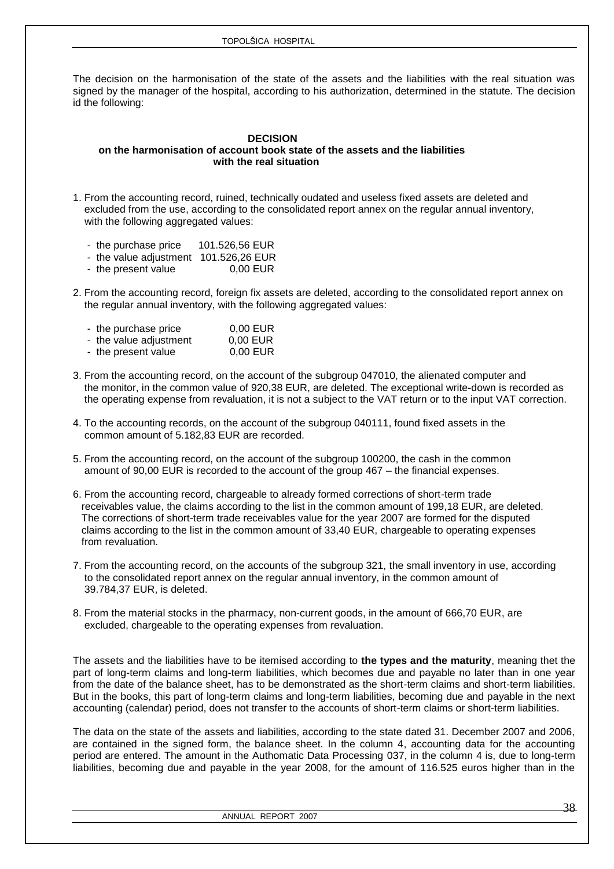The decision on the harmonisation of the state of the assets and the liabilities with the real situation was signed by the manager of the hospital, according to his authorization, determined in the statute. The decision id the following:

### **DECISION on the harmonisation of account book state of the assets and the liabilities with the real situation**

1. From the accounting record, ruined, technically oudated and useless fixed assets are deleted and excluded from the use, according to the consolidated report annex on the regular annual inventory, with the following aggregated values:

| the purchase price | 101.526,56 EUR |
|--------------------|----------------|
|--------------------|----------------|

- the value adjustment 101.526,26 EUR
- the present value 0.00 EUR
- 2. From the accounting record, foreign fix assets are deleted, according to the consolidated report annex on the regular annual inventory, with the following aggregated values:

| - the purchase price   | $0,00$ EUR |
|------------------------|------------|
| - the value adjustment | $0,00$ EUR |
| - the present value    | 0,00 EUR   |

- 3. From the accounting record, on the account of the subgroup 047010, the alienated computer and the monitor, in the common value of 920,38 EUR, are deleted. The exceptional write-down is recorded as the operating expense from revaluation, it is not a subject to the VAT return or to the input VAT correction.
- 4. To the accounting records, on the account of the subgroup 040111, found fixed assets in the common amount of 5.182,83 EUR are recorded.
- 5. From the accounting record, on the account of the subgroup 100200, the cash in the common amount of 90,00 EUR is recorded to the account of the group 467 – the financial expenses.
- 6. From the accounting record, chargeable to already formed corrections of short-term trade receivables value, the claims according to the list in the common amount of 199,18 EUR, are deleted. The corrections of short-term trade receivables value for the year 2007 are formed for the disputed claims according to the list in the common amount of 33,40 EUR, chargeable to operating expenses from revaluation.
- 7. From the accounting record, on the accounts of the subgroup 321, the small inventory in use, according to the consolidated report annex on the regular annual inventory, in the common amount of 39.784,37 EUR, is deleted.
- 8. From the material stocks in the pharmacy, non-current goods, in the amount of 666,70 EUR, are excluded, chargeable to the operating expenses from revaluation.

The assets and the liabilities have to be itemised according to **the types and the maturity**, meaning thet the part of long-term claims and long-term liabilities, which becomes due and payable no later than in one year from the date of the balance sheet, has to be demonstrated as the short-term claims and short-term liabilities. But in the books, this part of long-term claims and long-term liabilities, becoming due and payable in the next accounting (calendar) period, does not transfer to the accounts of short-term claims or short-term liabilities.

The data on the state of the assets and liabilities, according to the state dated 31. December 2007 and 2006, are contained in the signed form, the balance sheet. In the column 4, accounting data for the accounting period are entered. The amount in the Authomatic Data Processing 037, in the column 4 is, due to long-term liabilities, becoming due and payable in the year 2008, for the amount of 116.525 euros higher than in the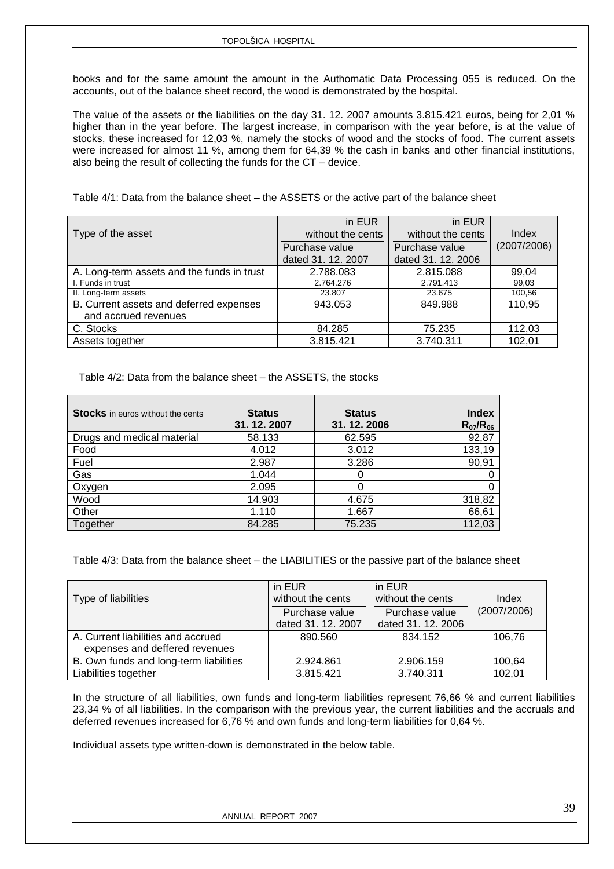books and for the same amount the amount in the Authomatic Data Processing 055 is reduced. On the accounts, out of the balance sheet record, the wood is demonstrated by the hospital.

The value of the assets or the liabilities on the day 31. 12. 2007 amounts 3.815.421 euros, being for 2,01 % higher than in the year before. The largest increase, in comparison with the year before, is at the value of stocks, these increased for 12,03 %, namely the stocks of wood and the stocks of food. The current assets were increased for almost 11 %, among them for 64,39 % the cash in banks and other financial institutions, also being the result of collecting the funds for the CT – device.

Table 4/1: Data from the balance sheet – the ASSETS or the active part of the balance sheet

|                                            | in EUR             | in EUR             |             |  |
|--------------------------------------------|--------------------|--------------------|-------------|--|
| Type of the asset                          | without the cents  | without the cents  | Index       |  |
|                                            | Purchase value     | Purchase value     | (2007/2006) |  |
|                                            | dated 31. 12. 2007 | dated 31, 12, 2006 |             |  |
| A. Long-term assets and the funds in trust | 2.788.083          | 2.815.088          | 99,04       |  |
| I. Funds in trust                          | 2.764.276          | 2.791.413          | 99,03       |  |
| II. Long-term assets                       | 23.807             | 23.675             | 100,56      |  |
| B. Current assets and deferred expenses    | 943.053            | 849.988            | 110,95      |  |
| and accrued revenues                       |                    |                    |             |  |
| C. Stocks                                  | 84.285             | 75.235             | 112,03      |  |
| Assets together                            | 3.815.421          | 3.740.311          | 102,01      |  |

Table 4/2: Data from the balance sheet – the ASSETS, the stocks

| <b>Stocks</b> in euros without the cents | <b>Status</b><br>31.12.2007 | <b>Status</b><br>31.12.2006 | <b>Index</b><br>$R_{07}/R_{06}$ |
|------------------------------------------|-----------------------------|-----------------------------|---------------------------------|
| Drugs and medical material               | 58.133                      | 62.595                      | 92,87                           |
| Food                                     | 4.012                       | 3.012                       | 133,19                          |
| Fuel                                     | 2.987                       | 3.286                       | 90,91                           |
| Gas                                      | 1.044                       | O                           |                                 |
| Oxygen                                   | 2.095                       | 0                           |                                 |
| Wood                                     | 14.903                      | 4.675                       | 318,82                          |
| Other                                    | 1.110                       | 1.667                       | 66,61                           |
| Together                                 | 84.285                      | 75.235                      | 112,03                          |

Table 4/3: Data from the balance sheet – the LIABILITIES or the passive part of the balance sheet

|                                        | in EUR             | in EUR             |             |
|----------------------------------------|--------------------|--------------------|-------------|
| Type of liabilities                    | without the cents  | without the cents  | Index       |
|                                        | Purchase value     | Purchase value     | (2007/2006) |
|                                        | dated 31, 12, 2007 | dated 31. 12. 2006 |             |
| A. Current liabilities and accrued     | 890.560            | 834.152            | 106.76      |
| expenses and deffered revenues         |                    |                    |             |
| B. Own funds and long-term liabilities | 2.924.861          | 2.906.159          | 100,64      |
| Liabilities together                   | 3.815.421          | 3.740.311          | 102,01      |

In the structure of all liabilities, own funds and long-term liabilities represent 76,66 % and current liabilities 23,34 % of all liabilities. In the comparison with the previous year, the current liabilities and the accruals and deferred revenues increased for 6,76 % and own funds and long-term liabilities for 0,64 %.

Individual assets type written-down is demonstrated in the below table.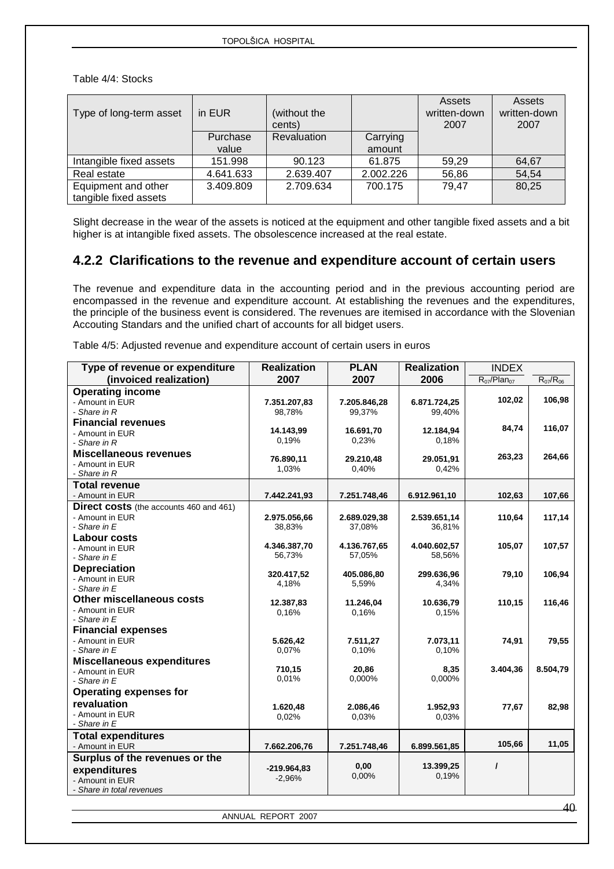Table 4/4: Stocks

| Type of long-term asset                      | in EUR            | (without the<br>cents) |                    | Assets<br>written-down<br>2007 | Assets<br>written-down<br>2007 |
|----------------------------------------------|-------------------|------------------------|--------------------|--------------------------------|--------------------------------|
|                                              | Purchase<br>value | <b>Revaluation</b>     | Carrying<br>amount |                                |                                |
| Intangible fixed assets                      | 151.998           | 90.123                 | 61.875             | 59.29                          | 64,67                          |
| Real estate                                  | 4.641.633         | 2.639.407              | 2.002.226          | 56,86                          | 54,54                          |
| Equipment and other<br>tangible fixed assets | 3.409.809         | 2.709.634              | 700.175            | 79,47                          | 80,25                          |

Slight decrease in the wear of the assets is noticed at the equipment and other tangible fixed assets and a bit higher is at intangible fixed assets. The obsolescence increased at the real estate.

## <span id="page-39-0"></span>**4.2.2 Clarifications to the revenue and expenditure account of certain users**

The revenue and expenditure data in the accounting period and in the previous accounting period are encompassed in the revenue and expenditure account. At establishing the revenues and the expenditures, the principle of the business event is considered. The revenues are itemised in accordance with the Slovenian Accouting Standars and the unified chart of accounts for all bidget users.

Table 4/5: Adjusted revenue and expenditure account of certain users in euros

| Type of revenue or expenditure                 | <b>Realization</b> | <b>PLAN</b>  | <b>Realization</b> | <b>INDEX</b>       |                 |
|------------------------------------------------|--------------------|--------------|--------------------|--------------------|-----------------|
| (invoiced realization)                         | 2007               | 2007         | 2006               | $R_{07}/Plan_{07}$ | $R_{07}/R_{06}$ |
| <b>Operating income</b>                        |                    |              |                    |                    |                 |
| - Amount in EUR                                | 7.351.207,83       | 7.205.846,28 | 6.871.724,25       | 102,02             | 106,98          |
| - Share in R                                   | 98,78%             | 99,37%       | 99,40%             |                    |                 |
| <b>Financial revenues</b>                      |                    |              |                    |                    |                 |
| - Amount in EUR                                | 14.143,99          | 16.691,70    | 12.184,94          | 84,74              | 116,07          |
| - Share in R                                   | 0,19%              | 0,23%        | 0,18%              |                    |                 |
| <b>Miscellaneous revenues</b>                  | 76.890,11          | 29.210,48    | 29.051,91          | 263,23             | 264,66          |
| - Amount in EUR                                | 1,03%              | 0,40%        | 0,42%              |                    |                 |
| - Share in R                                   |                    |              |                    |                    |                 |
| <b>Total revenue</b>                           |                    |              |                    |                    |                 |
| - Amount in EUR                                | 7.442.241,93       | 7.251.748,46 | 6.912.961,10       | 102,63             | 107,66          |
| <b>Direct costs</b> (the accounts 460 and 461) |                    |              |                    |                    |                 |
| - Amount in EUR                                | 2.975.056,66       | 2.689.029,38 | 2.539.651,14       | 110,64             | 117,14          |
| - Share in $E$                                 | 38,83%             | 37,08%       | 36,81%             |                    |                 |
| <b>Labour costs</b>                            |                    |              |                    |                    |                 |
| - Amount in EUR                                | 4.346.387,70       | 4.136.767.65 | 4.040.602,57       | 105,07             | 107,57          |
| - Share in E                                   | 56,73%             | 57,05%       | 58,56%             |                    |                 |
| <b>Depreciation</b>                            | 320.417,52         | 405.086,80   | 299.636,96         | 79,10              | 106,94          |
| - Amount in EUR                                | 4,18%              | 5,59%        | 4,34%              |                    |                 |
| - Share in E                                   |                    |              |                    |                    |                 |
| Other miscellaneous costs                      | 12.387,83          | 11.246,04    | 10.636,79          | 110,15             | 116,46          |
| - Amount in EUR                                | 0.16%              | 0.16%        | 0.15%              |                    |                 |
| - Share in $E$                                 |                    |              |                    |                    |                 |
| <b>Financial expenses</b>                      |                    |              |                    |                    |                 |
| - Amount in EUR                                | 5.626,42           | 7.511,27     | 7.073,11           | 74,91              | 79,55           |
| - Share in $E$                                 | 0,07%              | 0,10%        | 0.10%              |                    |                 |
| <b>Miscellaneous expenditures</b>              | 710,15             | 20,86        | 8,35               | 3.404,36           | 8.504,79        |
| - Amount in EUR                                | 0,01%              | 0,000%       | 0.000%             |                    |                 |
| - Share in E                                   |                    |              |                    |                    |                 |
| <b>Operating expenses for</b>                  |                    |              |                    |                    |                 |
| revaluation                                    | 1.620,48           | 2.086,46     | 1.952,93           | 77,67              | 82,98           |
| - Amount in EUR                                | 0,02%              | 0.03%        | 0,03%              |                    |                 |
| - Share in E                                   |                    |              |                    |                    |                 |
| <b>Total expenditures</b>                      |                    |              |                    | 105,66             | 11,05           |
| - Amount in EUR                                | 7.662.206,76       | 7.251.748,46 | 6.899.561,85       |                    |                 |
| Surplus of the revenues or the                 |                    | 0,00         |                    | $\prime$           |                 |
| expenditures                                   | $-219.964,83$      | 0,00%        | 13.399,25<br>0,19% |                    |                 |
| - Amount in EUR                                | $-2,96%$           |              |                    |                    |                 |
| - Share in total revenues                      |                    |              |                    |                    |                 |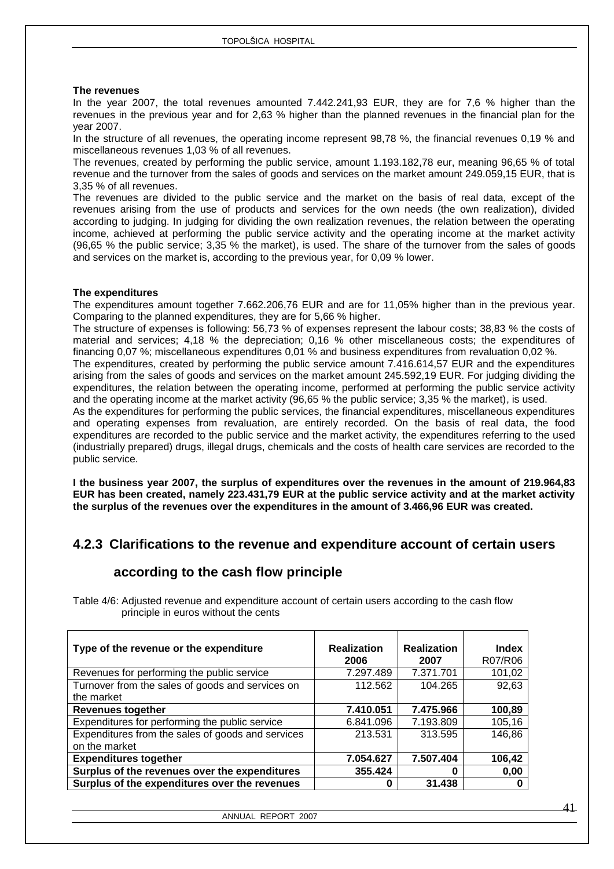#### **The revenues**

In the year 2007, the total revenues amounted 7.442.241,93 EUR, they are for 7,6 % higher than the revenues in the previous year and for 2,63 % higher than the planned revenues in the financial plan for the year 2007.

In the structure of all revenues, the operating income represent 98,78 %, the financial revenues 0,19 % and miscellaneous revenues 1,03 % of all revenues.

The revenues, created by performing the public service, amount 1.193.182,78 eur, meaning 96,65 % of total revenue and the turnover from the sales of goods and services on the market amount 249.059,15 EUR, that is 3,35 % of all revenues.

The revenues are divided to the public service and the market on the basis of real data, except of the revenues arising from the use of products and services for the own needs (the own realization), divided according to judging. In judging for dividing the own realization revenues, the relation between the operating income, achieved at performing the public service activity and the operating income at the market activity (96,65 % the public service; 3,35 % the market), is used. The share of the turnover from the sales of goods and services on the market is, according to the previous year, for 0,09 % lower.

#### **The expenditures**

The expenditures amount together 7.662.206,76 EUR and are for 11,05% higher than in the previous year. Comparing to the planned expenditures, they are for 5,66 % higher.

The structure of expenses is following: 56,73 % of expenses represent the labour costs; 38,83 % the costs of material and services; 4,18 % the depreciation; 0,16 % other miscellaneous costs; the expenditures of financing 0,07 %; miscellaneous expenditures 0,01 % and business expenditures from revaluation 0,02 %.

The expenditures, created by performing the public service amount 7.416.614,57 EUR and the expenditures arising from the sales of goods and services on the market amount 245.592,19 EUR. For judging dividing the expenditures, the relation between the operating income, performed at performing the public service activity and the operating income at the market activity (96,65 % the public service; 3,35 % the market), is used.

As the expenditures for performing the public services, the financial expenditures, miscellaneous expenditures and operating expenses from revaluation, are entirely recorded. On the basis of real data, the food expenditures are recorded to the public service and the market activity, the expenditures referring to the used (industrially prepared) drugs, illegal drugs, chemicals and the costs of health care services are recorded to the public service.

**I the business year 2007, the surplus of expenditures over the revenues in the amount of 219.964,83 EUR has been created, namely 223.431,79 EUR at the public service activity and at the market activity the surplus of the revenues over the expenditures in the amount of 3.466,96 EUR was created.** 

### <span id="page-40-0"></span>**4.2.3 Clarifications to the revenue and expenditure account of certain users**

### <span id="page-40-1"></span> **according to the cash flow principle**

Table 4/6: Adjusted revenue and expenditure account of certain users according to the cash flow principle in euros without the cents

| Type of the revenue or the expenditure                             | <b>Realization</b><br>2006 | <b>Realization</b><br>2007 | <b>Index</b><br>R07/R06 |
|--------------------------------------------------------------------|----------------------------|----------------------------|-------------------------|
| Revenues for performing the public service                         | 7.297.489                  | 7.371.701                  | 101,02                  |
| Turnover from the sales of goods and services on<br>the market     | 112.562                    | 104.265                    | 92,63                   |
| <b>Revenues together</b>                                           | 7.410.051                  | 7.475.966                  | 100,89                  |
| Expenditures for performing the public service                     | 6.841.096                  | 7.193.809                  | 105,16                  |
| Expenditures from the sales of goods and services<br>on the market | 213.531                    | 313.595                    | 146,86                  |
| <b>Expenditures together</b>                                       | 7.054.627                  | 7.507.404                  | 106,42                  |
| Surplus of the revenues over the expenditures                      | 355.424                    | 0                          | 0,00                    |
| Surplus of the expenditures over the revenues                      | 0                          | 31.438                     |                         |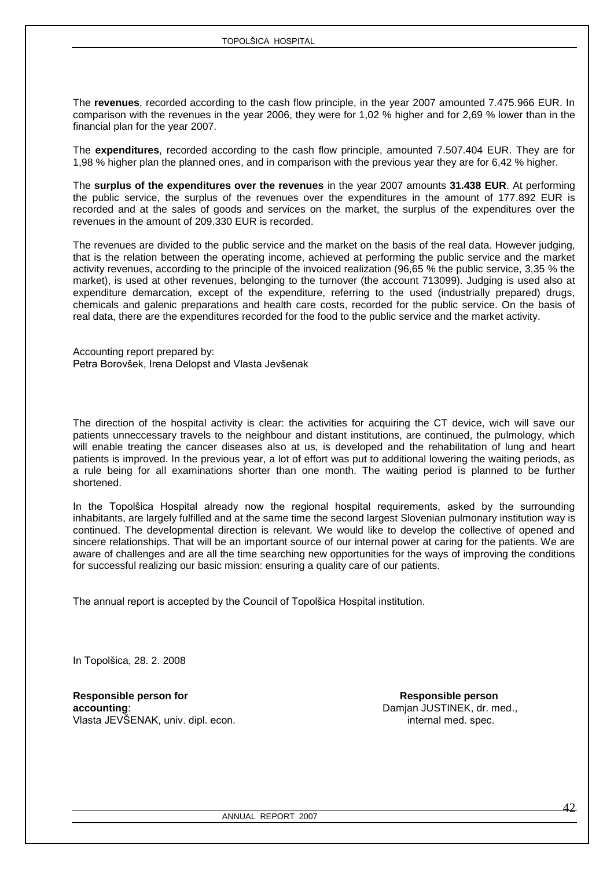The **revenues**, recorded according to the cash flow principle, in the year 2007 amounted 7.475.966 EUR. In comparison with the revenues in the year 2006, they were for 1,02 % higher and for 2,69 % lower than in the financial plan for the year 2007.

The **expenditures**, recorded according to the cash flow principle, amounted 7.507.404 EUR. They are for 1,98 % higher plan the planned ones, and in comparison with the previous year they are for 6,42 % higher.

The **surplus of the expenditures over the revenues** in the year 2007 amounts **31.438 EUR**. At performing the public service, the surplus of the revenues over the expenditures in the amount of 177.892 EUR is recorded and at the sales of goods and services on the market, the surplus of the expenditures over the revenues in the amount of 209.330 EUR is recorded.

The revenues are divided to the public service and the market on the basis of the real data. However judging, that is the relation between the operating income, achieved at performing the public service and the market activity revenues, according to the principle of the invoiced realization (96,65 % the public service, 3,35 % the market), is used at other revenues, belonging to the turnover (the account 713099). Judging is used also at expenditure demarcation, except of the expenditure, referring to the used (industrially prepared) drugs, chemicals and galenic preparations and health care costs, recorded for the public service. On the basis of real data, there are the expenditures recorded for the food to the public service and the market activity.

Accounting report prepared by: Petra Borovšek, Irena Delopst and Vlasta Jevšenak

The direction of the hospital activity is clear: the activities for acquiring the CT device, wich will save our patients unneccessary travels to the neighbour and distant institutions, are continued, the pulmology, which will enable treating the cancer diseases also at us, is developed and the rehabilitation of lung and heart patients is improved. In the previous year, a lot of effort was put to additional lowering the waiting periods, as a rule being for all examinations shorter than one month. The waiting period is planned to be further shortened.

In the Topolšica Hospital already now the regional hospital requirements, asked by the surrounding inhabitants, are largely fulfilled and at the same time the second largest Slovenian pulmonary institution way is continued. The developmental direction is relevant. We would like to develop the collective of opened and sincere relationships. That will be an important source of our internal power at caring for the patients. We are aware of challenges and are all the time searching new opportunities for the ways of improving the conditions for successful realizing our basic mission: ensuring a quality care of our patients.

The annual report is accepted by the Council of Topolšica Hospital institution.

In Topolšica, 28. 2. 2008

**Responsible person for the contract of the Responsible person accounting:**  $D$ accounting:  $D$ accounting:  $D$ amjan JUSTINEK, dr. med., Vlasta JEVŠENAK, univ. dipl. econ. internal med. spec. internal med. spec.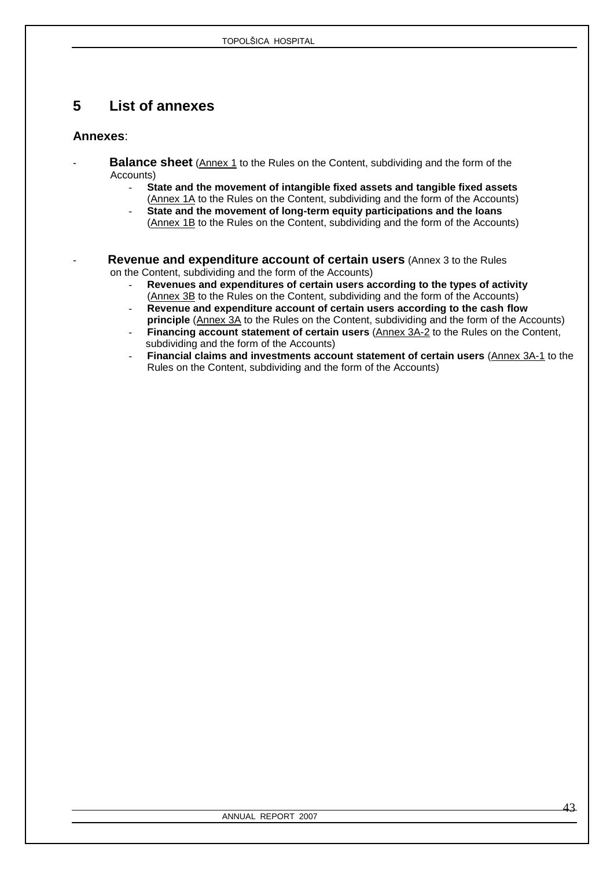# <span id="page-42-0"></span>**5 List of annexes**

### **Annexes**:

- **Balance sheet** (Annex 1 to the Rules on the Content, subdividing and the form of the Accounts)
	- **State and the movement of intangible fixed assets and tangible fixed assets** (Annex 1A to the Rules on the Content, subdividing and the form of the Accounts)
	- **State and the movement of long-term equity participations and the loans** (Annex 1B to the Rules on the Content, subdividing and the form of the Accounts)
- **Revenue and expenditure account of certain users** (Annex 3 to the Rules on the Content, subdividing and the form of the Accounts)
	- **Revenues and expenditures of certain users according to the types of activity** (Annex 3B to the Rules on the Content, subdividing and the form of the Accounts)
		- **Revenue and expenditure account of certain users according to the cash flow**
	- **principle** (Annex 3A to the Rules on the Content, subdividing and the form of the Accounts) Financing account statement of certain users (Annex 3A-2 to the Rules on the Content, subdividing and the form of the Accounts)
	- **Financial claims and investments account statement of certain users** (Annex 3A-1 to the Rules on the Content, subdividing and the form of the Accounts)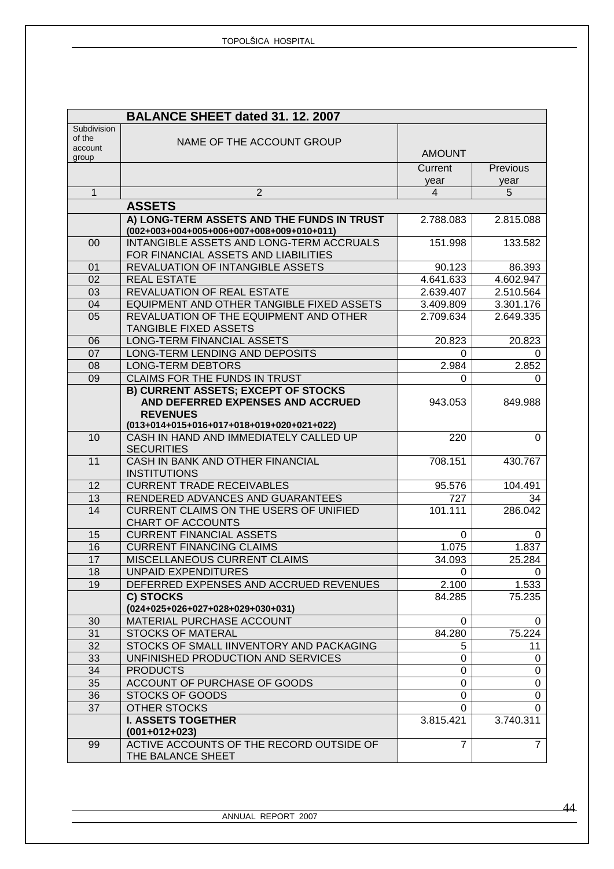|                   | BALANCE SHEET dated 31. 12. 2007                                                          |                |                |
|-------------------|-------------------------------------------------------------------------------------------|----------------|----------------|
| Subdivision       |                                                                                           |                |                |
| of the<br>account | NAME OF THE ACCOUNT GROUP                                                                 |                |                |
| group             |                                                                                           | <b>AMOUNT</b>  |                |
|                   |                                                                                           | Current        | Previous       |
|                   |                                                                                           | year           | year           |
| 1                 | $\overline{2}$                                                                            | $\overline{4}$ | 5              |
|                   | <b>ASSETS</b>                                                                             |                |                |
|                   | A) LONG-TERM ASSETS AND THE FUNDS IN TRUST<br>$(002+003+004+005+006+007+008+009+010+011)$ | 2.788.083      | 2.815.088      |
| 00                | INTANGIBLE ASSETS AND LONG-TERM ACCRUALS                                                  | 151.998        | 133.582        |
|                   | FOR FINANCIAL ASSETS AND LIABILITIES                                                      |                |                |
| 01                | REVALUATION OF INTANGIBLE ASSETS                                                          | 90.123         | 86.393         |
| 02                | <b>REAL ESTATE</b>                                                                        | 4.641.633      | 4.602.947      |
| 03                | REVALUATION OF REAL ESTATE                                                                | 2.639.407      | 2.510.564      |
| 04                | EQUIPMENT AND OTHER TANGIBLE FIXED ASSETS                                                 | 3.409.809      | 3.301.176      |
| 05                | REVALUATION OF THE EQUIPMENT AND OTHER                                                    | 2.709.634      | 2.649.335      |
|                   | <b>TANGIBLE FIXED ASSETS</b>                                                              |                |                |
| 06                | LONG-TERM FINANCIAL ASSETS                                                                | 20.823         | 20.823         |
| 07                | LONG-TERM LENDING AND DEPOSITS                                                            | 0              | 0              |
| 08                | <b>LONG-TERM DEBTORS</b>                                                                  | 2.984          | 2.852          |
| 09                | <b>CLAIMS FOR THE FUNDS IN TRUST</b>                                                      | 0              | 0              |
|                   | <b>B) CURRENT ASSETS; EXCEPT OF STOCKS</b>                                                |                |                |
|                   | AND DEFERRED EXPENSES AND ACCRUED                                                         | 943.053        | 849.988        |
|                   | <b>REVENUES</b>                                                                           |                |                |
| 10                | (013+014+015+016+017+018+019+020+021+022)<br>CASH IN HAND AND IMMEDIATELY CALLED UP       | 220            | 0              |
|                   | <b>SECURITIES</b>                                                                         |                |                |
| 11                | CASH IN BANK AND OTHER FINANCIAL                                                          | 708.151        | 430.767        |
|                   | <b>INSTITUTIONS</b>                                                                       |                |                |
| 12                | <b>CURRENT TRADE RECEIVABLES</b>                                                          | 95.576         | 104.491        |
| 13                | RENDERED ADVANCES AND GUARANTEES                                                          | 727            | 34             |
| 14                | CURRENT CLAIMS ON THE USERS OF UNIFIED                                                    | 101.111        | 286.042        |
|                   | <b>CHART OF ACCOUNTS</b>                                                                  |                |                |
| 15                | <b>CURRENT FINANCIAL ASSETS</b>                                                           | 0              | 0              |
| 16                | <b>CURRENT FINANCING CLAIMS</b>                                                           | 1.075          | 1.837          |
| 17                | MISCELLANEOUS CURRENT CLAIMS                                                              | 34.093         | 25.284         |
| 18                | <b>UNPAID EXPENDITURES</b>                                                                | 0              | $\sigma$       |
| 19                | DEFERRED EXPENSES AND ACCRUED REVENUES                                                    | 2.100          | 1.533          |
|                   | C) STOCKS                                                                                 | 84.285         | 75.235         |
|                   | $(024+025+026+027+028+029+030+031)$                                                       |                |                |
| 30                | <b>MATERIAL PURCHASE ACCOUNT</b>                                                          | 0              | 0              |
| 31                | <b>STOCKS OF MATERAL</b>                                                                  | 84.280         | 75.224         |
| 32                | STOCKS OF SMALL IINVENTORY AND PACKAGING                                                  | 5              | 11             |
| 33                | UNFINISHED PRODUCTION AND SERVICES                                                        | 0              | 0              |
| 34                | <b>PRODUCTS</b>                                                                           | 0              | 0              |
| 35<br>36          | ACCOUNT OF PURCHASE OF GOODS<br><b>STOCKS OF GOODS</b>                                    | 0<br>0         | 0<br>0         |
| 37                | <b>OTHER STOCKS</b>                                                                       | 0              | 0              |
|                   | <b>I. ASSETS TOGETHER</b>                                                                 | 3.815.421      | 3.740.311      |
|                   | $(001+012+023)$                                                                           |                |                |
| 99                | ACTIVE ACCOUNTS OF THE RECORD OUTSIDE OF                                                  | $\overline{7}$ | $\overline{7}$ |
|                   | THE BALANCE SHEET                                                                         |                |                |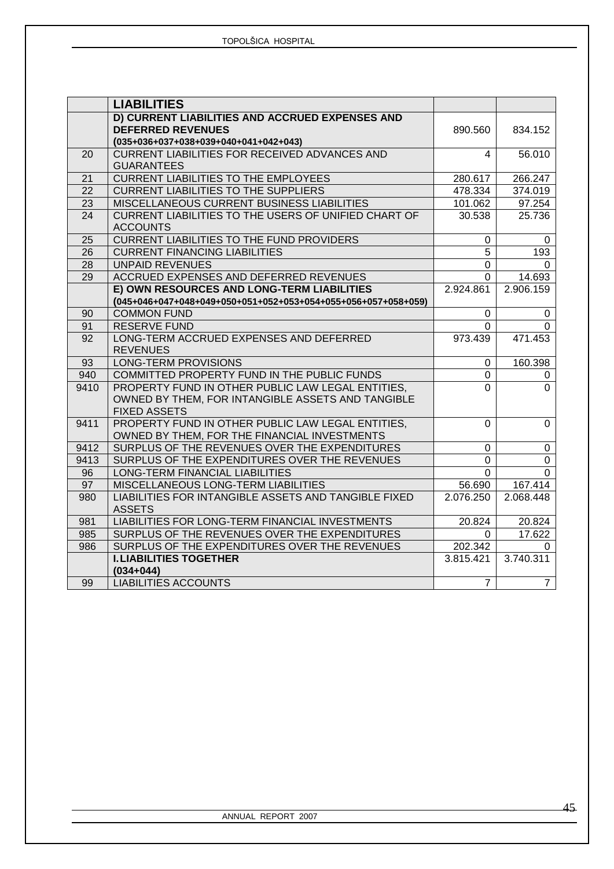|                 | <b>LIABILITIES</b>                                            |                |                |
|-----------------|---------------------------------------------------------------|----------------|----------------|
|                 | D) CURRENT LIABILITIES AND ACCRUED EXPENSES AND               |                |                |
|                 | <b>DEFERRED REVENUES</b>                                      | 890.560        | 834.152        |
|                 | $(035+036+037+038+039+040+041+042+043)$                       |                |                |
| 20              | <b>CURRENT LIABILITIES FOR RECEIVED ADVANCES AND</b>          | 4              | 56.010         |
|                 | <b>GUARANTEES</b>                                             |                |                |
| 21              | <b>CURRENT LIABILITIES TO THE EMPLOYEES</b>                   | 280.617        | 266.247        |
| 22              | <b>CURRENT LIABILITIES TO THE SUPPLIERS</b>                   | 478.334        | 374.019        |
| 23              | MISCELLANEOUS CURRENT BUSINESS LIABILITIES                    | 101.062        | 97.254         |
| 24              | CURRENT LIABILITIES TO THE USERS OF UNIFIED CHART OF          | 30.538         | 25.736         |
|                 | <b>ACCOUNTS</b>                                               |                |                |
| $\overline{25}$ | <b>CURRENT LIABILITIES TO THE FUND PROVIDERS</b>              | 0              | 0              |
| 26              | <b>CURRENT FINANCING LIABILITIES</b>                          | 5              | 193            |
| 28              | <b>UNPAID REVENUES</b>                                        | 0              | $\Omega$       |
| 29              | ACCRUED EXPENSES AND DEFERRED REVENUES                        | 0              | 14.693         |
|                 | E) OWN RESOURCES AND LONG-TERM LIABILITIES                    | 2.924.861      | 2.906.159      |
|                 | (045+046+047+048+049+050+051+052+053+054+055+056+057+058+059) |                |                |
| 90              | <b>COMMON FUND</b>                                            | 0              | $\mathbf 0$    |
| 91              | <b>RESERVE FUND</b>                                           | $\Omega$       | $\Omega$       |
| $\overline{92}$ | LONG-TERM ACCRUED EXPENSES AND DEFERRED                       | 973.439        | 471.453        |
|                 | <b>REVENUES</b>                                               |                |                |
| 93              | <b>LONG-TERM PROVISIONS</b>                                   | 0              | 160.398        |
| 940             | COMMITTED PROPERTY FUND IN THE PUBLIC FUNDS                   | 0              | 0              |
| 9410            | PROPERTY FUND IN OTHER PUBLIC LAW LEGAL ENTITIES,             | $\overline{0}$ | $\Omega$       |
|                 | OWNED BY THEM, FOR INTANGIBLE ASSETS AND TANGIBLE             |                |                |
|                 | <b>FIXED ASSETS</b>                                           |                |                |
| 9411            | PROPERTY FUND IN OTHER PUBLIC LAW LEGAL ENTITIES,             | $\Omega$       | $\mathbf 0$    |
|                 | OWNED BY THEM, FOR THE FINANCIAL INVESTMENTS                  |                |                |
| 9412            | SURPLUS OF THE REVENUES OVER THE EXPENDITURES                 | $\mathbf 0$    | $\mathbf 0$    |
| 9413            | SURPLUS OF THE EXPENDITURES OVER THE REVENUES                 | $\mathbf 0$    | $\mathsf 0$    |
| 96              | LONG-TERM FINANCIAL LIABILITIES                               | $\Omega$       | $\Omega$       |
| 97              | MISCELLANEOUS LONG-TERM LIABILITIES                           | 56.690         | 167.414        |
| 980             | LIABILITIES FOR INTANGIBLE ASSETS AND TANGIBLE FIXED          | 2.076.250      | 2.068.448      |
|                 | <b>ASSETS</b>                                                 |                |                |
| 981             | LIABILITIES FOR LONG-TERM FINANCIAL INVESTMENTS               | 20.824         | 20.824         |
| 985             | SURPLUS OF THE REVENUES OVER THE EXPENDITURES                 | 0              | 17.622         |
| 986             | SURPLUS OF THE EXPENDITURES OVER THE REVENUES                 | 202.342        | $\Omega$       |
|                 | <b>I. LIABILITIES TOGETHER</b>                                | 3.815.421      | 3.740.311      |
|                 | $(034 + 044)$                                                 |                |                |
| 99              | <b>LIABILITIES ACCOUNTS</b>                                   | $\overline{7}$ | $\overline{7}$ |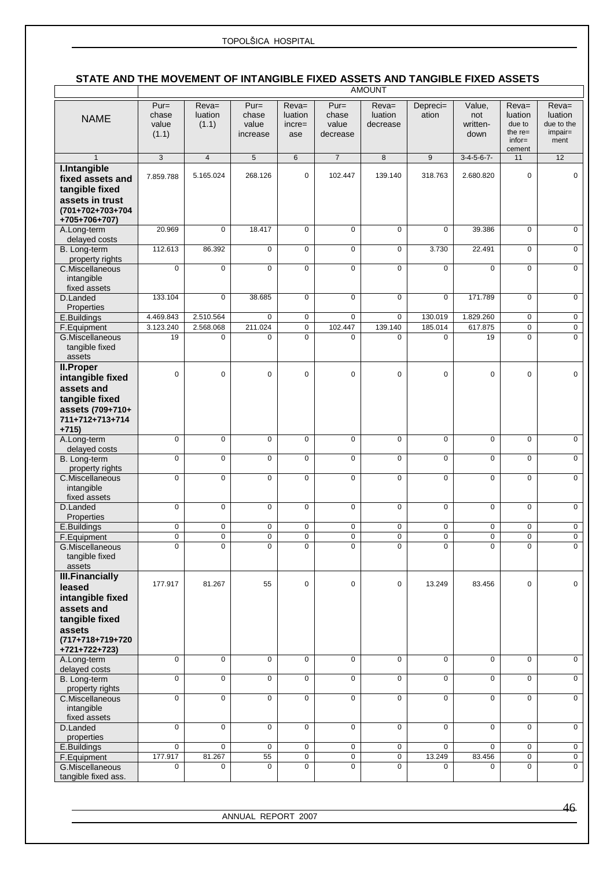### **STATE AND THE MOVEMENT OF INTANGIBLE FIXED ASSETS AND TANGIBLE FIXED ASSETS**

|                                      | <b>AMOUNT</b>  |                 |                       |                     |                     |                          |                            |                       |                        |                         |
|--------------------------------------|----------------|-----------------|-----------------------|---------------------|---------------------|--------------------------|----------------------------|-----------------------|------------------------|-------------------------|
|                                      | $Pur =$        | $\overline{Re}$ | $Pur =$               | $\overline{Re}$     | $Pur =$             | $Reva=$                  | Depreci=                   | Value,                | $\overline{Re}$        | $Reva=$                 |
| <b>NAME</b>                          | chase          | luation         | chase                 | luation             | chase               | luation                  | ation                      | not                   | luation                | luation                 |
|                                      | value          | (1.1)           | value                 | $incre=$            | value               | decrease                 |                            | written-              | due to                 | due to the              |
|                                      | (1.1)          |                 | increase              | ase                 | decrease            |                          |                            | down                  | the $re=$<br>$infor =$ | impair=<br>ment         |
|                                      |                |                 |                       |                     |                     |                          |                            |                       | cement                 |                         |
| $\mathbf{1}$                         | $\overline{3}$ | $\overline{4}$  | 5                     | $6\phantom{1}$      | $\overline{7}$      | 8                        | 9                          | $3-4-5-6-7-$          | 11                     | 12                      |
| I.Intangible<br>fixed assets and     | 7.859.788      | 5.165.024       | 268.126               | $\mathbf 0$         | 102.447             | 139.140                  | 318.763                    | 2.680.820             | 0                      | 0                       |
| tangible fixed                       |                |                 |                       |                     |                     |                          |                            |                       |                        |                         |
| assets in trust                      |                |                 |                       |                     |                     |                          |                            |                       |                        |                         |
| (701+702+703+704                     |                |                 |                       |                     |                     |                          |                            |                       |                        |                         |
| +705+706+707)                        |                |                 |                       |                     |                     |                          |                            |                       |                        |                         |
| A.Long-term                          | 20.969         | $\mathbf 0$     | 18.417                | $\mathbf 0$         | 0                   | $\mathbf 0$              | $\mathbf 0$                | 39.386                | 0                      | $\mathbf 0$             |
| delayed costs<br>B. Long-term        | 112.613        | 86.392          | $\mathbf 0$           | $\mathbf 0$         | $\mathbf 0$         | $\mathbf 0$              | 3.730                      | 22.491                | 0                      | $\mathbf 0$             |
| property rights                      |                |                 |                       |                     |                     |                          |                            |                       |                        |                         |
| C.Miscellaneous                      | $\mathbf 0$    | $\mathbf 0$     | $\pmb{0}$             | $\mathbf 0$         | $\overline{0}$      | $\pmb{0}$                | 0                          | $\mathbf 0$           | 0                      | $\overline{0}$          |
| intangible                           |                |                 |                       |                     |                     |                          |                            |                       |                        |                         |
| fixed assets<br>D.Landed             | 133.104        | $\mathbf 0$     | 38.685                | $\overline{0}$      | $\overline{0}$      | $\overline{0}$           | $\overline{0}$             | 171.789               | $\overline{0}$         | $\overline{0}$          |
| Properties                           |                |                 |                       |                     |                     |                          |                            |                       |                        |                         |
| E.Buildings                          | 4.469.843      | 2.510.564       | $\mathbf 0$           | $\mathbf 0$         | $\mathbf 0$         | $\mathbf 0$              | 130.019                    | 1.829.260             | 0                      | 0                       |
| F.Equipment                          | 3.123.240      | 2.568.068       | 211.024               | 0                   | 102.447             | 139.140                  | 185.014                    | 617.875               | 0                      | 0                       |
| G.Miscellaneous<br>tangible fixed    | 19             | $\mathbf 0$     | $\mathbf 0$           | 0                   | $\mathbf 0$         | $\mathbf 0$              | $\mathbf 0$                | 19                    | 0                      | $\mathbf 0$             |
| assets                               |                |                 |                       |                     |                     |                          |                            |                       |                        |                         |
| <b>II.Proper</b>                     |                |                 |                       |                     |                     |                          |                            |                       |                        |                         |
| intangible fixed                     | $\mathbf 0$    | $\Omega$        | $\mathbf 0$           | $\mathbf 0$         | $\mathbf 0$         | 0                        | $\mathbf 0$                | $\mathbf 0$           | 0                      | $\mathbf 0$             |
| assets and                           |                |                 |                       |                     |                     |                          |                            |                       |                        |                         |
| tangible fixed                       |                |                 |                       |                     |                     |                          |                            |                       |                        |                         |
| assets (709+710+<br>711+712+713+714  |                |                 |                       |                     |                     |                          |                            |                       |                        |                         |
| $+715$                               |                |                 |                       |                     |                     |                          |                            |                       |                        |                         |
| A.Long-term                          | $\overline{0}$ | $\mathbf 0$     | $\overline{0}$        | $\overline{0}$      | $\overline{0}$      | $\overline{0}$           | $\overline{0}$             | $\overline{0}$        | 0                      | $\mathbf 0$             |
| delayed costs<br>B. Long-term        | $\mathbf 0$    | $\mathbf 0$     | $\overline{0}$        | $\mathbf 0$         | $\overline{0}$      | $\overline{0}$           | $\overline{0}$             | $\mathbf 0$           | 0                      | $\overline{0}$          |
| property rights                      |                |                 |                       |                     |                     |                          |                            |                       |                        |                         |
| C.Miscellaneous                      | $\mathsf 0$    | $\mathbf 0$     | $\mathsf 0$           | 0                   | 0                   | $\mathbf 0$              | $\mathsf 0$                | $\mathbf 0$           | 0                      | $\mathbf 0$             |
| intangible                           |                |                 |                       |                     |                     |                          |                            |                       |                        |                         |
| fixed assets<br>D.Landed             | $\mathbf 0$    | $\mathbf 0$     | $\overline{0}$        | $\mathbf 0$         | $\overline{0}$      | $\pmb{0}$                | $\overline{0}$             | $\mathbf 0$           | 0                      | $\mathbf 0$             |
| Properties                           |                |                 |                       |                     |                     |                          |                            |                       |                        |                         |
| E.Buildings                          | $\overline{0}$ | 0               | $\overline{0}$        | $\overline{0}$      | $\overline{0}$      | $\overline{0}$           | $\overline{0}$             | $\overline{0}$        | $\overline{0}$         | $\overline{0}$          |
| F.Equipment                          | $\mathbf 0$    | 0<br>0          | $\pmb{0}$<br>$\Omega$ | 0<br>$\overline{0}$ | 0<br>$\overline{0}$ | 0<br>$\overline{0}$      | $\overline{0}$<br>$\Omega$ | 0                     | 0<br>$\bigcap$         | 0<br>$\overline{0}$     |
| G.Miscellaneous<br>tangible fixed    | 0              |                 |                       |                     |                     |                          |                            |                       |                        |                         |
| assets                               |                |                 |                       |                     |                     |                          |                            |                       |                        |                         |
| <b>III.Financially</b>               |                |                 |                       |                     |                     |                          |                            |                       |                        |                         |
| leased                               | 177.917        | 81.267          | 55                    | $\mathbf 0$         | $\mathbf 0$         | $\mathbf 0$              | 13.249                     | 83.456                | 0                      | 0                       |
| intangible fixed                     |                |                 |                       |                     |                     |                          |                            |                       |                        |                         |
| assets and<br>tangible fixed         |                |                 |                       |                     |                     |                          |                            |                       |                        |                         |
| assets                               |                |                 |                       |                     |                     |                          |                            |                       |                        |                         |
| (717+718+719+720                     |                |                 |                       |                     |                     |                          |                            |                       |                        |                         |
| +721+722+723)                        |                |                 |                       |                     |                     |                          |                            |                       |                        |                         |
| A.Long-term                          | $\overline{0}$ | 0               | 0                     | 0                   | 0                   | 0                        | 0                          | $\mathbf 0$           | 0                      | $\mathsf{O}\phantom{0}$ |
| delayed costs<br><b>B.</b> Long-term | 0              | 0               | $\pmb{0}$             | $\mathbf 0$         | 0                   | $\mathbf 0$              | 0                          | $\mathbf 0$           | 0                      | 0                       |
| property rights                      |                |                 |                       |                     |                     |                          |                            |                       |                        |                         |
| C.Miscellaneous                      | $\mathbf 0$    | $\mathbf 0$     | 0                     | 0                   | 0                   | $\mathbf 0$              | $\mathbf 0$                | $\mathbf 0$           | 0                      | 0                       |
| intangible<br>fixed assets           |                |                 |                       |                     |                     |                          |                            |                       |                        |                         |
| D.Landed                             | 0              | 0               | $\mathbf 0$           | 0                   | 0                   | $\mathbf 0$              | 0                          | 0                     | 0                      | $\mathbf 0$             |
| properties                           |                |                 |                       |                     |                     |                          |                            |                       |                        |                         |
| E.Buildings                          | $\mathsf{O}$   | $\mathbf 0$     | $\mathbf 0$           | $\mathbf 0$         | 0                   | $\mathbf 0$              | $\mathbf 0$                | $\mathbf 0$           | 0                      | $\overline{0}$          |
| F.Equipment<br>G.Miscellaneous       | 177.917<br>0   | 81.267<br>0     | 55<br>$\pmb{0}$       | 0<br>0              | $\mathbf 0$<br>0    | $\mathbf 0$<br>$\pmb{0}$ | 13.249<br>0                | 83.456<br>$\mathbf 0$ | 0<br>0                 | 0<br>0                  |
| tangible fixed ass.                  |                |                 |                       |                     |                     |                          |                            |                       |                        |                         |

ANNUAL REPORT 2007

46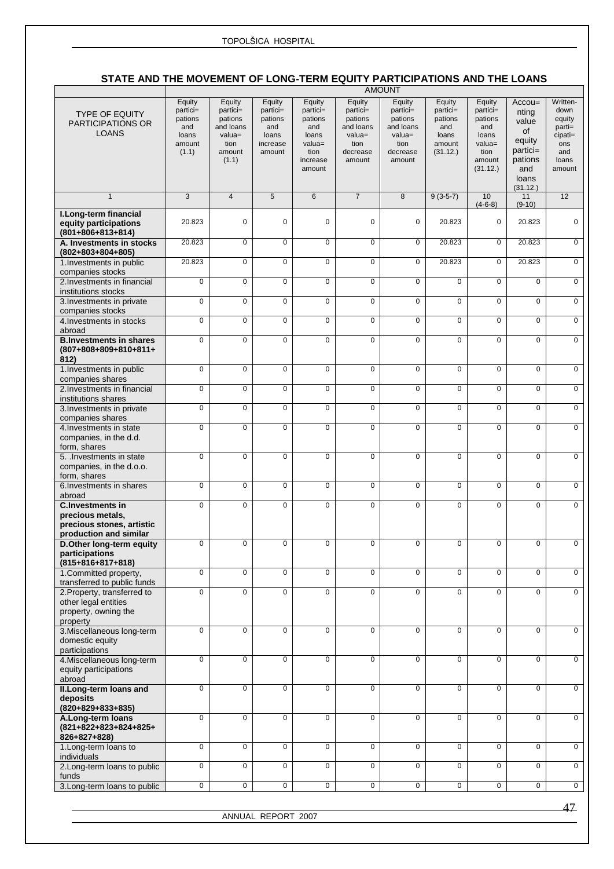### **STATE AND THE MOVEMENT OF LONG-TERM EQUITY PARTICIPATIONS AND THE LOANS**

|                                                                                                    | <b>AMOUNT</b>                                                    |                                                                                    |                                                                     |                                                                                          |                                                                                       |                                                                                       |                                                                     |                                                                                          |                                                                                                 |                                                                                      |
|----------------------------------------------------------------------------------------------------|------------------------------------------------------------------|------------------------------------------------------------------------------------|---------------------------------------------------------------------|------------------------------------------------------------------------------------------|---------------------------------------------------------------------------------------|---------------------------------------------------------------------------------------|---------------------------------------------------------------------|------------------------------------------------------------------------------------------|-------------------------------------------------------------------------------------------------|--------------------------------------------------------------------------------------|
| <b>TYPE OF EQUITY</b><br>PARTICIPATIONS OR<br><b>LOANS</b>                                         | Equity<br>partici=<br>pations<br>and<br>loans<br>amount<br>(1.1) | Equity<br>partici=<br>pations<br>and loans<br>$value =$<br>tion<br>amount<br>(1.1) | Equity<br>partici=<br>pations<br>and<br>loans<br>increase<br>amount | Equity<br>$partici =$<br>pations<br>and<br>loans<br>valua=<br>tion<br>increase<br>amount | Equity<br>partici=<br>pations<br>and loans<br>$value =$<br>tion<br>decrease<br>amount | Equity<br>partici=<br>pations<br>and loans<br>$value =$<br>tion<br>decrease<br>amount | Equity<br>partici=<br>pations<br>and<br>loans<br>amount<br>(31.12.) | Equity<br>partici=<br>pations<br>and<br>loans<br>$value =$<br>tion<br>amount<br>(31.12.) | $Accou=$<br>nting<br>value<br>οf<br>equity<br>$partici=$<br>pations<br>and<br>loans<br>(31.12.) | Written-<br>down<br>equity<br>$parti=$<br>$cipati=$<br>ons<br>and<br>loans<br>amount |
| $\mathbf{1}$                                                                                       | 3                                                                | $\overline{4}$                                                                     | 5                                                                   | $6\phantom{1}$                                                                           | $\overline{7}$                                                                        | 8                                                                                     | $9(3-5-7)$                                                          | 10<br>$(4-6-8)$                                                                          | 11<br>$(9-10)$                                                                                  | 12                                                                                   |
| I.Long-term financial<br>equity participations<br>$(801+806+813+814)$                              | 20.823                                                           | 0                                                                                  | $\mathbf 0$                                                         | $\mathbf 0$                                                                              | $\mathbf 0$                                                                           | $\mathbf 0$                                                                           | 20.823                                                              | $\mathbf 0$                                                                              | 20.823                                                                                          | $\mathbf 0$                                                                          |
| A. Investments in stocks<br>(802+803+804+805)                                                      | 20.823                                                           | 0                                                                                  | $\mathbf 0$                                                         | $\mathbf 0$                                                                              | 0                                                                                     | $\Omega$                                                                              | 20.823                                                              | $\mathbf 0$                                                                              | 20.823                                                                                          | $\mathbf 0$                                                                          |
| 1. Investments in public<br>companies stocks                                                       | 20.823                                                           | 0                                                                                  | $\mathbf 0$                                                         | $\pmb{0}$                                                                                | $\mathbf 0$                                                                           | $\mathbf 0$                                                                           | 20.823                                                              | $\mathbf 0$                                                                              | 20.823                                                                                          | $\mathbf 0$                                                                          |
| 2. Investments in financial<br>institutions stocks                                                 | $\mathbf 0$                                                      | 0                                                                                  | $\mathbf 0$                                                         | $\overline{0}$                                                                           | 0                                                                                     | $\Omega$                                                                              | $\Omega$                                                            | $\mathbf 0$                                                                              | $\mathbf 0$                                                                                     | $\overline{0}$                                                                       |
| 3. Investments in private<br>companies stocks                                                      | $\mathbf 0$                                                      | 0                                                                                  | $\mathbf 0$                                                         | $\mathbf 0$                                                                              | 0                                                                                     | $\Omega$                                                                              | 0                                                                   | $\mathbf 0$                                                                              | $\mathbf 0$                                                                                     | $\mathbf 0$                                                                          |
| 4. Investments in stocks<br>abroad                                                                 | $\mathbf 0$                                                      | $\mathbf 0$                                                                        | $\mathbf 0$                                                         | $\mathbf 0$                                                                              | $\mathbf 0$                                                                           | $\mathbf 0$                                                                           | $\Omega$                                                            | $\mathbf 0$                                                                              | $\mathbf 0$                                                                                     | $\mathbf 0$                                                                          |
| <b>B.Investments in shares</b><br>(807+808+809+810+811+<br>812)                                    | $\mathbf 0$                                                      | $\mathbf 0$                                                                        | $\mathbf 0$                                                         | $\mathbf 0$                                                                              | $\Omega$                                                                              | $\Omega$                                                                              | $\Omega$                                                            | $\mathbf 0$                                                                              | $\mathbf 0$                                                                                     | $\mathbf 0$                                                                          |
| 1. Investments in public<br>companies shares                                                       | $\mathbf 0$                                                      | 0                                                                                  | $\mathbf 0$                                                         | $\mathbf 0$                                                                              | 0                                                                                     | $\mathbf 0$                                                                           | 0                                                                   | $\mathbf 0$                                                                              | $\pmb{0}$                                                                                       | $\mathbf 0$                                                                          |
| 2. Investments in financial<br>institutions shares                                                 | $\mathbf 0$                                                      | $\mathbf 0$                                                                        | $\mathbf 0$                                                         | $\mathbf 0$                                                                              | $\mathbf 0$                                                                           | $\mathbf 0$                                                                           | 0                                                                   | 0                                                                                        | $\mathbf 0$                                                                                     | $\mathbf 0$                                                                          |
| 3. Investments in private<br>companies shares                                                      | $\mathbf 0$                                                      | 0                                                                                  | $\mathbf 0$                                                         | $\mathbf 0$                                                                              | 0                                                                                     | $\mathbf 0$                                                                           | 0                                                                   | $\mathbf 0$                                                                              | $\mathbf 0$                                                                                     | $\mathbf 0$                                                                          |
| 4. Investments in state<br>companies, in the d.d.<br>form, shares                                  | $\mathbf 0$                                                      | 0                                                                                  | $\mathbf 0$                                                         | $\mathbf 0$                                                                              | 0                                                                                     | $\mathbf 0$                                                                           | 0                                                                   | 0                                                                                        | $\mathbf 0$                                                                                     | $\mathbf 0$                                                                          |
| 5. Investments in state<br>companies, in the d.o.o.<br>form, shares                                | $\mathbf 0$                                                      | $\mathbf 0$                                                                        | $\mathbf 0$                                                         | $\mathbf 0$                                                                              | 0                                                                                     | $\mathbf 0$                                                                           | 0                                                                   | $\mathbf 0$                                                                              | $\mathbf 0$                                                                                     | $\mathbf 0$                                                                          |
| 6. Investments in shares<br>abroad                                                                 | $\overline{0}$                                                   | $\overline{0}$                                                                     | $\overline{0}$                                                      | $\overline{0}$                                                                           | $\overline{0}$                                                                        | $\overline{0}$                                                                        | $\overline{0}$                                                      | $\overline{0}$                                                                           | $\overline{0}$                                                                                  | $\overline{0}$                                                                       |
| <b>C.Investments in</b><br>precious metals,<br>precious stones, artistic<br>production and similar | $\mathsf 0$                                                      | 0                                                                                  | $\mathbf 0$                                                         | $\pmb{0}$                                                                                | 0                                                                                     | $\mathbf 0$                                                                           | 0                                                                   | 0                                                                                        | $\mathbf 0$                                                                                     | $\mathbf 0$                                                                          |
| D.Other long-term equity<br>participations<br>$(815+816+817+818)$                                  | $\mathbf 0$                                                      | 0                                                                                  | $\mathbf 0$                                                         | $\mathbf 0$                                                                              | $\mathbf 0$                                                                           | $\mathbf 0$                                                                           | $\mathbf 0$                                                         | 0                                                                                        | $\mathbf 0$                                                                                     | $\mathbf 0$                                                                          |
| 1. Committed property,<br>transferred to public funds                                              | $\mathbf 0$                                                      | $\overline{0}$                                                                     | $\mathbf 0$                                                         | $\mathbf 0$                                                                              | 0                                                                                     | $\overline{0}$                                                                        | 0                                                                   | $\mathbf 0$                                                                              | $\overline{0}$                                                                                  | $\mathbf 0$                                                                          |
| 2. Property, transferred to<br>other legal entities<br>property, owning the<br>property            | $\mathbf 0$                                                      | $\overline{0}$                                                                     | $\mathbf 0$                                                         | $\mathbf 0$                                                                              | $\overline{0}$                                                                        | $\overline{0}$                                                                        | $\overline{0}$                                                      | $\Omega$                                                                                 | $\overline{0}$                                                                                  | $\mathbf 0$                                                                          |
| 3. Miscellaneous long-term<br>domestic equity<br>participations                                    | $\mathbf 0$                                                      | $\mathbf 0$                                                                        | $\overline{0}$                                                      | $\overline{0}$                                                                           | $\mathbf 0$                                                                           | $\overline{0}$                                                                        | $\overline{0}$                                                      | 0                                                                                        | $\overline{0}$                                                                                  | $\overline{0}$                                                                       |
| 4. Miscellaneous long-term<br>equity participations<br>abroad                                      | $\mathbf 0$                                                      | 0                                                                                  | $\mathbf 0$                                                         | $\mathbf 0$                                                                              | 0                                                                                     | $\mathbf 0$                                                                           | 0                                                                   | $\mathbf 0$                                                                              | $\overline{0}$                                                                                  | $\mathbf 0$                                                                          |
| II.Long-term loans and<br>deposits<br>$(820+829+833+835)$                                          | $\mathbf 0$                                                      | 0                                                                                  | $\pmb{0}$                                                           | $\pmb{0}$                                                                                | 0                                                                                     | $\mathbf 0$                                                                           | 0                                                                   | $\mathbf 0$                                                                              | $\pmb{0}$                                                                                       | $\mathbf 0$                                                                          |
| A.Long-term loans<br>(821+822+823+824+825+<br>826+827+828)                                         | $\mathbf 0$                                                      | 0                                                                                  | $\mathbf 0$                                                         | $\mathbf 0$                                                                              | 0                                                                                     | $\mathbf 0$                                                                           | 0                                                                   | $\mathbf 0$                                                                              | $\mathbf 0$                                                                                     | $\mathbf 0$                                                                          |
| 1. Long-term loans to<br>individuals                                                               | $\mathbf 0$                                                      | 0                                                                                  | $\mathbf 0$                                                         | $\mathbf 0$                                                                              | 0                                                                                     | $\mathbf 0$                                                                           | 0                                                                   | 0                                                                                        | $\mathbf 0$                                                                                     | $\mathbf 0$                                                                          |
| 2. Long-term loans to public<br>funds                                                              | $\mathbf 0$                                                      | $\mathbf 0$                                                                        | $\mathbf 0$                                                         | $\mathbf 0$                                                                              | $\mathbf 0$                                                                           | $\mathbf 0$                                                                           | 0                                                                   | $\mathbf 0$                                                                              | $\mathbf 0$                                                                                     | $\mathbf 0$                                                                          |
| 3. Long-term loans to public                                                                       | $\overline{0}$                                                   | 0                                                                                  | $\mathsf{O}$                                                        | $\mathsf{O}\phantom{0}$                                                                  | 0                                                                                     | $\mathsf{O}\phantom{0}$                                                               | 0                                                                   | 0                                                                                        | 0                                                                                               | $\overline{0}$                                                                       |

ANNUAL REPORT 2007

47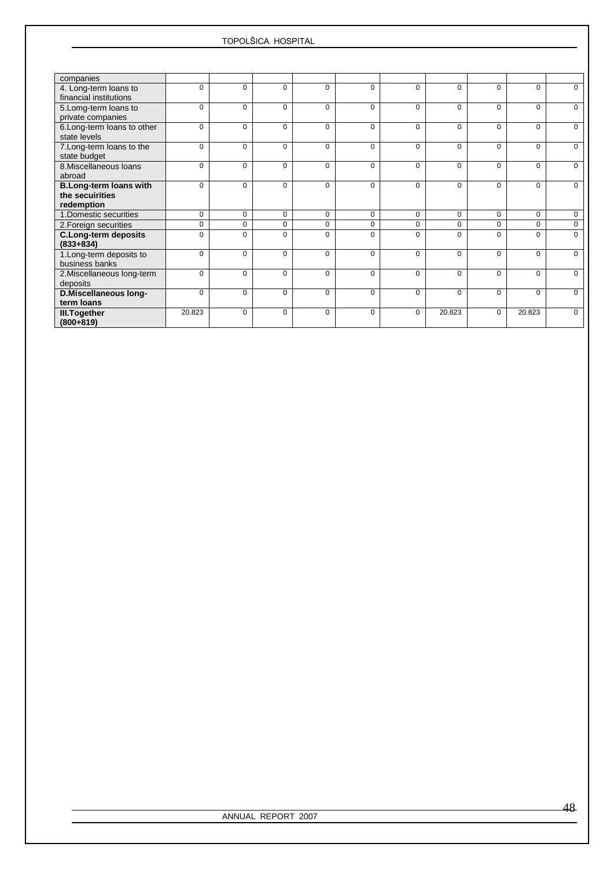| companies                                                      |             |             |             |             |             |             |          |          |          |             |
|----------------------------------------------------------------|-------------|-------------|-------------|-------------|-------------|-------------|----------|----------|----------|-------------|
| 4. Long-term loans to<br>financial institutions                | $\Omega$    | $\Omega$    | $\Omega$    | $\Omega$    | $\Omega$    | $\Omega$    | $\Omega$ | $\Omega$ | $\Omega$ | $\Omega$    |
| 5. Lomg-term loans to<br>private companies                     | $\Omega$    | $\Omega$    | $\Omega$    | $\Omega$    | $\Omega$    | $\Omega$    | $\Omega$ | $\Omega$ | $\Omega$ | $\Omega$    |
| 6. Long-term loans to other<br>state levels                    | $\Omega$    | $\Omega$    | 0           | $\mathbf 0$ | $\Omega$    | $\Omega$    | $\Omega$ | $\Omega$ | $\Omega$ | 0           |
| 7. Long-term loans to the<br>state budget                      | 0           | $\Omega$    | $\mathbf 0$ | $\mathbf 0$ | $\Omega$    | $\Omega$    | $\Omega$ | $\Omega$ | $\Omega$ | 0           |
| 8. Miscellaneous loans<br>abroad                               | 0           | $\Omega$    | 0           | 0           | $\Omega$    | $\Omega$    | $\Omega$ | $\Omega$ | 0        | $\Omega$    |
| <b>B.Long-term loans with</b><br>the secuirities<br>redemption | $\Omega$    | $\Omega$    | $\Omega$    | $\Omega$    | $\Omega$    | $\Omega$    | $\Omega$ | $\Omega$ | $\Omega$ | $\Omega$    |
| 1. Domestic securities                                         | $\mathbf 0$ | $\Omega$    | $\mathbf 0$ | $\mathbf 0$ | $\Omega$    | $\Omega$    | $\Omega$ | $\Omega$ | $\Omega$ | $\mathbf 0$ |
| 2. Foreign securities                                          | $\mathbf 0$ | $\mathbf 0$ | $\mathbf 0$ | $\mathbf 0$ | $\mathbf 0$ | $\mathbf 0$ | $\Omega$ | $\Omega$ | 0        | $\mathbf 0$ |
| <b>C.Long-term deposits</b><br>$(833+834)$                     | $\Omega$    | $\Omega$    | $\Omega$    | $\Omega$    | $\Omega$    | $\Omega$    | $\Omega$ | $\Omega$ | $\Omega$ | $\Omega$    |
| 1. Long-term deposits to<br>business banks                     | $\Omega$    | $\Omega$    | $\Omega$    | $\Omega$    | $\Omega$    | $\Omega$    | $\Omega$ | $\Omega$ | $\Omega$ | $\Omega$    |
| 2. Miscellaneous long-term<br>deposits                         | $\Omega$    | $\Omega$    | $\mathbf 0$ | $\mathbf 0$ | $\Omega$    | $\Omega$    | $\Omega$ | $\Omega$ | $\Omega$ | $\mathbf 0$ |
| D.Miscellaneous long-<br>term loans                            | $\Omega$    | $\Omega$    | 0           | $\Omega$    | $\Omega$    | $\Omega$    | $\Omega$ | $\Omega$ | 0        | $\Omega$    |
| <b>III.Together</b><br>$(800+819)$                             | 20.823      | $\Omega$    | $\Omega$    | $\Omega$    | $\Omega$    | $\Omega$    | 20.823   | $\Omega$ | 20.823   | $\Omega$    |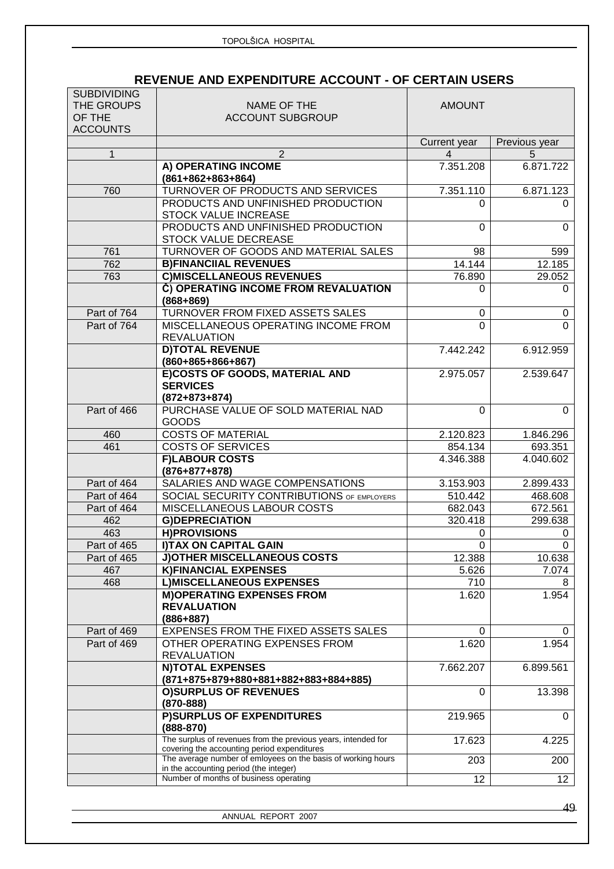## **REVENUE AND EXPENDITURE ACCOUNT - OF CERTAIN USERS**

| <b>SUBDIVIDING</b><br>THE GROUPS<br>OF THE<br><b>ACCOUNTS</b> | NAME OF THE<br><b>ACCOUNT SUBGROUP</b>                                                                                                           | <b>AMOUNT</b> |                 |
|---------------------------------------------------------------|--------------------------------------------------------------------------------------------------------------------------------------------------|---------------|-----------------|
|                                                               |                                                                                                                                                  | Current year  | Previous year   |
| 1                                                             | $\overline{2}$                                                                                                                                   | 4             | 5               |
|                                                               | A) OPERATING INCOME<br>$(861+862+863+864)$                                                                                                       | 7.351.208     | 6.871.722       |
| 760                                                           | TURNOVER OF PRODUCTS AND SERVICES                                                                                                                | 7.351.110     | 6.871.123       |
|                                                               | PRODUCTS AND UNFINISHED PRODUCTION<br><b>STOCK VALUE INCREASE</b>                                                                                | 0             | 0               |
|                                                               | PRODUCTS AND UNFINISHED PRODUCTION<br>STOCK VALUE DECREASE                                                                                       | $\Omega$      | $\Omega$        |
| 761                                                           | TURNOVER OF GOODS AND MATERIAL SALES                                                                                                             | 98            | 599             |
| 762                                                           | <b>B)FINANCIIAL REVENUES</b>                                                                                                                     | 14.144        | 12.185          |
| 763                                                           | <b>C)MISCELLANEOUS REVENUES</b>                                                                                                                  | 76.890        | 29.052          |
|                                                               | Č) OPERATING INCOME FROM REVALUATION<br>$(868 + 869)$                                                                                            | 0             | 0               |
| Part of 764                                                   | TURNOVER FROM FIXED ASSETS SALES                                                                                                                 | 0             | 0               |
| Part of 764                                                   | MISCELLANEOUS OPERATING INCOME FROM<br><b>REVALUATION</b>                                                                                        | $\Omega$      | $\Omega$        |
|                                                               | <b>D)TOTAL REVENUE</b><br>$(860+865+866+867)$                                                                                                    | 7.442.242     | 6.912.959       |
|                                                               | E)COSTS OF GOODS, MATERIAL AND<br><b>SERVICES</b><br>$(872+873+874)$                                                                             | 2.975.057     | 2.539.647       |
| Part of 466                                                   | PURCHASE VALUE OF SOLD MATERIAL NAD<br><b>GOODS</b>                                                                                              | $\Omega$      | 0               |
| 460                                                           | <b>COSTS OF MATERIAL</b>                                                                                                                         | 2.120.823     | 1.846.296       |
| 461                                                           | <b>COSTS OF SERVICES</b>                                                                                                                         | 854.134       | 693.351         |
|                                                               | <b>F)LABOUR COSTS</b><br>$(876+877+878)$                                                                                                         | 4.346.388     | 4.040.602       |
| Part of 464                                                   | SALARIES AND WAGE COMPENSATIONS                                                                                                                  | 3.153.903     | 2.899.433       |
| Part of 464                                                   | <b>SOCIAL SECURITY CONTRIBUTIONS OF EMPLOYERS</b>                                                                                                | 510.442       | 468.608         |
| Part of 464                                                   | MISCELLANEOUS LABOUR COSTS                                                                                                                       | 682.043       | 672.561         |
| 462                                                           | <b>G)DEPRECIATION</b>                                                                                                                            | 320.418       | 299.638         |
| 463                                                           | <b>H)PROVISIONS</b>                                                                                                                              | 0             | 0               |
| Part of 465                                                   | <b>I)TAX ON CAPITAL GAIN</b>                                                                                                                     | 0             | $\Omega$        |
| Part of 465                                                   | <b>J)OTHER MISCELLANEOUS COSTS</b>                                                                                                               | 12.388        | 10.638          |
| 467                                                           | <b>K)FINANCIAL EXPENSES</b>                                                                                                                      | 5.626         | 7.074           |
| 468                                                           | <b>L)MISCELLANEOUS EXPENSES</b>                                                                                                                  | 710           | 8               |
|                                                               | <b>M)OPERATING EXPENSES FROM</b><br><b>REVALUATION</b><br>$(886+887)$                                                                            | 1.620         | 1.954           |
| Part of 469                                                   | EXPENSES FROM THE FIXED ASSETS SALES                                                                                                             | 0             | 0               |
| Part of 469                                                   | OTHER OPERATING EXPENSES FROM<br><b>REVALUATION</b>                                                                                              | 1.620         | 1.954           |
|                                                               | <b>N)TOTAL EXPENSES</b><br>(871+875+879+880+881+882+883+884+885)                                                                                 | 7.662.207     | 6.899.561       |
|                                                               | <b>O)SURPLUS OF REVENUES</b><br>$(870 - 888)$                                                                                                    | $\Omega$      | 13.398          |
|                                                               | <b>P)SURPLUS OF EXPENDITURES</b><br>$(888 - 870)$                                                                                                | 219.965       | $\Omega$        |
|                                                               | The surplus of revenues from the previous years, intended for<br>covering the accounting period expenditures                                     | 17.623        | 4.225           |
|                                                               | The average number of emloyees on the basis of working hours<br>in the accounting period (the integer)<br>Number of months of business operating | 203           | 200             |
|                                                               |                                                                                                                                                  | 12            | 12 <sup>2</sup> |

ANNUAL REPORT 2007

49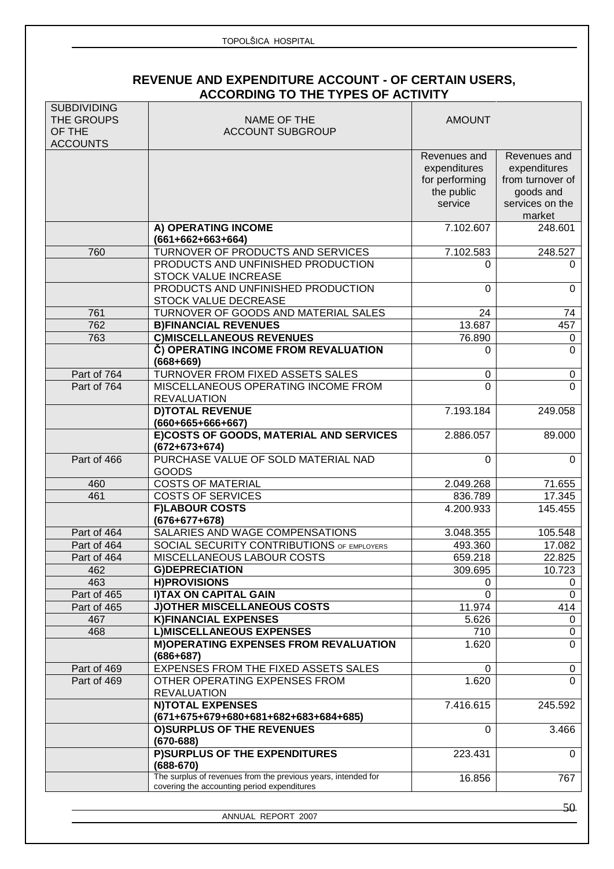|                                                               | TOPOLŠICA HOSPITAL                                                                                           |                                                                         |                                                                                            |
|---------------------------------------------------------------|--------------------------------------------------------------------------------------------------------------|-------------------------------------------------------------------------|--------------------------------------------------------------------------------------------|
|                                                               | REVENUE AND EXPENDITURE ACCOUNT - OF CERTAIN USERS,<br><b>ACCORDING TO THE TYPES OF ACTIVITY</b>             |                                                                         |                                                                                            |
| <b>SUBDIVIDING</b><br>THE GROUPS<br>OF THE<br><b>ACCOUNTS</b> | NAME OF THE<br><b>ACCOUNT SUBGROUP</b>                                                                       | <b>AMOUNT</b>                                                           |                                                                                            |
|                                                               |                                                                                                              | Revenues and<br>expenditures<br>for performing<br>the public<br>service | Revenues and<br>expenditures<br>from turnover of<br>goods and<br>services on the<br>market |
|                                                               | A) OPERATING INCOME<br>$(661+662+663+664)$                                                                   | 7.102.607                                                               | 248.601                                                                                    |
| 760                                                           | TURNOVER OF PRODUCTS AND SERVICES                                                                            | 7.102.583                                                               | 248.527                                                                                    |
|                                                               | PRODUCTS AND UNFINISHED PRODUCTION<br><b>STOCK VALUE INCREASE</b>                                            | 0                                                                       | 0                                                                                          |
|                                                               | PRODUCTS AND UNFINISHED PRODUCTION<br>STOCK VALUE DECREASE                                                   | 0                                                                       | $\Omega$                                                                                   |
| 761                                                           | TURNOVER OF GOODS AND MATERIAL SALES                                                                         | 24                                                                      | 74                                                                                         |
| 762                                                           | <b>B)FINANCIAL REVENUES</b>                                                                                  | 13.687                                                                  | 457                                                                                        |
| 763                                                           | <b>C)MISCELLANEOUS REVENUES</b>                                                                              | 76.890                                                                  | 0                                                                                          |
|                                                               | Č) OPERATING INCOME FROM REVALUATION<br>$(668 + 669)$                                                        | 0                                                                       | $\Omega$                                                                                   |
| Part of 764                                                   | TURNOVER FROM FIXED ASSETS SALES                                                                             | 0                                                                       | 0                                                                                          |
| Part of 764                                                   | MISCELLANEOUS OPERATING INCOME FROM<br><b>REVALUATION</b>                                                    | 0                                                                       | $\Omega$                                                                                   |
|                                                               | <b>D)TOTAL REVENUE</b><br>$(660+665+666+667)$                                                                | 7.193.184                                                               | 249.058                                                                                    |
|                                                               | E)COSTS OF GOODS, MATERIAL AND SERVICES<br>$(672+673+674)$                                                   | 2.886.057                                                               | 89.000                                                                                     |
| Part of 466                                                   | PURCHASE VALUE OF SOLD MATERIAL NAD<br><b>GOODS</b>                                                          | $\Omega$                                                                | $\Omega$                                                                                   |
| 460                                                           | <b>COSTS OF MATERIAL</b>                                                                                     | 2.049.268                                                               | 71.655                                                                                     |
| 461                                                           | <b>COSTS OF SERVICES</b>                                                                                     | 836.789                                                                 | 17.345                                                                                     |
|                                                               | <b>F)LABOUR COSTS</b><br>$(676+677+678)$                                                                     | 4.200.933                                                               | 145.455                                                                                    |
| Part of 464                                                   | SALARIES AND WAGE COMPENSATIONS                                                                              | 3.048.355                                                               | 105.548                                                                                    |
| Part of 464                                                   | SOCIAL SECURITY CONTRIBUTIONS OF EMPLOYERS                                                                   | 493.360                                                                 | 17.082                                                                                     |
| Part of 464                                                   | MISCELLANEOUS LABOUR COSTS                                                                                   | 659.218                                                                 | 22.825                                                                                     |
| 462                                                           | <b>G)DEPRECIATION</b>                                                                                        | 309.695                                                                 | 10.723                                                                                     |
| 463                                                           | <b>H)PROVISIONS</b>                                                                                          | 0                                                                       |                                                                                            |
| Part of 465<br>Part of 465                                    | I) TAX ON CAPITAL GAIN<br><b>J)OTHER MISCELLANEOUS COSTS</b>                                                 | $\mathbf 0$<br>11.974                                                   | 414                                                                                        |
| 467                                                           | <b>K)FINANCIAL EXPENSES</b>                                                                                  | 5.626                                                                   |                                                                                            |
| 468                                                           | <b>L)MISCELLANEOUS EXPENSES</b>                                                                              | 710                                                                     |                                                                                            |
|                                                               | <b>M)OPERATING EXPENSES FROM REVALUATION</b><br>$(686+687)$                                                  | 1.620                                                                   |                                                                                            |
| Part of 469                                                   | EXPENSES FROM THE FIXED ASSETS SALES                                                                         | 0                                                                       |                                                                                            |
| Part of 469                                                   | OTHER OPERATING EXPENSES FROM<br><b>REVALUATION</b>                                                          | 1.620                                                                   |                                                                                            |
|                                                               | <b>N)TOTAL EXPENSES</b><br>(671+675+679+680+681+682+683+684+685)                                             | 7.416.615                                                               | 245.592                                                                                    |
|                                                               | <b>O)SURPLUS OF THE REVENUES</b><br>$(670 - 688)$                                                            | 0                                                                       | 3.466                                                                                      |
|                                                               | P)SURPLUS OF THE EXPENDITURES<br>$(688 - 670)$                                                               | 223.431                                                                 |                                                                                            |
|                                                               | The surplus of revenues from the previous years, intended for<br>covering the accounting period expenditures | 16.856                                                                  | 767                                                                                        |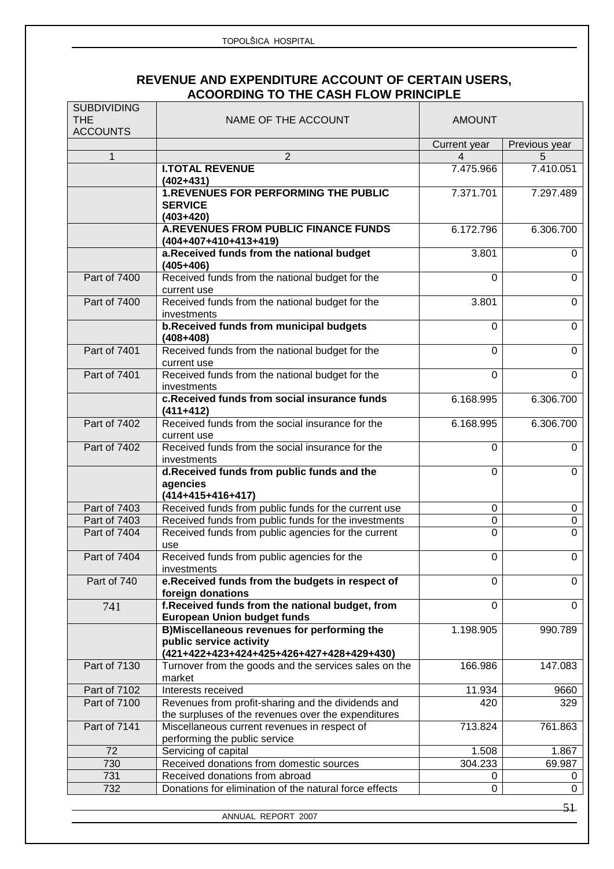## **REVENUE AND EXPENDITURE ACCOUNT OF CERTAIN USERS, ACOORDING TO THE CASH FLOW PRINCIPLE**

| Current year<br>Previous year<br>$\overline{2}$<br>$\mathbf{1}$<br>4<br>5<br>7.475.966<br>7.410.051<br><b>I.TOTAL REVENUE</b><br>$(402+431)$<br><b>1.REVENUES FOR PERFORMING THE PUBLIC</b><br>7.371.701<br>7.297.489<br><b>SERVICE</b><br>$(403+420)$<br><b>A.REVENUES FROM PUBLIC FINANCE FUNDS</b><br>6.172.796<br>6.306.700<br>(404+407+410+413+419)<br>a.Received funds from the national budget<br>3.801<br>$(405+406)$<br>Received funds from the national budget for the<br>Part of 7400<br>$\Omega$<br>current use<br>Received funds from the national budget for the<br>Part of 7400<br>3.801<br>$\overline{0}$<br>investments<br>b.Received funds from municipal budgets<br>$\Omega$<br>$(408+408)$<br>Received funds from the national budget for the<br>Part of 7401<br>$\Omega$<br>current use<br>Received funds from the national budget for the<br>Part of 7401<br>$\overline{0}$<br>investments<br>c.Received funds from social insurance funds<br>6.168.995<br>6.306.700<br>$(411+412)$<br>Received funds from the social insurance for the<br>Part of 7402<br>6.306.700<br>6.168.995<br>current use<br>Part of 7402<br>Received funds from the social insurance for the<br>0<br>$\Omega$<br>investments<br>d.Received funds from public funds and the<br>$\Omega$<br>0<br>agencies<br>$(414+415+416+417)$<br>Received funds from public funds for the current use<br>Part of 7403<br>0<br>Received funds from public funds for the investments<br>$\overline{0}$<br>Part of 7403<br>$\mathbf 0$<br>Part of 7404<br>Received funds from public agencies for the current<br>$\overline{0}$<br>$\overline{0}$<br>use<br>Received funds from public agencies for the<br>Part of 7404<br>$\mathbf 0$<br>investments<br>Part of 740<br>e.Received funds from the budgets in respect of<br>$\Omega$<br>foreign donations<br>f. Received funds from the national budget, from<br>$\Omega$<br>$\mathbf 0$<br>741<br><b>European Union budget funds</b><br>B)Miscellaneous revenues for performing the<br>1.198.905<br>990.789<br>public service activity<br>(421+422+423+424+425+426+427+428+429+430)<br>Turnover from the goods and the services sales on the<br>Part of 7130<br>166.986<br>market<br>Interests received<br>Part of 7102<br>11.934<br>9660<br>Revenues from profit-sharing and the dividends and<br>Part of 7100<br>420<br>329<br>the surpluses of the revenues over the expenditures<br>Part of 7141<br>Miscellaneous current revenues in respect of<br>713.824<br>performing the public service<br>72<br>Servicing of capital<br>1.508<br>1.867<br>Received donations from domestic sources<br>730<br>304.233<br>69.987<br>Received donations from abroad<br>731<br>0 | <b>SUBDIVIDING</b><br><b>THE</b><br><b>ACCOUNTS</b> | NAME OF THE ACCOUNT                                    | <b>AMOUNT</b> |                |
|----------------------------------------------------------------------------------------------------------------------------------------------------------------------------------------------------------------------------------------------------------------------------------------------------------------------------------------------------------------------------------------------------------------------------------------------------------------------------------------------------------------------------------------------------------------------------------------------------------------------------------------------------------------------------------------------------------------------------------------------------------------------------------------------------------------------------------------------------------------------------------------------------------------------------------------------------------------------------------------------------------------------------------------------------------------------------------------------------------------------------------------------------------------------------------------------------------------------------------------------------------------------------------------------------------------------------------------------------------------------------------------------------------------------------------------------------------------------------------------------------------------------------------------------------------------------------------------------------------------------------------------------------------------------------------------------------------------------------------------------------------------------------------------------------------------------------------------------------------------------------------------------------------------------------------------------------------------------------------------------------------------------------------------------------------------------------------------------------------------------------------------------------------------------------------------------------------------------------------------------------------------------------------------------------------------------------------------------------------------------------------------------------------------------------------------------------------------------------------------------------------------------------------------------------------------------------------------------------------------------------------------------------------------------------------------------------|-----------------------------------------------------|--------------------------------------------------------|---------------|----------------|
|                                                                                                                                                                                                                                                                                                                                                                                                                                                                                                                                                                                                                                                                                                                                                                                                                                                                                                                                                                                                                                                                                                                                                                                                                                                                                                                                                                                                                                                                                                                                                                                                                                                                                                                                                                                                                                                                                                                                                                                                                                                                                                                                                                                                                                                                                                                                                                                                                                                                                                                                                                                                                                                                                                    |                                                     |                                                        |               |                |
|                                                                                                                                                                                                                                                                                                                                                                                                                                                                                                                                                                                                                                                                                                                                                                                                                                                                                                                                                                                                                                                                                                                                                                                                                                                                                                                                                                                                                                                                                                                                                                                                                                                                                                                                                                                                                                                                                                                                                                                                                                                                                                                                                                                                                                                                                                                                                                                                                                                                                                                                                                                                                                                                                                    |                                                     |                                                        |               |                |
|                                                                                                                                                                                                                                                                                                                                                                                                                                                                                                                                                                                                                                                                                                                                                                                                                                                                                                                                                                                                                                                                                                                                                                                                                                                                                                                                                                                                                                                                                                                                                                                                                                                                                                                                                                                                                                                                                                                                                                                                                                                                                                                                                                                                                                                                                                                                                                                                                                                                                                                                                                                                                                                                                                    |                                                     |                                                        |               |                |
|                                                                                                                                                                                                                                                                                                                                                                                                                                                                                                                                                                                                                                                                                                                                                                                                                                                                                                                                                                                                                                                                                                                                                                                                                                                                                                                                                                                                                                                                                                                                                                                                                                                                                                                                                                                                                                                                                                                                                                                                                                                                                                                                                                                                                                                                                                                                                                                                                                                                                                                                                                                                                                                                                                    |                                                     |                                                        |               |                |
|                                                                                                                                                                                                                                                                                                                                                                                                                                                                                                                                                                                                                                                                                                                                                                                                                                                                                                                                                                                                                                                                                                                                                                                                                                                                                                                                                                                                                                                                                                                                                                                                                                                                                                                                                                                                                                                                                                                                                                                                                                                                                                                                                                                                                                                                                                                                                                                                                                                                                                                                                                                                                                                                                                    |                                                     |                                                        |               |                |
|                                                                                                                                                                                                                                                                                                                                                                                                                                                                                                                                                                                                                                                                                                                                                                                                                                                                                                                                                                                                                                                                                                                                                                                                                                                                                                                                                                                                                                                                                                                                                                                                                                                                                                                                                                                                                                                                                                                                                                                                                                                                                                                                                                                                                                                                                                                                                                                                                                                                                                                                                                                                                                                                                                    |                                                     |                                                        |               | $\overline{0}$ |
|                                                                                                                                                                                                                                                                                                                                                                                                                                                                                                                                                                                                                                                                                                                                                                                                                                                                                                                                                                                                                                                                                                                                                                                                                                                                                                                                                                                                                                                                                                                                                                                                                                                                                                                                                                                                                                                                                                                                                                                                                                                                                                                                                                                                                                                                                                                                                                                                                                                                                                                                                                                                                                                                                                    |                                                     |                                                        |               | $\mathbf 0$    |
|                                                                                                                                                                                                                                                                                                                                                                                                                                                                                                                                                                                                                                                                                                                                                                                                                                                                                                                                                                                                                                                                                                                                                                                                                                                                                                                                                                                                                                                                                                                                                                                                                                                                                                                                                                                                                                                                                                                                                                                                                                                                                                                                                                                                                                                                                                                                                                                                                                                                                                                                                                                                                                                                                                    |                                                     |                                                        |               |                |
|                                                                                                                                                                                                                                                                                                                                                                                                                                                                                                                                                                                                                                                                                                                                                                                                                                                                                                                                                                                                                                                                                                                                                                                                                                                                                                                                                                                                                                                                                                                                                                                                                                                                                                                                                                                                                                                                                                                                                                                                                                                                                                                                                                                                                                                                                                                                                                                                                                                                                                                                                                                                                                                                                                    |                                                     |                                                        |               | $\mathbf 0$    |
|                                                                                                                                                                                                                                                                                                                                                                                                                                                                                                                                                                                                                                                                                                                                                                                                                                                                                                                                                                                                                                                                                                                                                                                                                                                                                                                                                                                                                                                                                                                                                                                                                                                                                                                                                                                                                                                                                                                                                                                                                                                                                                                                                                                                                                                                                                                                                                                                                                                                                                                                                                                                                                                                                                    |                                                     |                                                        |               | $\mathbf 0$    |
|                                                                                                                                                                                                                                                                                                                                                                                                                                                                                                                                                                                                                                                                                                                                                                                                                                                                                                                                                                                                                                                                                                                                                                                                                                                                                                                                                                                                                                                                                                                                                                                                                                                                                                                                                                                                                                                                                                                                                                                                                                                                                                                                                                                                                                                                                                                                                                                                                                                                                                                                                                                                                                                                                                    |                                                     |                                                        |               | $\mathbf 0$    |
|                                                                                                                                                                                                                                                                                                                                                                                                                                                                                                                                                                                                                                                                                                                                                                                                                                                                                                                                                                                                                                                                                                                                                                                                                                                                                                                                                                                                                                                                                                                                                                                                                                                                                                                                                                                                                                                                                                                                                                                                                                                                                                                                                                                                                                                                                                                                                                                                                                                                                                                                                                                                                                                                                                    |                                                     |                                                        |               |                |
|                                                                                                                                                                                                                                                                                                                                                                                                                                                                                                                                                                                                                                                                                                                                                                                                                                                                                                                                                                                                                                                                                                                                                                                                                                                                                                                                                                                                                                                                                                                                                                                                                                                                                                                                                                                                                                                                                                                                                                                                                                                                                                                                                                                                                                                                                                                                                                                                                                                                                                                                                                                                                                                                                                    |                                                     |                                                        |               |                |
|                                                                                                                                                                                                                                                                                                                                                                                                                                                                                                                                                                                                                                                                                                                                                                                                                                                                                                                                                                                                                                                                                                                                                                                                                                                                                                                                                                                                                                                                                                                                                                                                                                                                                                                                                                                                                                                                                                                                                                                                                                                                                                                                                                                                                                                                                                                                                                                                                                                                                                                                                                                                                                                                                                    |                                                     |                                                        |               |                |
|                                                                                                                                                                                                                                                                                                                                                                                                                                                                                                                                                                                                                                                                                                                                                                                                                                                                                                                                                                                                                                                                                                                                                                                                                                                                                                                                                                                                                                                                                                                                                                                                                                                                                                                                                                                                                                                                                                                                                                                                                                                                                                                                                                                                                                                                                                                                                                                                                                                                                                                                                                                                                                                                                                    |                                                     |                                                        |               |                |
|                                                                                                                                                                                                                                                                                                                                                                                                                                                                                                                                                                                                                                                                                                                                                                                                                                                                                                                                                                                                                                                                                                                                                                                                                                                                                                                                                                                                                                                                                                                                                                                                                                                                                                                                                                                                                                                                                                                                                                                                                                                                                                                                                                                                                                                                                                                                                                                                                                                                                                                                                                                                                                                                                                    |                                                     |                                                        |               | 0              |
|                                                                                                                                                                                                                                                                                                                                                                                                                                                                                                                                                                                                                                                                                                                                                                                                                                                                                                                                                                                                                                                                                                                                                                                                                                                                                                                                                                                                                                                                                                                                                                                                                                                                                                                                                                                                                                                                                                                                                                                                                                                                                                                                                                                                                                                                                                                                                                                                                                                                                                                                                                                                                                                                                                    |                                                     |                                                        |               |                |
|                                                                                                                                                                                                                                                                                                                                                                                                                                                                                                                                                                                                                                                                                                                                                                                                                                                                                                                                                                                                                                                                                                                                                                                                                                                                                                                                                                                                                                                                                                                                                                                                                                                                                                                                                                                                                                                                                                                                                                                                                                                                                                                                                                                                                                                                                                                                                                                                                                                                                                                                                                                                                                                                                                    |                                                     |                                                        |               |                |
|                                                                                                                                                                                                                                                                                                                                                                                                                                                                                                                                                                                                                                                                                                                                                                                                                                                                                                                                                                                                                                                                                                                                                                                                                                                                                                                                                                                                                                                                                                                                                                                                                                                                                                                                                                                                                                                                                                                                                                                                                                                                                                                                                                                                                                                                                                                                                                                                                                                                                                                                                                                                                                                                                                    |                                                     |                                                        |               | $\mathbf 0$    |
|                                                                                                                                                                                                                                                                                                                                                                                                                                                                                                                                                                                                                                                                                                                                                                                                                                                                                                                                                                                                                                                                                                                                                                                                                                                                                                                                                                                                                                                                                                                                                                                                                                                                                                                                                                                                                                                                                                                                                                                                                                                                                                                                                                                                                                                                                                                                                                                                                                                                                                                                                                                                                                                                                                    |                                                     |                                                        |               | $\Omega$       |
|                                                                                                                                                                                                                                                                                                                                                                                                                                                                                                                                                                                                                                                                                                                                                                                                                                                                                                                                                                                                                                                                                                                                                                                                                                                                                                                                                                                                                                                                                                                                                                                                                                                                                                                                                                                                                                                                                                                                                                                                                                                                                                                                                                                                                                                                                                                                                                                                                                                                                                                                                                                                                                                                                                    |                                                     |                                                        |               |                |
|                                                                                                                                                                                                                                                                                                                                                                                                                                                                                                                                                                                                                                                                                                                                                                                                                                                                                                                                                                                                                                                                                                                                                                                                                                                                                                                                                                                                                                                                                                                                                                                                                                                                                                                                                                                                                                                                                                                                                                                                                                                                                                                                                                                                                                                                                                                                                                                                                                                                                                                                                                                                                                                                                                    |                                                     |                                                        |               |                |
|                                                                                                                                                                                                                                                                                                                                                                                                                                                                                                                                                                                                                                                                                                                                                                                                                                                                                                                                                                                                                                                                                                                                                                                                                                                                                                                                                                                                                                                                                                                                                                                                                                                                                                                                                                                                                                                                                                                                                                                                                                                                                                                                                                                                                                                                                                                                                                                                                                                                                                                                                                                                                                                                                                    |                                                     |                                                        |               | 147.083        |
|                                                                                                                                                                                                                                                                                                                                                                                                                                                                                                                                                                                                                                                                                                                                                                                                                                                                                                                                                                                                                                                                                                                                                                                                                                                                                                                                                                                                                                                                                                                                                                                                                                                                                                                                                                                                                                                                                                                                                                                                                                                                                                                                                                                                                                                                                                                                                                                                                                                                                                                                                                                                                                                                                                    |                                                     |                                                        |               |                |
|                                                                                                                                                                                                                                                                                                                                                                                                                                                                                                                                                                                                                                                                                                                                                                                                                                                                                                                                                                                                                                                                                                                                                                                                                                                                                                                                                                                                                                                                                                                                                                                                                                                                                                                                                                                                                                                                                                                                                                                                                                                                                                                                                                                                                                                                                                                                                                                                                                                                                                                                                                                                                                                                                                    |                                                     |                                                        |               |                |
|                                                                                                                                                                                                                                                                                                                                                                                                                                                                                                                                                                                                                                                                                                                                                                                                                                                                                                                                                                                                                                                                                                                                                                                                                                                                                                                                                                                                                                                                                                                                                                                                                                                                                                                                                                                                                                                                                                                                                                                                                                                                                                                                                                                                                                                                                                                                                                                                                                                                                                                                                                                                                                                                                                    |                                                     |                                                        |               | 761.863        |
|                                                                                                                                                                                                                                                                                                                                                                                                                                                                                                                                                                                                                                                                                                                                                                                                                                                                                                                                                                                                                                                                                                                                                                                                                                                                                                                                                                                                                                                                                                                                                                                                                                                                                                                                                                                                                                                                                                                                                                                                                                                                                                                                                                                                                                                                                                                                                                                                                                                                                                                                                                                                                                                                                                    |                                                     |                                                        |               |                |
|                                                                                                                                                                                                                                                                                                                                                                                                                                                                                                                                                                                                                                                                                                                                                                                                                                                                                                                                                                                                                                                                                                                                                                                                                                                                                                                                                                                                                                                                                                                                                                                                                                                                                                                                                                                                                                                                                                                                                                                                                                                                                                                                                                                                                                                                                                                                                                                                                                                                                                                                                                                                                                                                                                    |                                                     |                                                        |               |                |
|                                                                                                                                                                                                                                                                                                                                                                                                                                                                                                                                                                                                                                                                                                                                                                                                                                                                                                                                                                                                                                                                                                                                                                                                                                                                                                                                                                                                                                                                                                                                                                                                                                                                                                                                                                                                                                                                                                                                                                                                                                                                                                                                                                                                                                                                                                                                                                                                                                                                                                                                                                                                                                                                                                    |                                                     |                                                        |               | 0              |
|                                                                                                                                                                                                                                                                                                                                                                                                                                                                                                                                                                                                                                                                                                                                                                                                                                                                                                                                                                                                                                                                                                                                                                                                                                                                                                                                                                                                                                                                                                                                                                                                                                                                                                                                                                                                                                                                                                                                                                                                                                                                                                                                                                                                                                                                                                                                                                                                                                                                                                                                                                                                                                                                                                    | 732                                                 | Donations for elimination of the natural force effects | $\Omega$      | 0              |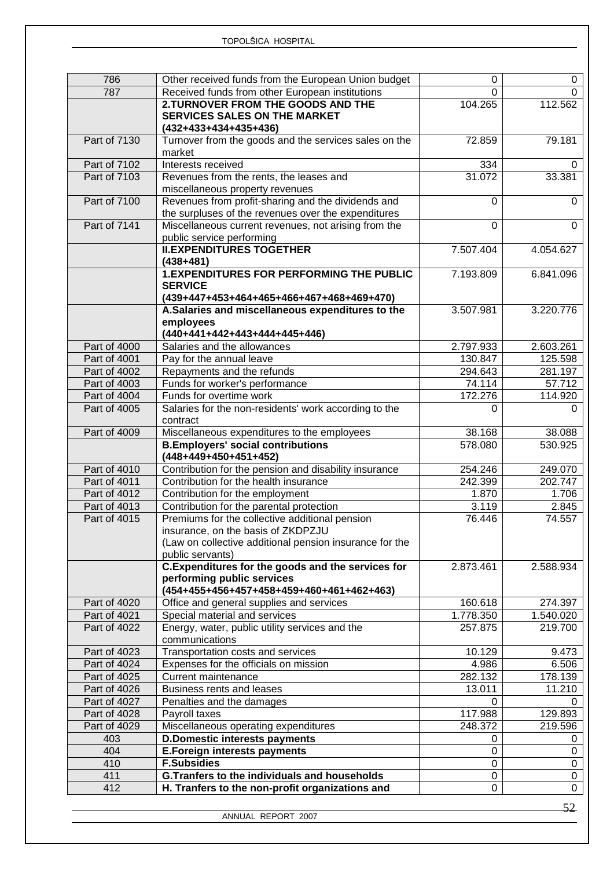| 786                          | Other received funds from the European Union budget              | 0                 | 0                 |
|------------------------------|------------------------------------------------------------------|-------------------|-------------------|
| 787                          | Received funds from other European institutions                  | 0                 | 0                 |
|                              | 2.TURNOVER FROM THE GOODS AND THE                                | 104.265           | 112.562           |
|                              | <b>SERVICES SALES ON THE MARKET</b>                              |                   |                   |
|                              | $(432+433+434+435+436)$                                          |                   |                   |
| Part of 7130                 | Turnover from the goods and the services sales on the            | 72.859            | 79.181            |
|                              | market                                                           |                   |                   |
| Part of 7102                 | Interests received                                               | 334               | $\Omega$          |
| <b>Part of 7103</b>          | Revenues from the rents, the leases and                          | 31.072            | 33.381            |
|                              | miscellaneous property revenues                                  |                   |                   |
| Part of 7100                 | Revenues from profit-sharing and the dividends and               | 0                 | $\mathbf 0$       |
|                              | the surpluses of the revenues over the expenditures              |                   |                   |
| Part of 7141                 | Miscellaneous current revenues, not arising from the             | 0                 | $\Omega$          |
|                              | public service performing                                        |                   |                   |
|                              | <b>II.EXPENDITURES TOGETHER</b>                                  | 7.507.404         | 4.054.627         |
|                              | $(438+481)$                                                      |                   |                   |
|                              | <b>1.EXPENDITURES FOR PERFORMING THE PUBLIC</b>                  | 7.193.809         | 6.841.096         |
|                              | <b>SERVICE</b>                                                   |                   |                   |
|                              | (439+447+453+464+465+466+467+468+469+470)                        |                   |                   |
|                              | A.Salaries and miscellaneous expenditures to the                 | 3.507.981         | 3.220.776         |
|                              | employees                                                        |                   |                   |
|                              | (440+441+442+443+444+445+446)                                    |                   |                   |
| Part of 4000                 | Salaries and the allowances                                      | 2.797.933         | 2.603.261         |
| Part of 4001                 | Pay for the annual leave                                         | 130.847           | 125.598           |
| Part of 4002<br>Part of 4003 | Repayments and the refunds                                       | 294.643<br>74.114 | 281.197<br>57.712 |
| Part of 4004                 | Funds for worker's performance<br>Funds for overtime work        | 172.276           | 114.920           |
| Part of 4005                 | Salaries for the non-residents' work according to the            | U                 | 0                 |
|                              | contract                                                         |                   |                   |
| Part of 4009                 | Miscellaneous expenditures to the employees                      | 38.168            | 38.088            |
|                              | <b>B.Employers' social contributions</b>                         | 578.080           | 530.925           |
|                              | (448+449+450+451+452)                                            |                   |                   |
| Part of 4010                 | Contribution for the pension and disability insurance            | 254.246           | 249.070           |
| Part of 4011                 | Contribution for the health insurance                            | 242.399           | 202.747           |
| Part of 4012                 | Contribution for the employment                                  | 1.870             | 1.706             |
| Part of 4013                 | Contribution for the parental protection                         | 3.119             | 2.845             |
| Part of 4015                 | Premiums for the collective additional pension                   | 76.446            | 74.557            |
|                              | insurance, on the basis of ZKDPZJU                               |                   |                   |
|                              | (Law on collective additional pension insurance for the          |                   |                   |
|                              | public servants)                                                 |                   |                   |
|                              | C.Expenditures for the goods and the services for                | 2.873.461         | 2.588.934         |
|                              | performing public services                                       |                   |                   |
|                              | (454+455+456+457+458+459+460+461+462+463)                        |                   |                   |
| Part of 4020                 | Office and general supplies and services                         | 160.618           | 274.397           |
| Part of 4021                 | Special material and services                                    | 1.778.350         | 1.540.020         |
| Part of 4022                 | Energy, water, public utility services and the<br>communications | 257.875           | 219.700           |
| Part of 4023                 | Transportation costs and services                                | 10.129            | 9.473             |
| Part of 4024                 | Expenses for the officials on mission                            | 4.986             | 6.506             |
| Part of 4025                 | Current maintenance                                              | 282.132           | 178.139           |
| Part of 4026                 | Business rents and leases                                        | 13.011            | 11.210            |
| Part of 4027                 | Penalties and the damages                                        | 0                 |                   |
| Part of 4028                 | Payroll taxes                                                    | 117.988           | 129.893           |
| Part of 4029                 | Miscellaneous operating expenditures                             | 248.372           | 219.596           |
| 403                          | <b>D.Domestic interests payments</b>                             | 0                 | 0                 |
| 404                          | <b>E.Foreign interests payments</b>                              | 0                 | 0                 |
| 410                          | <b>F.Subsidies</b>                                               | 0                 | 0                 |
| 411                          | <b>G.Tranfers to the individuals and households</b>              | 0                 | 0                 |
| 412                          | H. Tranfers to the non-profit organizations and                  | 0                 | 0                 |
|                              |                                                                  |                   |                   |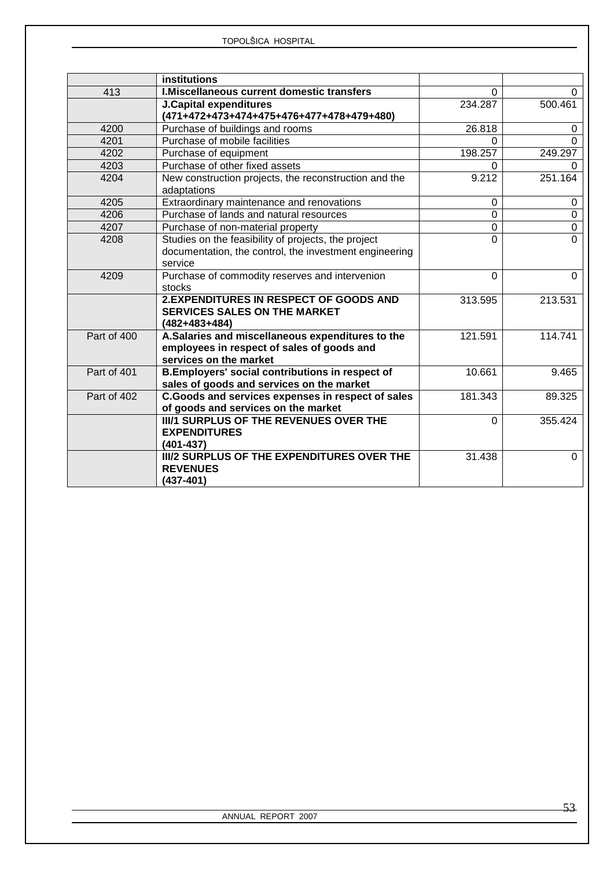|             | institutions                                                                                                             |             |                |
|-------------|--------------------------------------------------------------------------------------------------------------------------|-------------|----------------|
| 413         | I. Miscellaneous current domestic transfers                                                                              | $\Omega$    | 0              |
|             | <b>J.Capital expenditures</b>                                                                                            | 234.287     | 500.461        |
|             | (471+472+473+474+475+476+477+478+479+480)                                                                                |             |                |
| 4200        | Purchase of buildings and rooms                                                                                          | 26.818      | $\Omega$       |
| 4201        | Purchase of mobile facilities                                                                                            | 0           | $\Omega$       |
| 4202        | Purchase of equipment                                                                                                    | 198.257     | 249.297        |
| 4203        | Purchase of other fixed assets                                                                                           | 0           | 0              |
| 4204        | New construction projects, the reconstruction and the<br>adaptations                                                     | 9.212       | 251.164        |
| 4205        | Extraordinary maintenance and renovations                                                                                | $\mathbf 0$ | $\mathbf 0$    |
| 4206        | Purchase of lands and natural resources                                                                                  | $\mathbf 0$ | $\overline{0}$ |
| 4207        | Purchase of non-material property                                                                                        | $\mathbf 0$ | $\mathbf 0$    |
| 4208        | Studies on the feasibility of projects, the project                                                                      | $\Omega$    | $\Omega$       |
|             | documentation, the control, the investment engineering                                                                   |             |                |
|             | service                                                                                                                  |             |                |
| 4209        | Purchase of commodity reserves and intervenion                                                                           | $\Omega$    | $\Omega$       |
|             | stocks                                                                                                                   |             |                |
|             | <b>2.EXPENDITURES IN RESPECT OF GOODS AND</b><br><b>SERVICES SALES ON THE MARKET</b>                                     | 313.595     | 213.531        |
|             | $(482+483+484)$                                                                                                          |             |                |
| Part of 400 | A.Salaries and miscellaneous expenditures to the<br>employees in respect of sales of goods and<br>services on the market | 121.591     | 114.741        |
| Part of 401 | B.Employers' social contributions in respect of<br>sales of goods and services on the market                             | 10.661      | 9.465          |
| Part of 402 | C.Goods and services expenses in respect of sales                                                                        | 181.343     | 89.325         |
|             | of goods and services on the market                                                                                      |             |                |
|             | <b>III/1 SURPLUS OF THE REVENUES OVER THE</b>                                                                            | $\Omega$    | 355.424        |
|             | <b>EXPENDITURES</b>                                                                                                      |             |                |
|             | $(401 - 437)$                                                                                                            |             |                |
|             | <b>III/2 SURPLUS OF THE EXPENDITURES OVER THE</b><br><b>REVENUES</b><br>$(437 - 401)$                                    | 31.438      | $\Omega$       |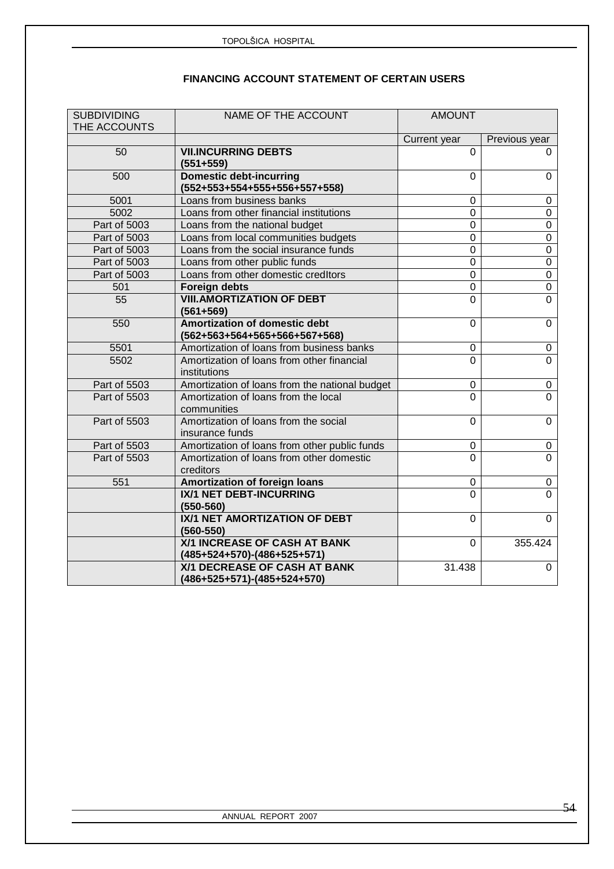### **FINANCING ACCOUNT STATEMENT OF CERTAIN USERS**

| <b>SUBDIVIDING</b> | NAME OF THE ACCOUNT                                             | <b>AMOUNT</b>    |                  |
|--------------------|-----------------------------------------------------------------|------------------|------------------|
| THE ACCOUNTS       |                                                                 | Current year     | Previous year    |
| 50                 | <b>VII.INCURRING DEBTS</b><br>$(551+559)$                       | 0                | 0                |
| 500                | <b>Domestic debt-incurring</b><br>(552+553+554+555+556+557+558) | $\Omega$         | $\mathbf 0$      |
| 5001               | Loans from business banks                                       | $\overline{0}$   | $\pmb{0}$        |
| 5002               | Loans from other financial institutions                         | $\overline{0}$   | $\overline{0}$   |
| Part of 5003       | Loans from the national budget                                  | $\overline{0}$   | $\boldsymbol{0}$ |
| Part of 5003       | Loans from local communities budgets                            | $\overline{0}$   | $\overline{0}$   |
| Part of 5003       | Loans from the social insurance funds                           | 0                | $\overline{0}$   |
| Part of 5003       | Loans from other public funds                                   | 0                | $\overline{0}$   |
| Part of 5003       | Loans from other domestic creditors                             | $\mathbf 0$      | $\overline{0}$   |
| 501                | <b>Foreign debts</b>                                            | 0                | $\overline{0}$   |
| 55                 | <b>VIII.AMORTIZATION OF DEBT</b><br>$(561 + 569)$               | $\overline{0}$   | $\overline{0}$   |
| 550                | Amortization of domestic debt<br>(562+563+564+565+566+567+568)  | $\overline{0}$   | $\mathbf 0$      |
| 5501               | Amortization of loans from business banks                       | $\mathbf 0$      | $\pmb{0}$        |
| 5502               | Amortization of loans from other financial<br>institutions      | $\overline{0}$   | $\overline{0}$   |
| Part of 5503       | Amortization of loans from the national budget                  | 0                | $\pmb{0}$        |
| Part of 5503       | Amortization of loans from the local<br>communities             | 0                | $\overline{0}$   |
| Part of 5503       | Amortization of loans from the social<br>insurance funds        | $\Omega$         | $\overline{0}$   |
| Part of 5503       | Amortization of loans from other public funds                   | 0                | 0                |
| Part of 5503       | Amortization of loans from other domestic<br>creditors          | $\Omega$         | $\Omega$         |
| 551                | Amortization of foreign loans                                   | $\boldsymbol{0}$ | $\pmb{0}$        |
|                    | <b>IX/1 NET DEBT-INCURRING</b><br>$(550 - 560)$                 | $\Omega$         | $\overline{0}$   |
|                    | IX/1 NET AMORTIZATION OF DEBT<br>$(560 - 550)$                  | $\Omega$         | $\overline{0}$   |
|                    | X/1 INCREASE OF CASH AT BANK<br>(485+524+570)-(486+525+571)     | $\overline{0}$   | 355.424          |
|                    | X/1 DECREASE OF CASH AT BANK<br>(486+525+571)-(485+524+570)     | 31.438           | $\mathbf 0$      |